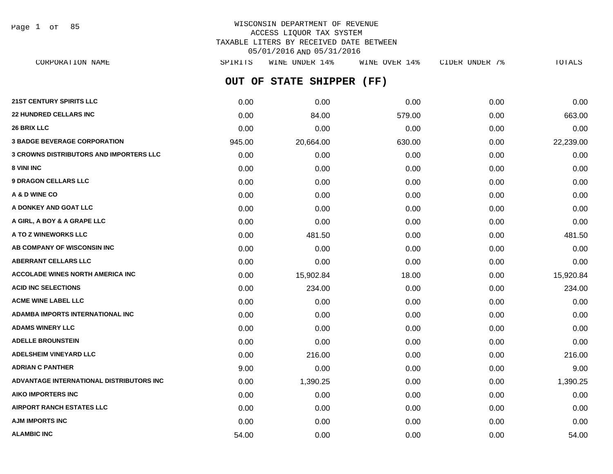Page 1 of 85

# WISCONSIN DEPARTMENT OF REVENUE ACCESS LIQUOR TAX SYSTEM TAXABLE LITERS BY RECEIVED DATE BETWEEN 05/01/2016 AND 05/31/2016

**OUT OF STATE SHIPPER (FF) 21ST CENTURY SPIRITS LLC** 0.00 0.00 0.00 0.00 0.00 **22 HUNDRED CELLARS INC** 663.00 **84.00** 84.00 579.00 **863.00** 863.00 **26 BRIX LLC** 0.00 0.00 0.00 0.00 0.00 **3 BADGE BEVERAGE CORPORATION** 945.00 20,664.00 630.00 0.00 22,239.00 CORPORATION NAME SPIRITS WINE UNDER 14% WINE OVER 14% CIDER UNDER 7% TOTALS

**3 CROWNS DISTRIBUTORS AND IMPORTERS LLC** 0.00 0.00 0.00 0.00 0.00 **8 VINI INC** 0.00 0.00 0.00 0.00 0.00 **9 DRAGON CELLARS LLC** 0.00 0.00 0.00 0.00 0.00 **A & D WINE CO** 0.00 0.00 0.00 0.00 0.00 **A DONKEY AND GOAT LLC**  $\begin{array}{ccc} 0.00 & 0.00 & 0.00 & 0.00 & 0.00 & 0.00 \end{array}$ **A GIRL, A BOY & A GRAPE LLC** 0.00 0.00 0.00 0.00 0.00 **A TO Z WINEWORKS LLC** 0.00 481.50 0.00 0.00 481.50 **AB COMPANY OF WISCONSIN INC**  $0.00$   $0.00$   $0.00$   $0.00$   $0.00$   $0.00$   $0.00$   $0.00$   $0.00$   $0.00$   $0.00$   $0.00$   $0.00$   $0.00$   $0.00$   $0.00$   $0.00$   $0.00$   $0.00$   $0.00$   $0.00$   $0.00$   $0.00$   $0.00$   $0.00$   $0.00$   $0.00$   $0.$ **ABERRANT CELLARS LLC** 0.00 0.00 0.00 0.00 0.00 **ACCOLADE WINES NORTH AMERICA INC 15,902.84** 18.00 **15,902.84** 18.00 **0.00** 15,920.84 **ACID INC SELECTIONS** 0.00 234.00 0.00 0.00 234.00 **ACME WINE LABEL LLC** 0.00 0.00 0.00 0.00 0.00 **ADAMBA IMPORTS INTERNATIONAL INC** 0.00 0.00 0.00 0.00 0.00 **ADAMS WINERY LLC** 0.00 0.00 0.00 0.00 0.00 **ADELLE BROUNSTEIN** 0.00 0.00 0.00 0.00 0.00 **ADELSHEIM VINEYARD LLC** 0.00 216.00 0.00 0.00 216.00 **ADRIAN C PANTHER** 9.00 0.00 0.00 0.00 9.00 **ADVANTAGE INTERNATIONAL DISTRIBUTORS INC** 0.00 1,390.25 0.00 0.00 1,390.25 **AIKO IMPORTERS INC** 0.00 0.00 0.00 0.00 0.00 **AIRPORT RANCH ESTATES LLC** 0.00 0.00 0.00 0.00 0.00

**AJM IMPORTS INC** 0.00 0.00 0.00 0.00 0.00 **ALAMBIC INC** 64.00 **54.00 64.00 0.00 0.00 0.00 0.00 0.00 0.00 0.00 54.00**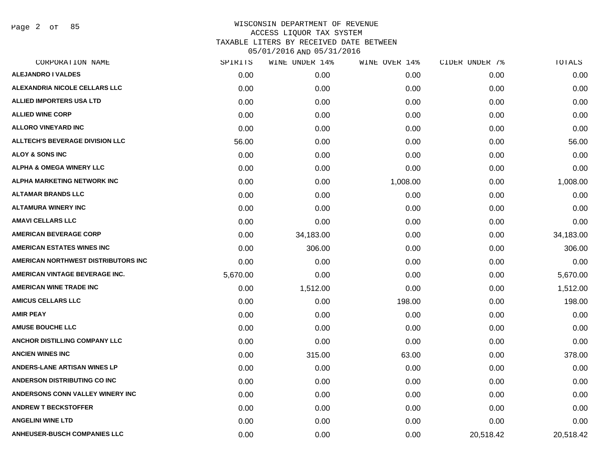Page 2 of 85

| CORPORATION NAME                       | SPIRITS  | WINE UNDER 14% | WINE OVER 14% | CIDER UNDER 7% | TOTALS    |
|----------------------------------------|----------|----------------|---------------|----------------|-----------|
| <b>ALEJANDRO I VALDES</b>              | 0.00     | 0.00           | 0.00          | 0.00           | 0.00      |
| ALEXANDRIA NICOLE CELLARS LLC          | 0.00     | 0.00           | 0.00          | 0.00           | 0.00      |
| <b>ALLIED IMPORTERS USA LTD</b>        | 0.00     | 0.00           | 0.00          | 0.00           | 0.00      |
| <b>ALLIED WINE CORP</b>                | 0.00     | 0.00           | 0.00          | 0.00           | 0.00      |
| <b>ALLORO VINEYARD INC</b>             | 0.00     | 0.00           | 0.00          | 0.00           | 0.00      |
| <b>ALLTECH'S BEVERAGE DIVISION LLC</b> | 56.00    | 0.00           | 0.00          | 0.00           | 56.00     |
| <b>ALOY &amp; SONS INC</b>             | 0.00     | 0.00           | 0.00          | 0.00           | 0.00      |
| <b>ALPHA &amp; OMEGA WINERY LLC</b>    | 0.00     | 0.00           | 0.00          | 0.00           | 0.00      |
| <b>ALPHA MARKETING NETWORK INC</b>     | 0.00     | 0.00           | 1,008.00      | 0.00           | 1,008.00  |
| <b>ALTAMAR BRANDS LLC</b>              | 0.00     | 0.00           | 0.00          | 0.00           | 0.00      |
| <b>ALTAMURA WINERY INC</b>             | 0.00     | 0.00           | 0.00          | 0.00           | 0.00      |
| <b>AMAVI CELLARS LLC</b>               | 0.00     | 0.00           | 0.00          | 0.00           | 0.00      |
| <b>AMERICAN BEVERAGE CORP</b>          | 0.00     | 34,183.00      | 0.00          | 0.00           | 34,183.00 |
| <b>AMERICAN ESTATES WINES INC</b>      | 0.00     | 306.00         | 0.00          | 0.00           | 306.00    |
| AMERICAN NORTHWEST DISTRIBUTORS INC    | 0.00     | 0.00           | 0.00          | 0.00           | 0.00      |
| AMERICAN VINTAGE BEVERAGE INC.         | 5,670.00 | 0.00           | 0.00          | 0.00           | 5,670.00  |
| <b>AMERICAN WINE TRADE INC</b>         | 0.00     | 1,512.00       | 0.00          | 0.00           | 1,512.00  |
| <b>AMICUS CELLARS LLC</b>              | 0.00     | 0.00           | 198.00        | 0.00           | 198.00    |
| <b>AMIR PEAY</b>                       | 0.00     | 0.00           | 0.00          | 0.00           | 0.00      |
| <b>AMUSE BOUCHE LLC</b>                | 0.00     | 0.00           | 0.00          | 0.00           | 0.00      |
| ANCHOR DISTILLING COMPANY LLC          | 0.00     | 0.00           | 0.00          | 0.00           | 0.00      |
| <b>ANCIEN WINES INC</b>                | 0.00     | 315.00         | 63.00         | 0.00           | 378.00    |
| ANDERS-LANE ARTISAN WINES LP           | 0.00     | 0.00           | 0.00          | 0.00           | 0.00      |
| ANDERSON DISTRIBUTING CO INC           | 0.00     | 0.00           | 0.00          | 0.00           | 0.00      |
| ANDERSONS CONN VALLEY WINERY INC       | 0.00     | 0.00           | 0.00          | 0.00           | 0.00      |
| <b>ANDREW T BECKSTOFFER</b>            | 0.00     | 0.00           | 0.00          | 0.00           | 0.00      |
| <b>ANGELINI WINE LTD</b>               | 0.00     | 0.00           | 0.00          | 0.00           | 0.00      |
| <b>ANHEUSER-BUSCH COMPANIES LLC</b>    | 0.00     | 0.00           | 0.00          | 20,518.42      | 20,518.42 |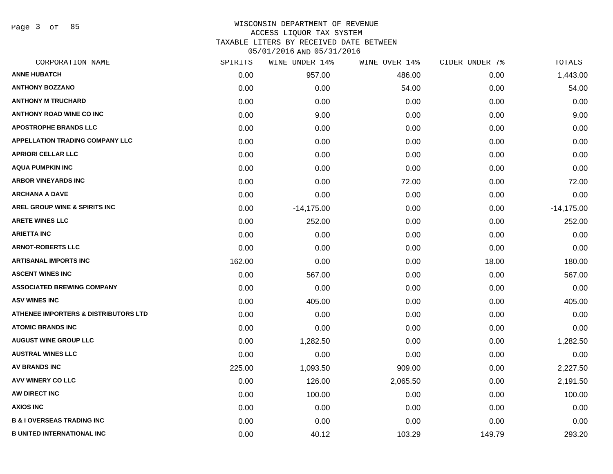Page 3 of 85

# WISCONSIN DEPARTMENT OF REVENUE ACCESS LIQUOR TAX SYSTEM TAXABLE LITERS BY RECEIVED DATE BETWEEN

| CORPORATION NAME                       | SPIRITS | WINE UNDER 14% | WINE OVER 14% | CIDER UNDER 7% | TOTALS       |
|----------------------------------------|---------|----------------|---------------|----------------|--------------|
| <b>ANNE HUBATCH</b>                    | 0.00    | 957.00         | 486.00        | 0.00           | 1,443.00     |
| <b>ANTHONY BOZZANO</b>                 | 0.00    | 0.00           | 54.00         | 0.00           | 54.00        |
| <b>ANTHONY M TRUCHARD</b>              | 0.00    | 0.00           | 0.00          | 0.00           | 0.00         |
| <b>ANTHONY ROAD WINE CO INC</b>        | 0.00    | 9.00           | 0.00          | 0.00           | 9.00         |
| <b>APOSTROPHE BRANDS LLC</b>           | 0.00    | 0.00           | 0.00          | 0.00           | 0.00         |
| <b>APPELLATION TRADING COMPANY LLC</b> | 0.00    | 0.00           | 0.00          | 0.00           | 0.00         |
| <b>APRIORI CELLAR LLC</b>              | 0.00    | 0.00           | 0.00          | 0.00           | 0.00         |
| <b>AQUA PUMPKIN INC</b>                | 0.00    | 0.00           | 0.00          | 0.00           | 0.00         |
| <b>ARBOR VINEYARDS INC</b>             | 0.00    | 0.00           | 72.00         | 0.00           | 72.00        |
| <b>ARCHANA A DAVE</b>                  | 0.00    | 0.00           | 0.00          | 0.00           | 0.00         |
| AREL GROUP WINE & SPIRITS INC          | 0.00    | $-14,175.00$   | 0.00          | 0.00           | $-14,175.00$ |
| <b>ARETE WINES LLC</b>                 | 0.00    | 252.00         | 0.00          | 0.00           | 252.00       |
| <b>ARIETTA INC</b>                     | 0.00    | 0.00           | 0.00          | 0.00           | 0.00         |
| <b>ARNOT-ROBERTS LLC</b>               | 0.00    | 0.00           | 0.00          | 0.00           | 0.00         |
| <b>ARTISANAL IMPORTS INC</b>           | 162.00  | 0.00           | 0.00          | 18.00          | 180.00       |
| <b>ASCENT WINES INC</b>                | 0.00    | 567.00         | 0.00          | 0.00           | 567.00       |
| <b>ASSOCIATED BREWING COMPANY</b>      | 0.00    | 0.00           | 0.00          | 0.00           | 0.00         |
| <b>ASV WINES INC</b>                   | 0.00    | 405.00         | 0.00          | 0.00           | 405.00       |
| ATHENEE IMPORTERS & DISTRIBUTORS LTD   | 0.00    | 0.00           | 0.00          | 0.00           | 0.00         |
| <b>ATOMIC BRANDS INC</b>               | 0.00    | 0.00           | 0.00          | 0.00           | 0.00         |
| <b>AUGUST WINE GROUP LLC</b>           | 0.00    | 1,282.50       | 0.00          | 0.00           | 1,282.50     |
| <b>AUSTRAL WINES LLC</b>               | 0.00    | 0.00           | 0.00          | 0.00           | 0.00         |
| <b>AV BRANDS INC</b>                   | 225.00  | 1,093.50       | 909.00        | 0.00           | 2,227.50     |
| AVV WINERY CO LLC                      | 0.00    | 126.00         | 2,065.50      | 0.00           | 2,191.50     |
| AW DIRECT INC                          | 0.00    | 100.00         | 0.00          | 0.00           | 100.00       |
| <b>AXIOS INC</b>                       | 0.00    | 0.00           | 0.00          | 0.00           | 0.00         |
| <b>B &amp; I OVERSEAS TRADING INC</b>  | 0.00    | 0.00           | 0.00          | 0.00           | 0.00         |
| <b>B UNITED INTERNATIONAL INC</b>      | 0.00    | 40.12          | 103.29        | 149.79         | 293.20       |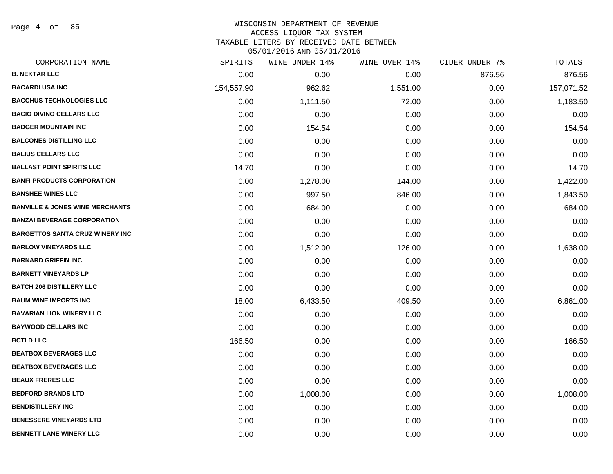Page 4 of 85

#### WISCONSIN DEPARTMENT OF REVENUE ACCESS LIQUOR TAX SYSTEM

TAXABLE LITERS BY RECEIVED DATE BETWEEN

| CORPORATION NAME                           | SPIRITS    | WINE UNDER 14% | WINE OVER 14% | CIDER UNDER 7% | TOTALS     |
|--------------------------------------------|------------|----------------|---------------|----------------|------------|
| <b>B. NEKTAR LLC</b>                       | 0.00       | 0.00           | 0.00          | 876.56         | 876.56     |
| <b>BACARDI USA INC</b>                     | 154,557.90 | 962.62         | 1,551.00      | 0.00           | 157,071.52 |
| <b>BACCHUS TECHNOLOGIES LLC</b>            | 0.00       | 1,111.50       | 72.00         | 0.00           | 1,183.50   |
| <b>BACIO DIVINO CELLARS LLC</b>            | 0.00       | 0.00           | 0.00          | 0.00           | 0.00       |
| <b>BADGER MOUNTAIN INC</b>                 | 0.00       | 154.54         | 0.00          | 0.00           | 154.54     |
| <b>BALCONES DISTILLING LLC</b>             | 0.00       | 0.00           | 0.00          | 0.00           | 0.00       |
| <b>BALIUS CELLARS LLC</b>                  | 0.00       | 0.00           | 0.00          | 0.00           | 0.00       |
| <b>BALLAST POINT SPIRITS LLC</b>           | 14.70      | 0.00           | 0.00          | 0.00           | 14.70      |
| <b>BANFI PRODUCTS CORPORATION</b>          | 0.00       | 1,278.00       | 144.00        | 0.00           | 1,422.00   |
| <b>BANSHEE WINES LLC</b>                   | 0.00       | 997.50         | 846.00        | 0.00           | 1,843.50   |
| <b>BANVILLE &amp; JONES WINE MERCHANTS</b> | 0.00       | 684.00         | 0.00          | 0.00           | 684.00     |
| <b>BANZAI BEVERAGE CORPORATION</b>         | 0.00       | 0.00           | 0.00          | 0.00           | 0.00       |
| <b>BARGETTOS SANTA CRUZ WINERY INC</b>     | 0.00       | 0.00           | 0.00          | 0.00           | 0.00       |
| <b>BARLOW VINEYARDS LLC</b>                | 0.00       | 1,512.00       | 126.00        | 0.00           | 1,638.00   |
| <b>BARNARD GRIFFIN INC</b>                 | 0.00       | 0.00           | 0.00          | 0.00           | 0.00       |
| <b>BARNETT VINEYARDS LP</b>                | 0.00       | 0.00           | 0.00          | 0.00           | 0.00       |
| <b>BATCH 206 DISTILLERY LLC</b>            | 0.00       | 0.00           | 0.00          | 0.00           | 0.00       |
| <b>BAUM WINE IMPORTS INC</b>               | 18.00      | 6,433.50       | 409.50        | 0.00           | 6,861.00   |
| <b>BAVARIAN LION WINERY LLC</b>            | 0.00       | 0.00           | 0.00          | 0.00           | 0.00       |
| <b>BAYWOOD CELLARS INC</b>                 | 0.00       | 0.00           | 0.00          | 0.00           | 0.00       |
| <b>BCTLD LLC</b>                           | 166.50     | 0.00           | 0.00          | 0.00           | 166.50     |
| <b>BEATBOX BEVERAGES LLC</b>               | 0.00       | 0.00           | 0.00          | 0.00           | 0.00       |
| <b>BEATBOX BEVERAGES LLC</b>               | 0.00       | 0.00           | 0.00          | 0.00           | 0.00       |
| <b>BEAUX FRERES LLC</b>                    | 0.00       | 0.00           | 0.00          | 0.00           | 0.00       |
| <b>BEDFORD BRANDS LTD</b>                  | 0.00       | 1,008.00       | 0.00          | 0.00           | 1,008.00   |
| <b>BENDISTILLERY INC</b>                   | 0.00       | 0.00           | 0.00          | 0.00           | 0.00       |
| <b>BENESSERE VINEYARDS LTD</b>             | 0.00       | 0.00           | 0.00          | 0.00           | 0.00       |
| <b>BENNETT LANE WINERY LLC</b>             | 0.00       | 0.00           | 0.00          | 0.00           | 0.00       |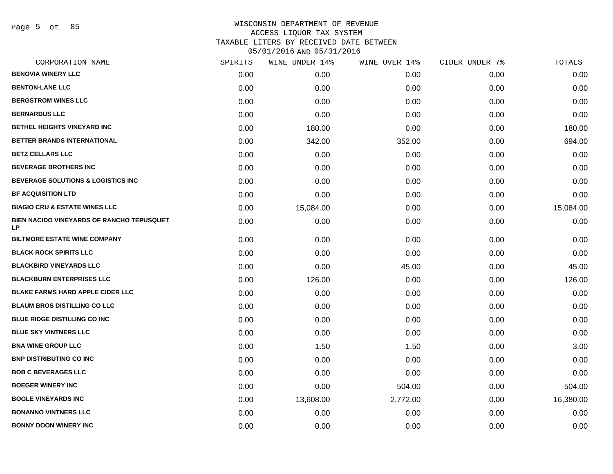Page 5 of 85

| CORPORATION NAME                                       | SPIRITS | WINE UNDER 14% | WINE OVER 14% | CIDER UNDER 7% | TOTALS    |
|--------------------------------------------------------|---------|----------------|---------------|----------------|-----------|
| <b>BENOVIA WINERY LLC</b>                              | 0.00    | 0.00           | 0.00          | 0.00           | 0.00      |
| <b>BENTON-LANE LLC</b>                                 | 0.00    | 0.00           | 0.00          | 0.00           | 0.00      |
| <b>BERGSTROM WINES LLC</b>                             | 0.00    | 0.00           | 0.00          | 0.00           | 0.00      |
| <b>BERNARDUS LLC</b>                                   | 0.00    | 0.00           | 0.00          | 0.00           | 0.00      |
| <b>BETHEL HEIGHTS VINEYARD INC</b>                     | 0.00    | 180.00         | 0.00          | 0.00           | 180.00    |
| BETTER BRANDS INTERNATIONAL                            | 0.00    | 342.00         | 352.00        | 0.00           | 694.00    |
| <b>BETZ CELLARS LLC</b>                                | 0.00    | 0.00           | 0.00          | 0.00           | 0.00      |
| <b>BEVERAGE BROTHERS INC</b>                           | 0.00    | 0.00           | 0.00          | 0.00           | 0.00      |
| <b>BEVERAGE SOLUTIONS &amp; LOGISTICS INC</b>          | 0.00    | 0.00           | 0.00          | 0.00           | 0.00      |
| <b>BF ACQUISITION LTD</b>                              | 0.00    | 0.00           | 0.00          | 0.00           | 0.00      |
| <b>BIAGIO CRU &amp; ESTATE WINES LLC</b>               | 0.00    | 15,084.00      | 0.00          | 0.00           | 15,084.00 |
| BIEN NACIDO VINEYARDS OF RANCHO TEPUSQUET<br><b>LP</b> | 0.00    | 0.00           | 0.00          | 0.00           | 0.00      |
| <b>BILTMORE ESTATE WINE COMPANY</b>                    | 0.00    | 0.00           | 0.00          | 0.00           | 0.00      |
| <b>BLACK ROCK SPIRITS LLC</b>                          | 0.00    | 0.00           | 0.00          | 0.00           | 0.00      |
| <b>BLACKBIRD VINEYARDS LLC</b>                         | 0.00    | 0.00           | 45.00         | 0.00           | 45.00     |
| <b>BLACKBURN ENTERPRISES LLC</b>                       | 0.00    | 126.00         | 0.00          | 0.00           | 126.00    |
| <b>BLAKE FARMS HARD APPLE CIDER LLC</b>                | 0.00    | 0.00           | 0.00          | 0.00           | 0.00      |
| <b>BLAUM BROS DISTILLING CO LLC</b>                    | 0.00    | 0.00           | 0.00          | 0.00           | 0.00      |
| <b>BLUE RIDGE DISTILLING CO INC</b>                    | 0.00    | 0.00           | 0.00          | 0.00           | 0.00      |
| <b>BLUE SKY VINTNERS LLC</b>                           | 0.00    | 0.00           | 0.00          | 0.00           | 0.00      |
| <b>BNA WINE GROUP LLC</b>                              | 0.00    | 1.50           | 1.50          | 0.00           | 3.00      |
| <b>BNP DISTRIBUTING CO INC</b>                         | 0.00    | 0.00           | 0.00          | 0.00           | 0.00      |
| <b>BOB C BEVERAGES LLC</b>                             | 0.00    | 0.00           | 0.00          | 0.00           | 0.00      |
| <b>BOEGER WINERY INC</b>                               | 0.00    | 0.00           | 504.00        | 0.00           | 504.00    |
| <b>BOGLE VINEYARDS INC</b>                             | 0.00    | 13,608.00      | 2,772.00      | 0.00           | 16,380.00 |
| <b>BONANNO VINTNERS LLC</b>                            | 0.00    | 0.00           | 0.00          | 0.00           | 0.00      |
| <b>BONNY DOON WINERY INC</b>                           | 0.00    | 0.00           | 0.00          | 0.00           | 0.00      |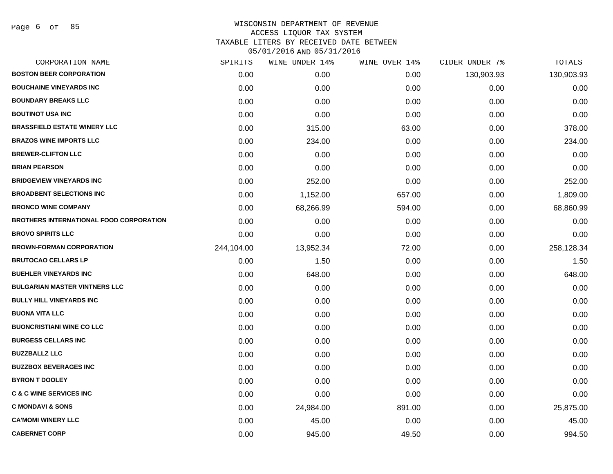| CORPORATION NAME                        | SPIRITS    | WINE UNDER 14% | WINE OVER 14% | CIDER UNDER 7% | TOTALS     |
|-----------------------------------------|------------|----------------|---------------|----------------|------------|
| <b>BOSTON BEER CORPORATION</b>          | 0.00       | 0.00           | 0.00          | 130,903.93     | 130,903.93 |
| <b>BOUCHAINE VINEYARDS INC</b>          | 0.00       | 0.00           | 0.00          | 0.00           | 0.00       |
| <b>BOUNDARY BREAKS LLC</b>              | 0.00       | 0.00           | 0.00          | 0.00           | 0.00       |
| <b>BOUTINOT USA INC</b>                 | 0.00       | 0.00           | 0.00          | 0.00           | 0.00       |
| <b>BRASSFIELD ESTATE WINERY LLC</b>     | 0.00       | 315.00         | 63.00         | 0.00           | 378.00     |
| <b>BRAZOS WINE IMPORTS LLC</b>          | 0.00       | 234.00         | 0.00          | 0.00           | 234.00     |
| <b>BREWER-CLIFTON LLC</b>               | 0.00       | 0.00           | 0.00          | 0.00           | 0.00       |
| <b>BRIAN PEARSON</b>                    | 0.00       | 0.00           | 0.00          | 0.00           | 0.00       |
| <b>BRIDGEVIEW VINEYARDS INC</b>         | 0.00       | 252.00         | 0.00          | 0.00           | 252.00     |
| <b>BROADBENT SELECTIONS INC</b>         | 0.00       | 1,152.00       | 657.00        | 0.00           | 1,809.00   |
| <b>BRONCO WINE COMPANY</b>              | 0.00       | 68,266.99      | 594.00        | 0.00           | 68,860.99  |
| BROTHERS INTERNATIONAL FOOD CORPORATION | 0.00       | 0.00           | 0.00          | 0.00           | 0.00       |
| <b>BROVO SPIRITS LLC</b>                | 0.00       | 0.00           | 0.00          | 0.00           | 0.00       |
| <b>BROWN-FORMAN CORPORATION</b>         | 244,104.00 | 13,952.34      | 72.00         | 0.00           | 258,128.34 |
| <b>BRUTOCAO CELLARS LP</b>              | 0.00       | 1.50           | 0.00          | 0.00           | 1.50       |
| <b>BUEHLER VINEYARDS INC</b>            | 0.00       | 648.00         | 0.00          | 0.00           | 648.00     |
| <b>BULGARIAN MASTER VINTNERS LLC</b>    | 0.00       | 0.00           | 0.00          | 0.00           | 0.00       |
| <b>BULLY HILL VINEYARDS INC</b>         | 0.00       | 0.00           | 0.00          | 0.00           | 0.00       |
| <b>BUONA VITA LLC</b>                   | 0.00       | 0.00           | 0.00          | 0.00           | 0.00       |
| <b>BUONCRISTIANI WINE CO LLC</b>        | 0.00       | 0.00           | 0.00          | 0.00           | 0.00       |
| <b>BURGESS CELLARS INC</b>              | 0.00       | 0.00           | 0.00          | 0.00           | 0.00       |
| <b>BUZZBALLZ LLC</b>                    | 0.00       | 0.00           | 0.00          | 0.00           | 0.00       |
| <b>BUZZBOX BEVERAGES INC</b>            | 0.00       | 0.00           | 0.00          | 0.00           | 0.00       |
| <b>BYRON T DOOLEY</b>                   | 0.00       | 0.00           | 0.00          | 0.00           | 0.00       |
| <b>C &amp; C WINE SERVICES INC</b>      | 0.00       | 0.00           | 0.00          | 0.00           | 0.00       |
| <b>C MONDAVI &amp; SONS</b>             | 0.00       | 24,984.00      | 891.00        | 0.00           | 25,875.00  |
| <b>CA'MOMI WINERY LLC</b>               | 0.00       | 45.00          | 0.00          | 0.00           | 45.00      |
| <b>CABERNET CORP</b>                    | 0.00       | 945.00         | 49.50         | 0.00           | 994.50     |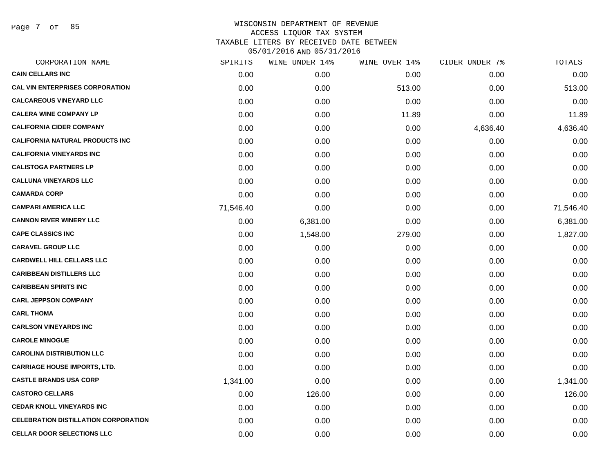Page 7 of 85

|           | WINE UNDER 14% |        |               | TOTALS         |
|-----------|----------------|--------|---------------|----------------|
| 0.00      | 0.00           | 0.00   | 0.00          | 0.00           |
| 0.00      | 0.00           | 513.00 | 0.00          | 513.00         |
| 0.00      | 0.00           | 0.00   | 0.00          | 0.00           |
| 0.00      | 0.00           | 11.89  | 0.00          | 11.89          |
| 0.00      | 0.00           | 0.00   | 4,636.40      | 4,636.40       |
| 0.00      | 0.00           | 0.00   | 0.00          | 0.00           |
| 0.00      | 0.00           | 0.00   | 0.00          | 0.00           |
| 0.00      | 0.00           | 0.00   | 0.00          | 0.00           |
| 0.00      | 0.00           | 0.00   | 0.00          | 0.00           |
| 0.00      | 0.00           | 0.00   | 0.00          | 0.00           |
| 71,546.40 | 0.00           | 0.00   | 0.00          | 71,546.40      |
| 0.00      | 6,381.00       | 0.00   | 0.00          | 6,381.00       |
| 0.00      | 1,548.00       | 279.00 | 0.00          | 1,827.00       |
| 0.00      | 0.00           | 0.00   | 0.00          | 0.00           |
| 0.00      | 0.00           | 0.00   | 0.00          | 0.00           |
| 0.00      | 0.00           | 0.00   | 0.00          | 0.00           |
| 0.00      | 0.00           | 0.00   | 0.00          | 0.00           |
| 0.00      | 0.00           | 0.00   | 0.00          | 0.00           |
| 0.00      | 0.00           | 0.00   | 0.00          | 0.00           |
| 0.00      | 0.00           | 0.00   | 0.00          | 0.00           |
| 0.00      | 0.00           | 0.00   | 0.00          | 0.00           |
| 0.00      | 0.00           | 0.00   | 0.00          | 0.00           |
| 0.00      | 0.00           | 0.00   | 0.00          | 0.00           |
| 1,341.00  | 0.00           | 0.00   | 0.00          | 1,341.00       |
| 0.00      | 126.00         | 0.00   | 0.00          | 126.00         |
| 0.00      | 0.00           | 0.00   | 0.00          | 0.00           |
| 0.00      | 0.00           | 0.00   | 0.00          | 0.00           |
| 0.00      | 0.00           | 0.00   | 0.00          | 0.00           |
|           | SPIRITS        |        | WINE OVER 14% | CIDER UNDER 7% |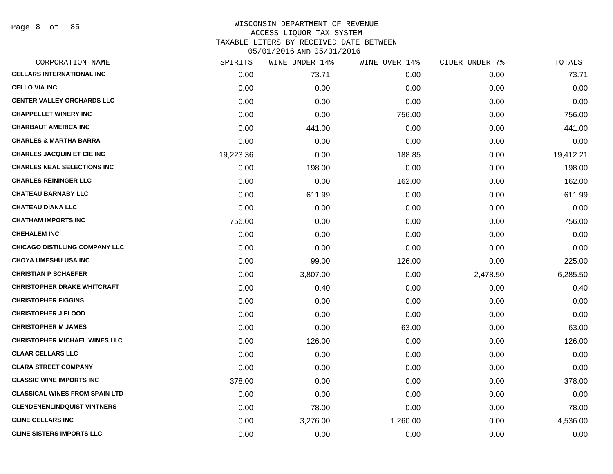Page 8 of 85

| SPIRITS   | WINE UNDER 14% | WINE OVER 14% |          | TOTALS         |
|-----------|----------------|---------------|----------|----------------|
| 0.00      | 73.71          | 0.00          | 0.00     | 73.71          |
| 0.00      | 0.00           | 0.00          | 0.00     | 0.00           |
| 0.00      | 0.00           | 0.00          | 0.00     | 0.00           |
| 0.00      | 0.00           | 756.00        | 0.00     | 756.00         |
| 0.00      | 441.00         | 0.00          | 0.00     | 441.00         |
| 0.00      | 0.00           | 0.00          | 0.00     | 0.00           |
| 19,223.36 | 0.00           | 188.85        | 0.00     | 19,412.21      |
| 0.00      | 198.00         | 0.00          | 0.00     | 198.00         |
| 0.00      | 0.00           | 162.00        | 0.00     | 162.00         |
| 0.00      | 611.99         | 0.00          | 0.00     | 611.99         |
| 0.00      | 0.00           | 0.00          | 0.00     | 0.00           |
| 756.00    | 0.00           | 0.00          | 0.00     | 756.00         |
| 0.00      | 0.00           | 0.00          | 0.00     | 0.00           |
| 0.00      | 0.00           | 0.00          | 0.00     | 0.00           |
| 0.00      | 99.00          | 126.00        | 0.00     | 225.00         |
| 0.00      | 3,807.00       | 0.00          | 2,478.50 | 6,285.50       |
| 0.00      | 0.40           | 0.00          | 0.00     | 0.40           |
| 0.00      | 0.00           | 0.00          | 0.00     | 0.00           |
| 0.00      | 0.00           | 0.00          | 0.00     | 0.00           |
| 0.00      | 0.00           | 63.00         | 0.00     | 63.00          |
| 0.00      | 126.00         | 0.00          | 0.00     | 126.00         |
| 0.00      | 0.00           | 0.00          | 0.00     | 0.00           |
| 0.00      | 0.00           | 0.00          | 0.00     | 0.00           |
| 378.00    | 0.00           | 0.00          | 0.00     | 378.00         |
| 0.00      | 0.00           | 0.00          | 0.00     | 0.00           |
| 0.00      | 78.00          | 0.00          | 0.00     | 78.00          |
| 0.00      | 3,276.00       | 1,260.00      | 0.00     | 4,536.00       |
| 0.00      | 0.00           | 0.00          | 0.00     | 0.00           |
|           |                |               |          | CIDER UNDER 7% |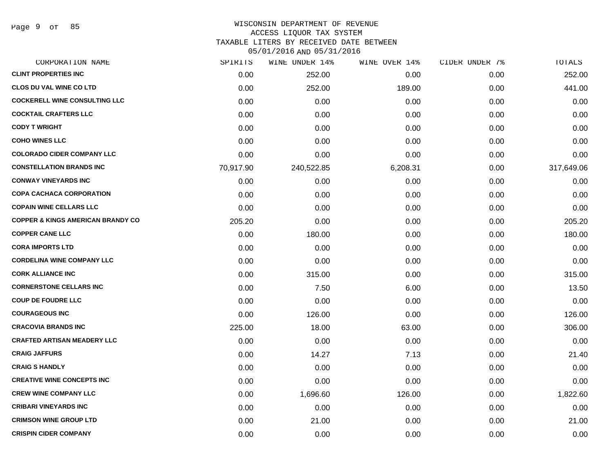Page 9 of 85

#### WISCONSIN DEPARTMENT OF REVENUE ACCESS LIQUOR TAX SYSTEM

TAXABLE LITERS BY RECEIVED DATE BETWEEN

| CORPORATION NAME                             | SPIRITS   | WINE UNDER 14% | WINE OVER 14% | CIDER UNDER 7% | TOTALS     |
|----------------------------------------------|-----------|----------------|---------------|----------------|------------|
| <b>CLINT PROPERTIES INC</b>                  | 0.00      | 252.00         | 0.00          | 0.00           | 252.00     |
| <b>CLOS DU VAL WINE CO LTD</b>               | 0.00      | 252.00         | 189.00        | 0.00           | 441.00     |
| <b>COCKERELL WINE CONSULTING LLC</b>         | 0.00      | 0.00           | 0.00          | 0.00           | 0.00       |
| <b>COCKTAIL CRAFTERS LLC</b>                 | 0.00      | 0.00           | 0.00          | 0.00           | 0.00       |
| <b>CODY T WRIGHT</b>                         | 0.00      | 0.00           | 0.00          | 0.00           | 0.00       |
| <b>COHO WINES LLC</b>                        | 0.00      | 0.00           | 0.00          | 0.00           | 0.00       |
| <b>COLORADO CIDER COMPANY LLC</b>            | 0.00      | 0.00           | 0.00          | 0.00           | 0.00       |
| <b>CONSTELLATION BRANDS INC</b>              | 70,917.90 | 240,522.85     | 6,208.31      | 0.00           | 317,649.06 |
| <b>CONWAY VINEYARDS INC</b>                  | 0.00      | 0.00           | 0.00          | 0.00           | 0.00       |
| <b>COPA CACHACA CORPORATION</b>              | 0.00      | 0.00           | 0.00          | 0.00           | 0.00       |
| <b>COPAIN WINE CELLARS LLC</b>               | 0.00      | 0.00           | 0.00          | 0.00           | 0.00       |
| <b>COPPER &amp; KINGS AMERICAN BRANDY CO</b> | 205.20    | 0.00           | 0.00          | 0.00           | 205.20     |
| <b>COPPER CANE LLC</b>                       | 0.00      | 180.00         | 0.00          | 0.00           | 180.00     |
| <b>CORA IMPORTS LTD</b>                      | 0.00      | 0.00           | 0.00          | 0.00           | 0.00       |
| <b>CORDELINA WINE COMPANY LLC</b>            | 0.00      | 0.00           | 0.00          | 0.00           | 0.00       |
| <b>CORK ALLIANCE INC</b>                     | 0.00      | 315.00         | 0.00          | 0.00           | 315.00     |
| <b>CORNERSTONE CELLARS INC</b>               | 0.00      | 7.50           | 6.00          | 0.00           | 13.50      |
| <b>COUP DE FOUDRE LLC</b>                    | 0.00      | 0.00           | 0.00          | 0.00           | 0.00       |
| <b>COURAGEOUS INC</b>                        | 0.00      | 126.00         | 0.00          | 0.00           | 126.00     |
| <b>CRACOVIA BRANDS INC</b>                   | 225.00    | 18.00          | 63.00         | 0.00           | 306.00     |
| <b>CRAFTED ARTISAN MEADERY LLC</b>           | 0.00      | 0.00           | 0.00          | 0.00           | 0.00       |
| <b>CRAIG JAFFURS</b>                         | 0.00      | 14.27          | 7.13          | 0.00           | 21.40      |
| <b>CRAIG S HANDLY</b>                        | 0.00      | 0.00           | 0.00          | 0.00           | 0.00       |
| <b>CREATIVE WINE CONCEPTS INC</b>            | 0.00      | 0.00           | 0.00          | 0.00           | 0.00       |
| <b>CREW WINE COMPANY LLC</b>                 | 0.00      | 1,696.60       | 126.00        | 0.00           | 1,822.60   |
| <b>CRIBARI VINEYARDS INC</b>                 | 0.00      | 0.00           | 0.00          | 0.00           | 0.00       |
| <b>CRIMSON WINE GROUP LTD</b>                | 0.00      | 21.00          | 0.00          | 0.00           | 21.00      |
| <b>CRISPIN CIDER COMPANY</b>                 | 0.00      | 0.00           | 0.00          | 0.00           | 0.00       |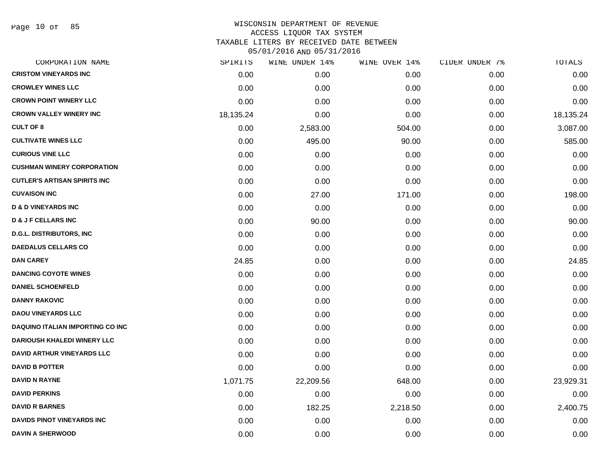Page 10 of 85

| CORPORATION NAME                        | SPIRITS   | WINE UNDER 14% | WINE OVER 14% | CIDER UNDER 7% | TOTALS    |
|-----------------------------------------|-----------|----------------|---------------|----------------|-----------|
| <b>CRISTOM VINEYARDS INC</b>            | 0.00      | 0.00           | 0.00          | 0.00           | 0.00      |
| <b>CROWLEY WINES LLC</b>                | 0.00      | 0.00           | 0.00          | 0.00           | 0.00      |
| <b>CROWN POINT WINERY LLC</b>           | 0.00      | 0.00           | 0.00          | 0.00           | 0.00      |
| <b>CROWN VALLEY WINERY INC</b>          | 18,135.24 | 0.00           | 0.00          | 0.00           | 18,135.24 |
| <b>CULT OF 8</b>                        | 0.00      | 2,583.00       | 504.00        | 0.00           | 3,087.00  |
| <b>CULTIVATE WINES LLC</b>              | 0.00      | 495.00         | 90.00         | 0.00           | 585.00    |
| <b>CURIOUS VINE LLC</b>                 | 0.00      | 0.00           | 0.00          | 0.00           | 0.00      |
| <b>CUSHMAN WINERY CORPORATION</b>       | 0.00      | 0.00           | 0.00          | 0.00           | 0.00      |
| <b>CUTLER'S ARTISAN SPIRITS INC</b>     | 0.00      | 0.00           | 0.00          | 0.00           | 0.00      |
| <b>CUVAISON INC</b>                     | 0.00      | 27.00          | 171.00        | 0.00           | 198.00    |
| <b>D &amp; D VINEYARDS INC</b>          | 0.00      | 0.00           | 0.00          | 0.00           | 0.00      |
| <b>D &amp; J F CELLARS INC</b>          | 0.00      | 90.00          | 0.00          | 0.00           | 90.00     |
| <b>D.G.L. DISTRIBUTORS, INC</b>         | 0.00      | 0.00           | 0.00          | 0.00           | 0.00      |
| <b>DAEDALUS CELLARS CO</b>              | 0.00      | 0.00           | 0.00          | 0.00           | 0.00      |
| <b>DAN CAREY</b>                        | 24.85     | 0.00           | 0.00          | 0.00           | 24.85     |
| <b>DANCING COYOTE WINES</b>             | 0.00      | 0.00           | 0.00          | 0.00           | 0.00      |
| <b>DANIEL SCHOENFELD</b>                | 0.00      | 0.00           | 0.00          | 0.00           | 0.00      |
| <b>DANNY RAKOVIC</b>                    | 0.00      | 0.00           | 0.00          | 0.00           | 0.00      |
| <b>DAOU VINEYARDS LLC</b>               | 0.00      | 0.00           | 0.00          | 0.00           | 0.00      |
| <b>DAQUINO ITALIAN IMPORTING CO INC</b> | 0.00      | 0.00           | 0.00          | 0.00           | 0.00      |
| <b>DARIOUSH KHALEDI WINERY LLC</b>      | 0.00      | 0.00           | 0.00          | 0.00           | 0.00      |
| <b>DAVID ARTHUR VINEYARDS LLC</b>       | 0.00      | 0.00           | 0.00          | 0.00           | 0.00      |
| <b>DAVID B POTTER</b>                   | 0.00      | 0.00           | 0.00          | 0.00           | 0.00      |
| <b>DAVID N RAYNE</b>                    | 1,071.75  | 22,209.56      | 648.00        | 0.00           | 23,929.31 |
| <b>DAVID PERKINS</b>                    | 0.00      | 0.00           | 0.00          | 0.00           | 0.00      |
| <b>DAVID R BARNES</b>                   | 0.00      | 182.25         | 2,218.50      | 0.00           | 2,400.75  |
| <b>DAVIDS PINOT VINEYARDS INC</b>       | 0.00      | 0.00           | 0.00          | 0.00           | 0.00      |
| <b>DAVIN A SHERWOOD</b>                 | 0.00      | 0.00           | 0.00          | 0.00           | 0.00      |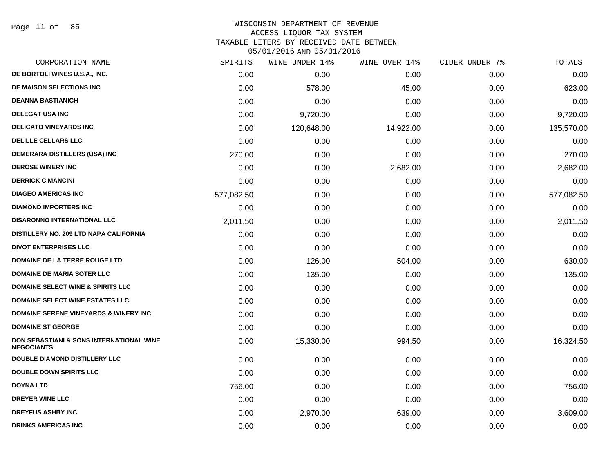Page 11 of 85

#### WISCONSIN DEPARTMENT OF REVENUE ACCESS LIQUOR TAX SYSTEM

TAXABLE LITERS BY RECEIVED DATE BETWEEN

| CORPORATION NAME                                              | SPIRITS    | WINE UNDER 14% | WINE OVER 14% | CIDER UNDER 7% | TOTALS     |
|---------------------------------------------------------------|------------|----------------|---------------|----------------|------------|
| DE BORTOLI WINES U.S.A., INC.                                 | 0.00       | 0.00           | 0.00          | 0.00           | 0.00       |
| DE MAISON SELECTIONS INC                                      | 0.00       | 578.00         | 45.00         | 0.00           | 623.00     |
| <b>DEANNA BASTIANICH</b>                                      | 0.00       | 0.00           | 0.00          | 0.00           | 0.00       |
| <b>DELEGAT USA INC</b>                                        | 0.00       | 9,720.00       | 0.00          | 0.00           | 9,720.00   |
| <b>DELICATO VINEYARDS INC</b>                                 | 0.00       | 120,648.00     | 14,922.00     | 0.00           | 135,570.00 |
| <b>DELILLE CELLARS LLC</b>                                    | 0.00       | 0.00           | 0.00          | 0.00           | 0.00       |
| DEMERARA DISTILLERS (USA) INC                                 | 270.00     | 0.00           | 0.00          | 0.00           | 270.00     |
| <b>DEROSE WINERY INC</b>                                      | 0.00       | 0.00           | 2,682.00      | 0.00           | 2,682.00   |
| <b>DERRICK C MANCINI</b>                                      | 0.00       | 0.00           | 0.00          | 0.00           | 0.00       |
| <b>DIAGEO AMERICAS INC</b>                                    | 577,082.50 | 0.00           | 0.00          | 0.00           | 577,082.50 |
| <b>DIAMOND IMPORTERS INC</b>                                  | 0.00       | 0.00           | 0.00          | 0.00           | 0.00       |
| <b>DISARONNO INTERNATIONAL LLC</b>                            | 2,011.50   | 0.00           | 0.00          | 0.00           | 2,011.50   |
| <b>DISTILLERY NO. 209 LTD NAPA CALIFORNIA</b>                 | 0.00       | 0.00           | 0.00          | 0.00           | 0.00       |
| <b>DIVOT ENTERPRISES LLC</b>                                  | 0.00       | 0.00           | 0.00          | 0.00           | 0.00       |
| DOMAINE DE LA TERRE ROUGE LTD                                 | 0.00       | 126.00         | 504.00        | 0.00           | 630.00     |
| <b>DOMAINE DE MARIA SOTER LLC</b>                             | 0.00       | 135.00         | 0.00          | 0.00           | 135.00     |
| <b>DOMAINE SELECT WINE &amp; SPIRITS LLC</b>                  | 0.00       | 0.00           | 0.00          | 0.00           | 0.00       |
| <b>DOMAINE SELECT WINE ESTATES LLC</b>                        | 0.00       | 0.00           | 0.00          | 0.00           | 0.00       |
| <b>DOMAINE SERENE VINEYARDS &amp; WINERY INC</b>              | 0.00       | 0.00           | 0.00          | 0.00           | 0.00       |
| <b>DOMAINE ST GEORGE</b>                                      | 0.00       | 0.00           | 0.00          | 0.00           | 0.00       |
| DON SEBASTIANI & SONS INTERNATIONAL WINE<br><b>NEGOCIANTS</b> | 0.00       | 15,330.00      | 994.50        | 0.00           | 16,324.50  |
| <b>DOUBLE DIAMOND DISTILLERY LLC</b>                          | 0.00       | 0.00           | 0.00          | 0.00           | 0.00       |
| <b>DOUBLE DOWN SPIRITS LLC</b>                                | 0.00       | 0.00           | 0.00          | 0.00           | 0.00       |
| <b>DOYNA LTD</b>                                              | 756.00     | 0.00           | 0.00          | 0.00           | 756.00     |
| <b>DREYER WINE LLC</b>                                        | 0.00       | 0.00           | 0.00          | 0.00           | 0.00       |
| <b>DREYFUS ASHBY INC</b>                                      | 0.00       | 2,970.00       | 639.00        | 0.00           | 3,609.00   |
| <b>DRINKS AMERICAS INC</b>                                    | 0.00       | 0.00           | 0.00          | 0.00           | 0.00       |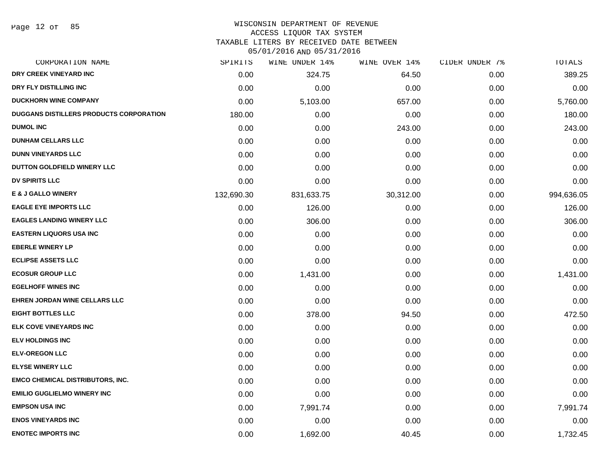# WISCONSIN DEPARTMENT OF REVENUE

ACCESS LIQUOR TAX SYSTEM

TAXABLE LITERS BY RECEIVED DATE BETWEEN

| CORPORATION NAME                               | SPIRITS    | WINE UNDER 14% | WINE OVER 14% | CIDER UNDER 7% | TOTALS     |
|------------------------------------------------|------------|----------------|---------------|----------------|------------|
| DRY CREEK VINEYARD INC                         | 0.00       | 324.75         | 64.50         | 0.00           | 389.25     |
| DRY FLY DISTILLING INC                         | 0.00       | 0.00           | 0.00          | 0.00           | 0.00       |
| <b>DUCKHORN WINE COMPANY</b>                   | 0.00       | 5,103.00       | 657.00        | 0.00           | 5,760.00   |
| <b>DUGGANS DISTILLERS PRODUCTS CORPORATION</b> | 180.00     | 0.00           | 0.00          | 0.00           | 180.00     |
| <b>DUMOL INC</b>                               | 0.00       | 0.00           | 243.00        | 0.00           | 243.00     |
| <b>DUNHAM CELLARS LLC</b>                      | 0.00       | 0.00           | 0.00          | 0.00           | 0.00       |
| <b>DUNN VINEYARDS LLC</b>                      | 0.00       | 0.00           | 0.00          | 0.00           | 0.00       |
| DUTTON GOLDFIELD WINERY LLC                    | 0.00       | 0.00           | 0.00          | 0.00           | 0.00       |
| <b>DV SPIRITS LLC</b>                          | 0.00       | 0.00           | 0.00          | 0.00           | 0.00       |
| <b>E &amp; J GALLO WINERY</b>                  | 132,690.30 | 831,633.75     | 30,312.00     | 0.00           | 994,636.05 |
| <b>EAGLE EYE IMPORTS LLC</b>                   | 0.00       | 126.00         | 0.00          | 0.00           | 126.00     |
| <b>EAGLES LANDING WINERY LLC</b>               | 0.00       | 306.00         | 0.00          | 0.00           | 306.00     |
| <b>EASTERN LIQUORS USA INC</b>                 | 0.00       | 0.00           | 0.00          | 0.00           | 0.00       |
| <b>EBERLE WINERY LP</b>                        | 0.00       | 0.00           | 0.00          | 0.00           | 0.00       |
| <b>ECLIPSE ASSETS LLC</b>                      | 0.00       | 0.00           | 0.00          | 0.00           | 0.00       |
| <b>ECOSUR GROUP LLC</b>                        | 0.00       | 1,431.00       | 0.00          | 0.00           | 1,431.00   |
| <b>EGELHOFF WINES INC</b>                      | 0.00       | 0.00           | 0.00          | 0.00           | 0.00       |
| EHREN JORDAN WINE CELLARS LLC                  | 0.00       | 0.00           | 0.00          | 0.00           | 0.00       |
| <b>EIGHT BOTTLES LLC</b>                       | 0.00       | 378.00         | 94.50         | 0.00           | 472.50     |
| <b>ELK COVE VINEYARDS INC</b>                  | 0.00       | 0.00           | 0.00          | 0.00           | 0.00       |
| <b>ELV HOLDINGS INC</b>                        | 0.00       | 0.00           | 0.00          | 0.00           | 0.00       |
| <b>ELV-OREGON LLC</b>                          | 0.00       | 0.00           | 0.00          | 0.00           | 0.00       |
| <b>ELYSE WINERY LLC</b>                        | 0.00       | 0.00           | 0.00          | 0.00           | 0.00       |
| <b>EMCO CHEMICAL DISTRIBUTORS, INC.</b>        | 0.00       | 0.00           | 0.00          | 0.00           | 0.00       |
| <b>EMILIO GUGLIELMO WINERY INC</b>             | 0.00       | 0.00           | 0.00          | 0.00           | 0.00       |
| <b>EMPSON USA INC</b>                          | 0.00       | 7,991.74       | 0.00          | 0.00           | 7,991.74   |
| <b>ENOS VINEYARDS INC</b>                      | 0.00       | 0.00           | 0.00          | 0.00           | 0.00       |
| <b>ENOTEC IMPORTS INC</b>                      | 0.00       | 1,692.00       | 40.45         | 0.00           | 1,732.45   |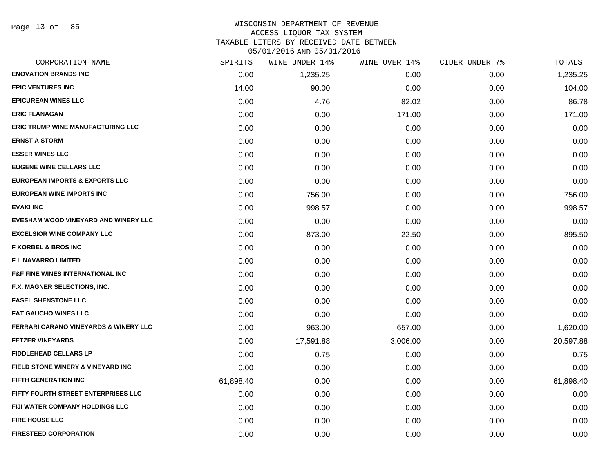### WISCONSIN DEPARTMENT OF REVENUE ACCESS LIQUOR TAX SYSTEM

TAXABLE LITERS BY RECEIVED DATE BETWEEN

| CORPORATION NAME                                 | SPIRITS   | WINE UNDER 14% | WINE OVER 14% | CIDER UNDER 7% | TOTALS    |
|--------------------------------------------------|-----------|----------------|---------------|----------------|-----------|
| <b>ENOVATION BRANDS INC</b>                      | 0.00      | 1,235.25       | 0.00          | 0.00           | 1,235.25  |
| <b>EPIC VENTURES INC</b>                         | 14.00     | 90.00          | 0.00          | 0.00           | 104.00    |
| <b>EPICUREAN WINES LLC</b>                       | 0.00      | 4.76           | 82.02         | 0.00           | 86.78     |
| <b>ERIC FLANAGAN</b>                             | 0.00      | 0.00           | 171.00        | 0.00           | 171.00    |
| <b>ERIC TRUMP WINE MANUFACTURING LLC</b>         | 0.00      | 0.00           | 0.00          | 0.00           | 0.00      |
| <b>ERNST A STORM</b>                             | 0.00      | 0.00           | 0.00          | 0.00           | 0.00      |
| <b>ESSER WINES LLC</b>                           | 0.00      | 0.00           | 0.00          | 0.00           | 0.00      |
| <b>EUGENE WINE CELLARS LLC</b>                   | 0.00      | 0.00           | 0.00          | 0.00           | 0.00      |
| <b>EUROPEAN IMPORTS &amp; EXPORTS LLC</b>        | 0.00      | 0.00           | 0.00          | 0.00           | 0.00      |
| <b>EUROPEAN WINE IMPORTS INC</b>                 | 0.00      | 756.00         | 0.00          | 0.00           | 756.00    |
| <b>EVAKI INC</b>                                 | 0.00      | 998.57         | 0.00          | 0.00           | 998.57    |
| EVESHAM WOOD VINEYARD AND WINERY LLC             | 0.00      | 0.00           | 0.00          | 0.00           | 0.00      |
| <b>EXCELSIOR WINE COMPANY LLC</b>                | 0.00      | 873.00         | 22.50         | 0.00           | 895.50    |
| <b>F KORBEL &amp; BROS INC</b>                   | 0.00      | 0.00           | 0.00          | 0.00           | 0.00      |
| <b>FL NAVARRO LIMITED</b>                        | 0.00      | 0.00           | 0.00          | 0.00           | 0.00      |
| <b>F&amp;F FINE WINES INTERNATIONAL INC</b>      | 0.00      | 0.00           | 0.00          | 0.00           | 0.00      |
| F.X. MAGNER SELECTIONS, INC.                     | 0.00      | 0.00           | 0.00          | 0.00           | 0.00      |
| <b>FASEL SHENSTONE LLC</b>                       | 0.00      | 0.00           | 0.00          | 0.00           | 0.00      |
| <b>FAT GAUCHO WINES LLC</b>                      | 0.00      | 0.00           | 0.00          | 0.00           | 0.00      |
| <b>FERRARI CARANO VINEYARDS &amp; WINERY LLC</b> | 0.00      | 963.00         | 657.00        | 0.00           | 1,620.00  |
| <b>FETZER VINEYARDS</b>                          | 0.00      | 17,591.88      | 3,006.00      | 0.00           | 20,597.88 |
| <b>FIDDLEHEAD CELLARS LP</b>                     | 0.00      | 0.75           | 0.00          | 0.00           | 0.75      |
| <b>FIELD STONE WINERY &amp; VINEYARD INC</b>     | 0.00      | 0.00           | 0.00          | 0.00           | 0.00      |
| <b>FIFTH GENERATION INC</b>                      | 61,898.40 | 0.00           | 0.00          | 0.00           | 61,898.40 |
| FIFTY FOURTH STREET ENTERPRISES LLC              | 0.00      | 0.00           | 0.00          | 0.00           | 0.00      |
| FIJI WATER COMPANY HOLDINGS LLC                  | 0.00      | 0.00           | 0.00          | 0.00           | 0.00      |
| <b>FIRE HOUSE LLC</b>                            | 0.00      | 0.00           | 0.00          | 0.00           | 0.00      |
| <b>FIRESTEED CORPORATION</b>                     | 0.00      | 0.00           | 0.00          | 0.00           | 0.00      |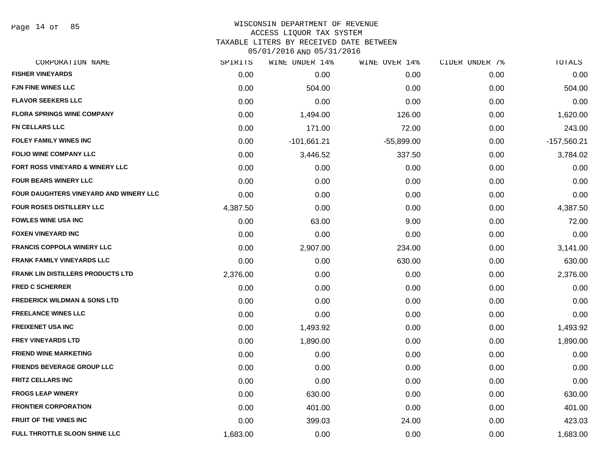Page 14 of 85

#### WISCONSIN DEPARTMENT OF REVENUE ACCESS LIQUOR TAX SYSTEM

TAXABLE LITERS BY RECEIVED DATE BETWEEN

| CORPORATION NAME                         | SPIRITS  | WINE UNDER 14% | WINE OVER 14% | CIDER UNDER 7% | TOTALS        |
|------------------------------------------|----------|----------------|---------------|----------------|---------------|
| <b>FISHER VINEYARDS</b>                  | 0.00     | 0.00           | 0.00          | 0.00           | 0.00          |
| <b>FJN FINE WINES LLC</b>                | 0.00     | 504.00         | 0.00          | 0.00           | 504.00        |
| <b>FLAVOR SEEKERS LLC</b>                | 0.00     | 0.00           | 0.00          | 0.00           | 0.00          |
| <b>FLORA SPRINGS WINE COMPANY</b>        | 0.00     | 1,494.00       | 126.00        | 0.00           | 1,620.00      |
| FN CELLARS LLC                           | 0.00     | 171.00         | 72.00         | 0.00           | 243.00        |
| <b>FOLEY FAMILY WINES INC</b>            | 0.00     | $-101,661.21$  | $-55,899.00$  | 0.00           | $-157,560.21$ |
| <b>FOLIO WINE COMPANY LLC</b>            | 0.00     | 3,446.52       | 337.50        | 0.00           | 3,784.02      |
| FORT ROSS VINEYARD & WINERY LLC          | 0.00     | 0.00           | 0.00          | 0.00           | 0.00          |
| <b>FOUR BEARS WINERY LLC</b>             | 0.00     | 0.00           | 0.00          | 0.00           | 0.00          |
| FOUR DAUGHTERS VINEYARD AND WINERY LLC   | 0.00     | 0.00           | 0.00          | 0.00           | 0.00          |
| FOUR ROSES DISTILLERY LLC                | 4,387.50 | 0.00           | 0.00          | 0.00           | 4,387.50      |
| <b>FOWLES WINE USA INC</b>               | 0.00     | 63.00          | 9.00          | 0.00           | 72.00         |
| <b>FOXEN VINEYARD INC</b>                | 0.00     | 0.00           | 0.00          | 0.00           | 0.00          |
| <b>FRANCIS COPPOLA WINERY LLC</b>        | 0.00     | 2,907.00       | 234.00        | 0.00           | 3,141.00      |
| <b>FRANK FAMILY VINEYARDS LLC</b>        | 0.00     | 0.00           | 630.00        | 0.00           | 630.00        |
| <b>FRANK LIN DISTILLERS PRODUCTS LTD</b> | 2,376.00 | 0.00           | 0.00          | 0.00           | 2,376.00      |
| <b>FRED C SCHERRER</b>                   | 0.00     | 0.00           | 0.00          | 0.00           | 0.00          |
| <b>FREDERICK WILDMAN &amp; SONS LTD</b>  | 0.00     | 0.00           | 0.00          | 0.00           | 0.00          |
| <b>FREELANCE WINES LLC</b>               | 0.00     | 0.00           | 0.00          | 0.00           | 0.00          |
| <b>FREIXENET USA INC</b>                 | 0.00     | 1,493.92       | 0.00          | 0.00           | 1,493.92      |
| <b>FREY VINEYARDS LTD</b>                | 0.00     | 1,890.00       | 0.00          | 0.00           | 1,890.00      |
| <b>FRIEND WINE MARKETING</b>             | 0.00     | 0.00           | 0.00          | 0.00           | 0.00          |
| <b>FRIENDS BEVERAGE GROUP LLC</b>        | 0.00     | 0.00           | 0.00          | 0.00           | 0.00          |
| <b>FRITZ CELLARS INC</b>                 | 0.00     | 0.00           | 0.00          | 0.00           | 0.00          |
| <b>FROGS LEAP WINERY</b>                 | 0.00     | 630.00         | 0.00          | 0.00           | 630.00        |
| <b>FRONTIER CORPORATION</b>              | 0.00     | 401.00         | 0.00          | 0.00           | 401.00        |
| <b>FRUIT OF THE VINES INC</b>            | 0.00     | 399.03         | 24.00         | 0.00           | 423.03        |
| FULL THROTTLE SLOON SHINE LLC            | 1,683.00 | 0.00           | 0.00          | 0.00           | 1,683.00      |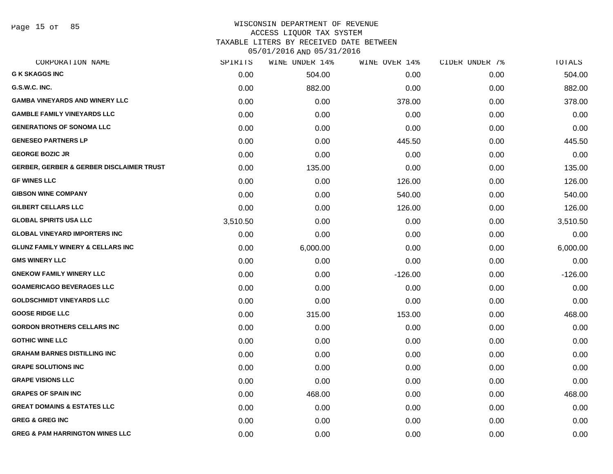Page 15 of 85

#### WISCONSIN DEPARTMENT OF REVENUE ACCESS LIQUOR TAX SYSTEM

TAXABLE LITERS BY RECEIVED DATE BETWEEN

| CORPORATION NAME                                    | SPIRITS  | WINE UNDER 14% | WINE OVER 14% | CIDER UNDER 7% | TOTALS    |
|-----------------------------------------------------|----------|----------------|---------------|----------------|-----------|
| <b>G K SKAGGS INC</b>                               | 0.00     | 504.00         | 0.00          | 0.00           | 504.00    |
| G.S.W.C. INC.                                       | 0.00     | 882.00         | 0.00          | 0.00           | 882.00    |
| <b>GAMBA VINEYARDS AND WINERY LLC</b>               | 0.00     | 0.00           | 378.00        | 0.00           | 378.00    |
| <b>GAMBLE FAMILY VINEYARDS LLC</b>                  | 0.00     | 0.00           | 0.00          | 0.00           | 0.00      |
| <b>GENERATIONS OF SONOMA LLC</b>                    | 0.00     | 0.00           | 0.00          | 0.00           | 0.00      |
| <b>GENESEO PARTNERS LP</b>                          | 0.00     | 0.00           | 445.50        | 0.00           | 445.50    |
| <b>GEORGE BOZIC JR</b>                              | 0.00     | 0.00           | 0.00          | 0.00           | 0.00      |
| <b>GERBER, GERBER &amp; GERBER DISCLAIMER TRUST</b> | 0.00     | 135.00         | 0.00          | 0.00           | 135.00    |
| <b>GF WINES LLC</b>                                 | 0.00     | 0.00           | 126.00        | 0.00           | 126.00    |
| <b>GIBSON WINE COMPANY</b>                          | 0.00     | 0.00           | 540.00        | 0.00           | 540.00    |
| <b>GILBERT CELLARS LLC</b>                          | 0.00     | 0.00           | 126.00        | 0.00           | 126.00    |
| <b>GLOBAL SPIRITS USA LLC</b>                       | 3,510.50 | 0.00           | 0.00          | 0.00           | 3,510.50  |
| <b>GLOBAL VINEYARD IMPORTERS INC</b>                | 0.00     | 0.00           | 0.00          | 0.00           | 0.00      |
| <b>GLUNZ FAMILY WINERY &amp; CELLARS INC</b>        | 0.00     | 6,000.00       | 0.00          | 0.00           | 6,000.00  |
| <b>GMS WINERY LLC</b>                               | 0.00     | 0.00           | 0.00          | 0.00           | 0.00      |
| <b>GNEKOW FAMILY WINERY LLC</b>                     | 0.00     | 0.00           | $-126.00$     | 0.00           | $-126.00$ |
| <b>GOAMERICAGO BEVERAGES LLC</b>                    | 0.00     | 0.00           | 0.00          | 0.00           | 0.00      |
| <b>GOLDSCHMIDT VINEYARDS LLC</b>                    | 0.00     | 0.00           | 0.00          | 0.00           | 0.00      |
| <b>GOOSE RIDGE LLC</b>                              | 0.00     | 315.00         | 153.00        | 0.00           | 468.00    |
| <b>GORDON BROTHERS CELLARS INC</b>                  | 0.00     | 0.00           | 0.00          | 0.00           | 0.00      |
| <b>GOTHIC WINE LLC</b>                              | 0.00     | 0.00           | 0.00          | 0.00           | 0.00      |
| <b>GRAHAM BARNES DISTILLING INC</b>                 | 0.00     | 0.00           | 0.00          | 0.00           | 0.00      |
| <b>GRAPE SOLUTIONS INC</b>                          | 0.00     | 0.00           | 0.00          | 0.00           | 0.00      |
| <b>GRAPE VISIONS LLC</b>                            | 0.00     | 0.00           | 0.00          | 0.00           | 0.00      |
| <b>GRAPES OF SPAIN INC</b>                          | 0.00     | 468.00         | 0.00          | 0.00           | 468.00    |
| <b>GREAT DOMAINS &amp; ESTATES LLC</b>              | 0.00     | 0.00           | 0.00          | 0.00           | 0.00      |
| <b>GREG &amp; GREG INC</b>                          | 0.00     | 0.00           | 0.00          | 0.00           | 0.00      |
| <b>GREG &amp; PAM HARRINGTON WINES LLC</b>          | 0.00     | 0.00           | 0.00          | 0.00           | 0.00      |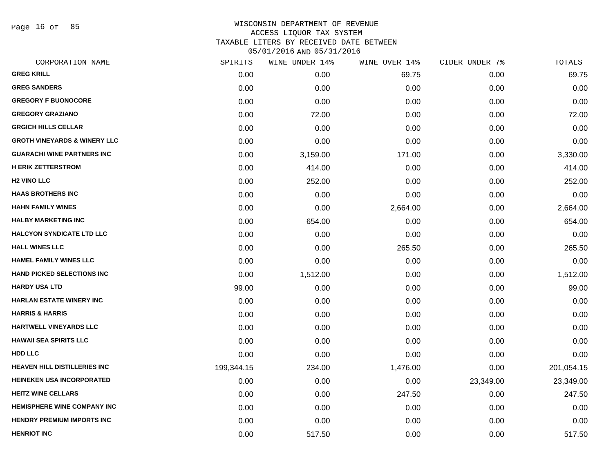Page 16 of 85

| SPIRITS    | WINE UNDER 14% | WINE OVER 14% | CIDER UNDER 7% | TOTALS     |
|------------|----------------|---------------|----------------|------------|
| 0.00       | 0.00           | 69.75         | 0.00           | 69.75      |
| 0.00       | 0.00           | 0.00          | 0.00           | 0.00       |
| 0.00       | 0.00           | 0.00          | 0.00           | 0.00       |
| 0.00       | 72.00          | 0.00          | 0.00           | 72.00      |
| 0.00       | 0.00           | 0.00          | 0.00           | 0.00       |
| 0.00       | 0.00           | 0.00          | 0.00           | 0.00       |
| 0.00       | 3,159.00       | 171.00        | 0.00           | 3,330.00   |
| 0.00       | 414.00         | 0.00          | 0.00           | 414.00     |
| 0.00       | 252.00         | 0.00          | 0.00           | 252.00     |
| 0.00       | 0.00           | 0.00          | 0.00           | 0.00       |
| 0.00       | 0.00           | 2,664.00      | 0.00           | 2,664.00   |
| 0.00       | 654.00         | 0.00          | 0.00           | 654.00     |
| 0.00       | 0.00           | 0.00          | 0.00           | 0.00       |
| 0.00       | 0.00           | 265.50        | 0.00           | 265.50     |
| 0.00       | 0.00           | 0.00          | 0.00           | 0.00       |
| 0.00       | 1,512.00       | 0.00          | 0.00           | 1,512.00   |
| 99.00      | 0.00           | 0.00          | 0.00           | 99.00      |
| 0.00       | 0.00           | 0.00          | 0.00           | 0.00       |
| 0.00       | 0.00           | 0.00          | 0.00           | 0.00       |
| 0.00       | 0.00           | 0.00          | 0.00           | 0.00       |
| 0.00       | 0.00           | 0.00          | 0.00           | 0.00       |
| 0.00       | 0.00           | 0.00          | 0.00           | 0.00       |
| 199,344.15 | 234.00         | 1,476.00      | 0.00           | 201,054.15 |
| 0.00       | 0.00           | 0.00          | 23,349.00      | 23,349.00  |
| 0.00       | 0.00           | 247.50        | 0.00           | 247.50     |
| 0.00       | 0.00           | 0.00          | 0.00           | 0.00       |
| 0.00       | 0.00           | 0.00          | 0.00           | 0.00       |
| 0.00       | 517.50         | 0.00          | 0.00           | 517.50     |
|            |                |               |                |            |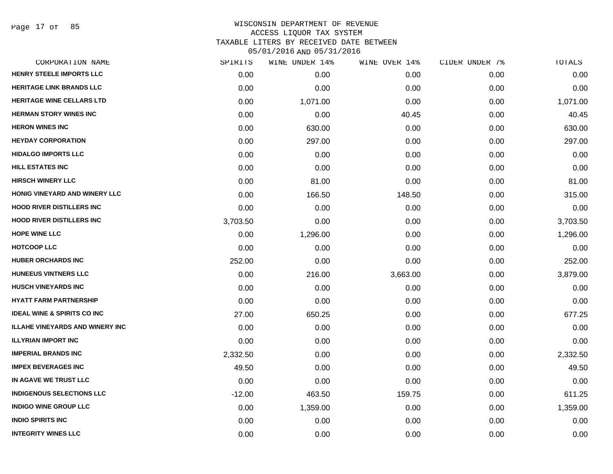Page 17 of 85

## WISCONSIN DEPARTMENT OF REVENUE ACCESS LIQUOR TAX SYSTEM TAXABLE LITERS BY RECEIVED DATE BETWEEN

| CORPORATION NAME                       | SPIRITS  | WINE UNDER 14% | WINE OVER 14% | CIDER UNDER 7% | TOTALS   |
|----------------------------------------|----------|----------------|---------------|----------------|----------|
| HENRY STEELE IMPORTS LLC               | 0.00     | 0.00           | 0.00          | 0.00           | 0.00     |
| <b>HERITAGE LINK BRANDS LLC</b>        | 0.00     | 0.00           | 0.00          | 0.00           | 0.00     |
| <b>HERITAGE WINE CELLARS LTD</b>       | 0.00     | 1,071.00       | 0.00          | 0.00           | 1,071.00 |
| <b>HERMAN STORY WINES INC</b>          | 0.00     | 0.00           | 40.45         | 0.00           | 40.45    |
| <b>HERON WINES INC</b>                 | 0.00     | 630.00         | 0.00          | 0.00           | 630.00   |
| <b>HEYDAY CORPORATION</b>              | 0.00     | 297.00         | 0.00          | 0.00           | 297.00   |
| <b>HIDALGO IMPORTS LLC</b>             | 0.00     | 0.00           | 0.00          | 0.00           | 0.00     |
| HILL ESTATES INC                       | 0.00     | 0.00           | 0.00          | 0.00           | 0.00     |
| <b>HIRSCH WINERY LLC</b>               | 0.00     | 81.00          | 0.00          | 0.00           | 81.00    |
| HONIG VINEYARD AND WINERY LLC          | 0.00     | 166.50         | 148.50        | 0.00           | 315.00   |
| <b>HOOD RIVER DISTILLERS INC</b>       | 0.00     | 0.00           | 0.00          | 0.00           | 0.00     |
| <b>HOOD RIVER DISTILLERS INC</b>       | 3,703.50 | 0.00           | 0.00          | 0.00           | 3,703.50 |
| <b>HOPE WINE LLC</b>                   | 0.00     | 1,296.00       | 0.00          | 0.00           | 1,296.00 |
| <b>HOTCOOP LLC</b>                     | 0.00     | 0.00           | 0.00          | 0.00           | 0.00     |
| <b>HUBER ORCHARDS INC</b>              | 252.00   | 0.00           | 0.00          | 0.00           | 252.00   |
| <b>HUNEEUS VINTNERS LLC</b>            | 0.00     | 216.00         | 3,663.00      | 0.00           | 3,879.00 |
| <b>HUSCH VINEYARDS INC</b>             | 0.00     | 0.00           | 0.00          | 0.00           | 0.00     |
| <b>HYATT FARM PARTNERSHIP</b>          | 0.00     | 0.00           | 0.00          | 0.00           | 0.00     |
| <b>IDEAL WINE &amp; SPIRITS CO INC</b> | 27.00    | 650.25         | 0.00          | 0.00           | 677.25   |
| <b>ILLAHE VINEYARDS AND WINERY INC</b> | 0.00     | 0.00           | 0.00          | 0.00           | 0.00     |
| <b>ILLYRIAN IMPORT INC</b>             | 0.00     | 0.00           | 0.00          | 0.00           | 0.00     |
| <b>IMPERIAL BRANDS INC</b>             | 2,332.50 | 0.00           | 0.00          | 0.00           | 2,332.50 |
| <b>IMPEX BEVERAGES INC</b>             | 49.50    | 0.00           | 0.00          | 0.00           | 49.50    |
| IN AGAVE WE TRUST LLC                  | 0.00     | 0.00           | 0.00          | 0.00           | 0.00     |
| <b>INDIGENOUS SELECTIONS LLC</b>       | $-12.00$ | 463.50         | 159.75        | 0.00           | 611.25   |
| <b>INDIGO WINE GROUP LLC</b>           | 0.00     | 1,359.00       | 0.00          | 0.00           | 1,359.00 |
| <b>INDIO SPIRITS INC</b>               | 0.00     | 0.00           | 0.00          | 0.00           | 0.00     |
| <b>INTEGRITY WINES LLC</b>             | 0.00     | 0.00           | 0.00          | 0.00           | 0.00     |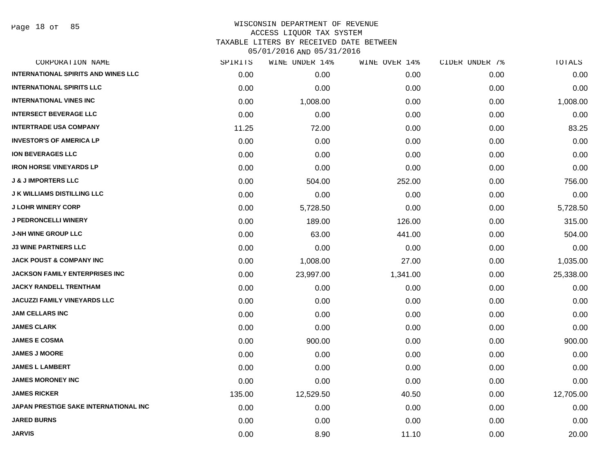Page 18 of 85

| CORPORATION NAME                             | SPIRITS | WINE UNDER 14% | WINE OVER 14% | CIDER UNDER 7% | TOTALS    |
|----------------------------------------------|---------|----------------|---------------|----------------|-----------|
| <b>INTERNATIONAL SPIRITS AND WINES LLC</b>   | 0.00    | 0.00           | 0.00          | 0.00           | 0.00      |
| <b>INTERNATIONAL SPIRITS LLC</b>             | 0.00    | 0.00           | 0.00          | 0.00           | 0.00      |
| <b>INTERNATIONAL VINES INC</b>               | 0.00    | 1,008.00       | 0.00          | 0.00           | 1,008.00  |
| <b>INTERSECT BEVERAGE LLC</b>                | 0.00    | 0.00           | 0.00          | 0.00           | 0.00      |
| <b>INTERTRADE USA COMPANY</b>                | 11.25   | 72.00          | 0.00          | 0.00           | 83.25     |
| <b>INVESTOR'S OF AMERICA LP</b>              | 0.00    | 0.00           | 0.00          | 0.00           | 0.00      |
| <b>ION BEVERAGES LLC</b>                     | 0.00    | 0.00           | 0.00          | 0.00           | 0.00      |
| <b>IRON HORSE VINEYARDS LP</b>               | 0.00    | 0.00           | 0.00          | 0.00           | 0.00      |
| <b>J &amp; J IMPORTERS LLC</b>               | 0.00    | 504.00         | 252.00        | 0.00           | 756.00    |
| <b>J K WILLIAMS DISTILLING LLC</b>           | 0.00    | 0.00           | 0.00          | 0.00           | 0.00      |
| <b>J LOHR WINERY CORP</b>                    | 0.00    | 5,728.50       | 0.00          | 0.00           | 5,728.50  |
| <b>J PEDRONCELLI WINERY</b>                  | 0.00    | 189.00         | 126.00        | 0.00           | 315.00    |
| <b>J-NH WINE GROUP LLC</b>                   | 0.00    | 63.00          | 441.00        | 0.00           | 504.00    |
| <b>J3 WINE PARTNERS LLC</b>                  | 0.00    | 0.00           | 0.00          | 0.00           | 0.00      |
| <b>JACK POUST &amp; COMPANY INC</b>          | 0.00    | 1,008.00       | 27.00         | 0.00           | 1,035.00  |
| <b>JACKSON FAMILY ENTERPRISES INC</b>        | 0.00    | 23,997.00      | 1,341.00      | 0.00           | 25,338.00 |
| <b>JACKY RANDELL TRENTHAM</b>                | 0.00    | 0.00           | 0.00          | 0.00           | 0.00      |
| <b>JACUZZI FAMILY VINEYARDS LLC</b>          | 0.00    | 0.00           | 0.00          | 0.00           | 0.00      |
| <b>JAM CELLARS INC</b>                       | 0.00    | 0.00           | 0.00          | 0.00           | 0.00      |
| <b>JAMES CLARK</b>                           | 0.00    | 0.00           | 0.00          | 0.00           | 0.00      |
| <b>JAMES E COSMA</b>                         | 0.00    | 900.00         | 0.00          | 0.00           | 900.00    |
| <b>JAMES J MOORE</b>                         | 0.00    | 0.00           | 0.00          | 0.00           | 0.00      |
| <b>JAMES L LAMBERT</b>                       | 0.00    | 0.00           | 0.00          | 0.00           | 0.00      |
| <b>JAMES MORONEY INC</b>                     | 0.00    | 0.00           | 0.00          | 0.00           | 0.00      |
| <b>JAMES RICKER</b>                          | 135.00  | 12,529.50      | 40.50         | 0.00           | 12,705.00 |
| <b>JAPAN PRESTIGE SAKE INTERNATIONAL INC</b> | 0.00    | 0.00           | 0.00          | 0.00           | 0.00      |
| <b>JARED BURNS</b>                           | 0.00    | 0.00           | 0.00          | 0.00           | 0.00      |
| <b>JARVIS</b>                                | 0.00    | 8.90           | 11.10         | 0.00           | 20.00     |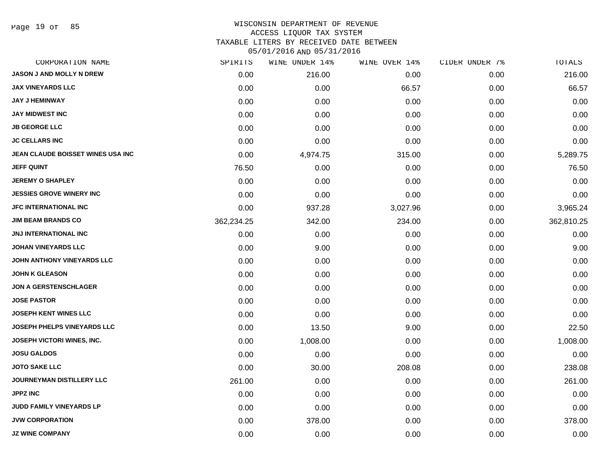#### WISCONSIN DEPARTMENT OF REVENUE ACCESS LIQUOR TAX SYSTEM

TAXABLE LITERS BY RECEIVED DATE BETWEEN

| CORPORATION NAME                   | SPIRITS    | WINE UNDER 14% | WINE OVER 14% | CIDER UNDER 7% | TOTALS     |
|------------------------------------|------------|----------------|---------------|----------------|------------|
| <b>JASON J AND MOLLY N DREW</b>    | 0.00       | 216.00         | 0.00          | 0.00           | 216.00     |
| <b>JAX VINEYARDS LLC</b>           | 0.00       | 0.00           | 66.57         | 0.00           | 66.57      |
| <b>JAY J HEMINWAY</b>              | 0.00       | 0.00           | 0.00          | 0.00           | 0.00       |
| <b>JAY MIDWEST INC</b>             | 0.00       | 0.00           | 0.00          | 0.00           | 0.00       |
| <b>JB GEORGE LLC</b>               | 0.00       | 0.00           | 0.00          | 0.00           | 0.00       |
| <b>JC CELLARS INC</b>              | 0.00       | 0.00           | 0.00          | 0.00           | 0.00       |
| JEAN CLAUDE BOISSET WINES USA INC  | 0.00       | 4,974.75       | 315.00        | 0.00           | 5,289.75   |
| <b>JEFF QUINT</b>                  | 76.50      | 0.00           | 0.00          | 0.00           | 76.50      |
| <b>JEREMY O SHAPLEY</b>            | 0.00       | 0.00           | 0.00          | 0.00           | 0.00       |
| <b>JESSIES GROVE WINERY INC</b>    | 0.00       | 0.00           | 0.00          | 0.00           | 0.00       |
| <b>JFC INTERNATIONAL INC</b>       | 0.00       | 937.28         | 3,027.96      | 0.00           | 3,965.24   |
| <b>JIM BEAM BRANDS CO</b>          | 362,234.25 | 342.00         | 234.00        | 0.00           | 362,810.25 |
| <b>JNJ INTERNATIONAL INC</b>       | 0.00       | 0.00           | 0.00          | 0.00           | 0.00       |
| <b>JOHAN VINEYARDS LLC</b>         | 0.00       | 9.00           | 0.00          | 0.00           | 9.00       |
| JOHN ANTHONY VINEYARDS LLC         | 0.00       | 0.00           | 0.00          | 0.00           | 0.00       |
| <b>JOHN K GLEASON</b>              | 0.00       | 0.00           | 0.00          | 0.00           | 0.00       |
| <b>JON A GERSTENSCHLAGER</b>       | 0.00       | 0.00           | 0.00          | 0.00           | 0.00       |
| <b>JOSE PASTOR</b>                 | 0.00       | 0.00           | 0.00          | 0.00           | 0.00       |
| <b>JOSEPH KENT WINES LLC</b>       | 0.00       | 0.00           | 0.00          | 0.00           | 0.00       |
| <b>JOSEPH PHELPS VINEYARDS LLC</b> | 0.00       | 13.50          | 9.00          | 0.00           | 22.50      |
| JOSEPH VICTORI WINES, INC.         | 0.00       | 1,008.00       | 0.00          | 0.00           | 1,008.00   |
| <b>JOSU GALDOS</b>                 | 0.00       | 0.00           | 0.00          | 0.00           | 0.00       |
| <b>JOTO SAKE LLC</b>               | 0.00       | 30.00          | 208.08        | 0.00           | 238.08     |
| <b>JOURNEYMAN DISTILLERY LLC</b>   | 261.00     | 0.00           | 0.00          | 0.00           | 261.00     |
| <b>JPPZ INC</b>                    | 0.00       | 0.00           | 0.00          | 0.00           | 0.00       |
| JUDD FAMILY VINEYARDS LP           | 0.00       | 0.00           | 0.00          | 0.00           | 0.00       |
| <b>JVW CORPORATION</b>             | 0.00       | 378.00         | 0.00          | 0.00           | 378.00     |
| <b>JZ WINE COMPANY</b>             | 0.00       | 0.00           | 0.00          | 0.00           | 0.00       |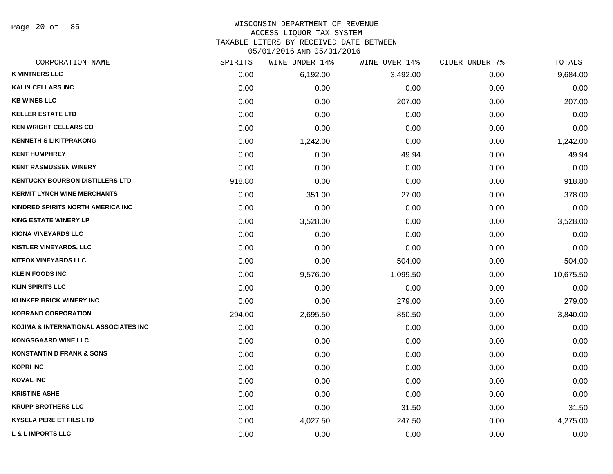Page 20 of 85

#### WISCONSIN DEPARTMENT OF REVENUE ACCESS LIQUOR TAX SYSTEM TAXABLE LITERS BY RECEIVED DATE BETWEEN

| CORPORATION NAME                       | SPIRITS | WINE UNDER 14% | WINE OVER 14% | CIDER UNDER 7% | <b>TOTALS</b> |
|----------------------------------------|---------|----------------|---------------|----------------|---------------|
| <b>K VINTNERS LLC</b>                  | 0.00    | 6,192.00       | 3,492.00      | 0.00           | 9,684.00      |
| <b>KALIN CELLARS INC</b>               | 0.00    | 0.00           | 0.00          | 0.00           | 0.00          |
| <b>KB WINES LLC</b>                    | 0.00    | 0.00           | 207.00        | 0.00           | 207.00        |
| <b>KELLER ESTATE LTD</b>               | 0.00    | 0.00           | 0.00          | 0.00           | 0.00          |
| <b>KEN WRIGHT CELLARS CO</b>           | 0.00    | 0.00           | 0.00          | 0.00           | 0.00          |
| <b>KENNETH S LIKITPRAKONG</b>          | 0.00    | 1,242.00       | 0.00          | 0.00           | 1,242.00      |
| <b>KENT HUMPHREY</b>                   | 0.00    | 0.00           | 49.94         | 0.00           | 49.94         |
| <b>KENT RASMUSSEN WINERY</b>           | 0.00    | 0.00           | 0.00          | 0.00           | 0.00          |
| <b>KENTUCKY BOURBON DISTILLERS LTD</b> | 918.80  | 0.00           | 0.00          | 0.00           | 918.80        |
| <b>KERMIT LYNCH WINE MERCHANTS</b>     | 0.00    | 351.00         | 27.00         | 0.00           | 378.00        |
| KINDRED SPIRITS NORTH AMERICA INC      | 0.00    | 0.00           | 0.00          | 0.00           | 0.00          |
| <b>KING ESTATE WINERY LP</b>           | 0.00    | 3,528.00       | 0.00          | 0.00           | 3,528.00      |
| <b>KIONA VINEYARDS LLC</b>             | 0.00    | 0.00           | 0.00          | 0.00           | 0.00          |
| <b>KISTLER VINEYARDS, LLC</b>          | 0.00    | 0.00           | 0.00          | 0.00           | 0.00          |
| <b>KITFOX VINEYARDS LLC</b>            | 0.00    | 0.00           | 504.00        | 0.00           | 504.00        |
| <b>KLEIN FOODS INC</b>                 | 0.00    | 9,576.00       | 1,099.50      | 0.00           | 10,675.50     |
| <b>KLIN SPIRITS LLC</b>                | 0.00    | 0.00           | 0.00          | 0.00           | 0.00          |
| <b>KLINKER BRICK WINERY INC</b>        | 0.00    | 0.00           | 279.00        | 0.00           | 279.00        |
| <b>KOBRAND CORPORATION</b>             | 294.00  | 2,695.50       | 850.50        | 0.00           | 3,840.00      |
| KOJIMA & INTERNATIONAL ASSOCIATES INC  | 0.00    | 0.00           | 0.00          | 0.00           | 0.00          |
| <b>KONGSGAARD WINE LLC</b>             | 0.00    | 0.00           | 0.00          | 0.00           | 0.00          |
| <b>KONSTANTIN D FRANK &amp; SONS</b>   | 0.00    | 0.00           | 0.00          | 0.00           | 0.00          |
| <b>KOPRI INC</b>                       | 0.00    | 0.00           | 0.00          | 0.00           | 0.00          |
| <b>KOVAL INC</b>                       | 0.00    | 0.00           | 0.00          | 0.00           | 0.00          |
| <b>KRISTINE ASHE</b>                   | 0.00    | 0.00           | 0.00          | 0.00           | 0.00          |
| <b>KRUPP BROTHERS LLC</b>              | 0.00    | 0.00           | 31.50         | 0.00           | 31.50         |
| <b>KYSELA PERE ET FILS LTD</b>         | 0.00    | 4,027.50       | 247.50        | 0.00           | 4,275.00      |
| <b>L &amp; L IMPORTS LLC</b>           | 0.00    | 0.00           | 0.00          | 0.00           | 0.00          |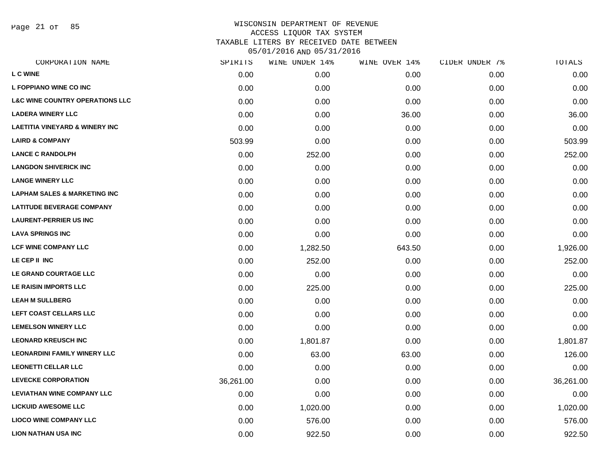Page 21 of 85

| SPIRITS   | WINE UNDER 14% | WINE OVER 14% | CIDER UNDER 7% | TOTALS    |
|-----------|----------------|---------------|----------------|-----------|
| 0.00      | 0.00           | 0.00          | 0.00           | 0.00      |
| 0.00      | 0.00           | 0.00          | 0.00           | 0.00      |
| 0.00      | 0.00           | 0.00          | 0.00           | 0.00      |
| 0.00      | 0.00           | 36.00         | 0.00           | 36.00     |
| 0.00      | 0.00           | 0.00          | 0.00           | 0.00      |
| 503.99    | 0.00           | 0.00          | 0.00           | 503.99    |
| 0.00      | 252.00         | 0.00          | 0.00           | 252.00    |
| 0.00      | 0.00           | 0.00          | 0.00           | 0.00      |
| 0.00      | 0.00           | 0.00          | 0.00           | 0.00      |
| 0.00      | 0.00           | 0.00          | 0.00           | 0.00      |
| 0.00      | 0.00           | 0.00          | 0.00           | 0.00      |
| 0.00      | 0.00           | 0.00          | 0.00           | 0.00      |
| 0.00      | 0.00           | 0.00          | 0.00           | 0.00      |
| 0.00      | 1,282.50       | 643.50        | 0.00           | 1,926.00  |
| 0.00      | 252.00         | 0.00          | 0.00           | 252.00    |
| 0.00      | 0.00           | 0.00          | 0.00           | 0.00      |
| 0.00      | 225.00         | 0.00          | 0.00           | 225.00    |
| 0.00      | 0.00           | 0.00          | 0.00           | 0.00      |
| 0.00      | 0.00           | 0.00          | 0.00           | 0.00      |
| 0.00      | 0.00           | 0.00          | 0.00           | 0.00      |
| 0.00      | 1,801.87       | 0.00          | 0.00           | 1,801.87  |
| 0.00      | 63.00          | 63.00         | 0.00           | 126.00    |
| 0.00      | 0.00           | 0.00          | 0.00           | 0.00      |
| 36,261.00 | 0.00           | 0.00          | 0.00           | 36,261.00 |
| 0.00      | 0.00           | 0.00          | 0.00           | 0.00      |
| 0.00      | 1,020.00       | 0.00          | 0.00           | 1,020.00  |
| 0.00      | 576.00         | 0.00          | 0.00           | 576.00    |
| 0.00      | 922.50         | 0.00          | 0.00           | 922.50    |
|           |                |               |                |           |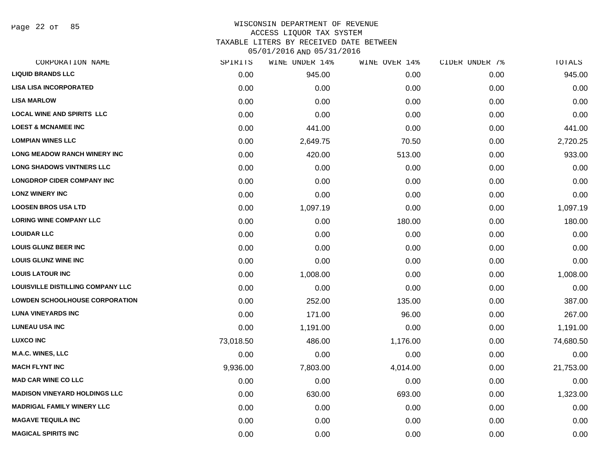Page 22 of 85

# WISCONSIN DEPARTMENT OF REVENUE ACCESS LIQUOR TAX SYSTEM

TAXABLE LITERS BY RECEIVED DATE BETWEEN

| CORPORATION NAME                         | SPIRITS   | WINE UNDER 14% | WINE OVER 14% | CIDER UNDER 7% | TOTALS    |
|------------------------------------------|-----------|----------------|---------------|----------------|-----------|
| <b>LIQUID BRANDS LLC</b>                 | 0.00      | 945.00         | 0.00          | 0.00           | 945.00    |
| <b>LISA LISA INCORPORATED</b>            | 0.00      | 0.00           | 0.00          | 0.00           | 0.00      |
| <b>LISA MARLOW</b>                       | 0.00      | 0.00           | 0.00          | 0.00           | 0.00      |
| <b>LOCAL WINE AND SPIRITS LLC</b>        | 0.00      | 0.00           | 0.00          | 0.00           | 0.00      |
| <b>LOEST &amp; MCNAMEE INC</b>           | 0.00      | 441.00         | 0.00          | 0.00           | 441.00    |
| <b>LOMPIAN WINES LLC</b>                 | 0.00      | 2,649.75       | 70.50         | 0.00           | 2,720.25  |
| LONG MEADOW RANCH WINERY INC             | 0.00      | 420.00         | 513.00        | 0.00           | 933.00    |
| <b>LONG SHADOWS VINTNERS LLC</b>         | 0.00      | 0.00           | 0.00          | 0.00           | 0.00      |
| <b>LONGDROP CIDER COMPANY INC</b>        | 0.00      | 0.00           | 0.00          | 0.00           | 0.00      |
| <b>LONZ WINERY INC</b>                   | 0.00      | 0.00           | 0.00          | 0.00           | 0.00      |
| <b>LOOSEN BROS USA LTD</b>               | 0.00      | 1,097.19       | 0.00          | 0.00           | 1,097.19  |
| <b>LORING WINE COMPANY LLC</b>           | 0.00      | 0.00           | 180.00        | 0.00           | 180.00    |
| <b>LOUIDAR LLC</b>                       | 0.00      | 0.00           | 0.00          | 0.00           | 0.00      |
| <b>LOUIS GLUNZ BEER INC</b>              | 0.00      | 0.00           | 0.00          | 0.00           | 0.00      |
| <b>LOUIS GLUNZ WINE INC</b>              | 0.00      | 0.00           | 0.00          | 0.00           | 0.00      |
| <b>LOUIS LATOUR INC</b>                  | 0.00      | 1,008.00       | 0.00          | 0.00           | 1,008.00  |
| <b>LOUISVILLE DISTILLING COMPANY LLC</b> | 0.00      | 0.00           | 0.00          | 0.00           | 0.00      |
| <b>LOWDEN SCHOOLHOUSE CORPORATION</b>    | 0.00      | 252.00         | 135.00        | 0.00           | 387.00    |
| <b>LUNA VINEYARDS INC</b>                | 0.00      | 171.00         | 96.00         | 0.00           | 267.00    |
| <b>LUNEAU USA INC</b>                    | 0.00      | 1,191.00       | 0.00          | 0.00           | 1,191.00  |
| <b>LUXCO INC</b>                         | 73,018.50 | 486.00         | 1,176.00      | 0.00           | 74,680.50 |
| M.A.C. WINES, LLC                        | 0.00      | 0.00           | 0.00          | 0.00           | 0.00      |
| <b>MACH FLYNT INC</b>                    | 9,936.00  | 7,803.00       | 4,014.00      | 0.00           | 21,753.00 |
| <b>MAD CAR WINE CO LLC</b>               | 0.00      | 0.00           | 0.00          | 0.00           | 0.00      |
| <b>MADISON VINEYARD HOLDINGS LLC</b>     | 0.00      | 630.00         | 693.00        | 0.00           | 1,323.00  |
| <b>MADRIGAL FAMILY WINERY LLC</b>        | 0.00      | 0.00           | 0.00          | 0.00           | 0.00      |
| <b>MAGAVE TEQUILA INC</b>                | 0.00      | 0.00           | 0.00          | 0.00           | 0.00      |
| <b>MAGICAL SPIRITS INC</b>               | 0.00      | 0.00           | 0.00          | 0.00           | 0.00      |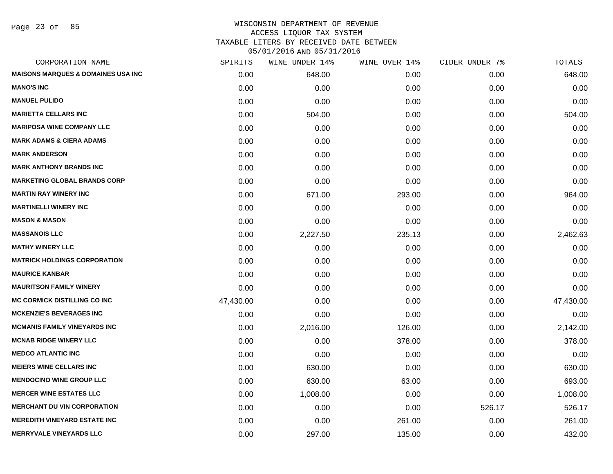Page 23 of 85

# WISCONSIN DEPARTMENT OF REVENUE ACCESS LIQUOR TAX SYSTEM TAXABLE LITERS BY RECEIVED DATE BETWEEN

| CORPORATION NAME                              | SPIRITS   | WINE UNDER 14% | WINE OVER 14% | CIDER UNDER 7% | TOTALS    |
|-----------------------------------------------|-----------|----------------|---------------|----------------|-----------|
| <b>MAISONS MARQUES &amp; DOMAINES USA INC</b> | 0.00      | 648.00         | 0.00          | 0.00           | 648.00    |
| <b>MANO'S INC</b>                             | 0.00      | 0.00           | 0.00          | 0.00           | 0.00      |
| <b>MANUEL PULIDO</b>                          | 0.00      | 0.00           | 0.00          | 0.00           | 0.00      |
| <b>MARIETTA CELLARS INC</b>                   | 0.00      | 504.00         | 0.00          | 0.00           | 504.00    |
| <b>MARIPOSA WINE COMPANY LLC</b>              | 0.00      | 0.00           | 0.00          | 0.00           | 0.00      |
| <b>MARK ADAMS &amp; CIERA ADAMS</b>           | 0.00      | 0.00           | 0.00          | 0.00           | 0.00      |
| <b>MARK ANDERSON</b>                          | 0.00      | 0.00           | 0.00          | 0.00           | 0.00      |
| <b>MARK ANTHONY BRANDS INC</b>                | 0.00      | 0.00           | 0.00          | 0.00           | 0.00      |
| <b>MARKETING GLOBAL BRANDS CORP</b>           | 0.00      | 0.00           | 0.00          | 0.00           | 0.00      |
| <b>MARTIN RAY WINERY INC</b>                  | 0.00      | 671.00         | 293.00        | 0.00           | 964.00    |
| <b>MARTINELLI WINERY INC</b>                  | 0.00      | 0.00           | 0.00          | 0.00           | 0.00      |
| <b>MASON &amp; MASON</b>                      | 0.00      | 0.00           | 0.00          | 0.00           | 0.00      |
| <b>MASSANOIS LLC</b>                          | 0.00      | 2,227.50       | 235.13        | 0.00           | 2,462.63  |
| <b>MATHY WINERY LLC</b>                       | 0.00      | 0.00           | 0.00          | 0.00           | 0.00      |
| <b>MATRICK HOLDINGS CORPORATION</b>           | 0.00      | 0.00           | 0.00          | 0.00           | 0.00      |
| <b>MAURICE KANBAR</b>                         | 0.00      | 0.00           | 0.00          | 0.00           | 0.00      |
| <b>MAURITSON FAMILY WINERY</b>                | 0.00      | 0.00           | 0.00          | 0.00           | 0.00      |
| <b>MC CORMICK DISTILLING CO INC</b>           | 47,430.00 | 0.00           | 0.00          | 0.00           | 47,430.00 |
| <b>MCKENZIE'S BEVERAGES INC</b>               | 0.00      | 0.00           | 0.00          | 0.00           | 0.00      |
| <b>MCMANIS FAMILY VINEYARDS INC</b>           | 0.00      | 2,016.00       | 126.00        | 0.00           | 2,142.00  |
| <b>MCNAB RIDGE WINERY LLC</b>                 | 0.00      | 0.00           | 378.00        | 0.00           | 378.00    |
| <b>MEDCO ATLANTIC INC</b>                     | 0.00      | 0.00           | 0.00          | 0.00           | 0.00      |
| <b>MEIERS WINE CELLARS INC</b>                | 0.00      | 630.00         | 0.00          | 0.00           | 630.00    |
| <b>MENDOCINO WINE GROUP LLC</b>               | 0.00      | 630.00         | 63.00         | 0.00           | 693.00    |
| <b>MERCER WINE ESTATES LLC</b>                | 0.00      | 1,008.00       | 0.00          | 0.00           | 1,008.00  |
| <b>MERCHANT DU VIN CORPORATION</b>            | 0.00      | 0.00           | 0.00          | 526.17         | 526.17    |
| <b>MEREDITH VINEYARD ESTATE INC</b>           | 0.00      | 0.00           | 261.00        | 0.00           | 261.00    |
| <b>MERRYVALE VINEYARDS LLC</b>                | 0.00      | 297.00         | 135.00        | 0.00           | 432.00    |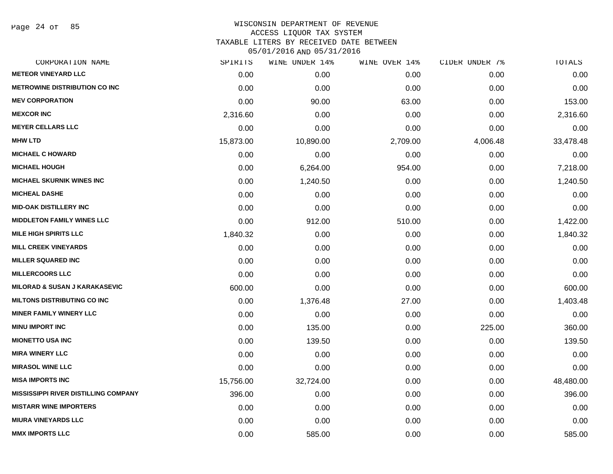Page 24 of 85

| CORPORATION NAME                            | SPIRITS   | WINE UNDER 14% | WINE OVER 14% | CIDER UNDER 7% | TOTALS    |
|---------------------------------------------|-----------|----------------|---------------|----------------|-----------|
| <b>METEOR VINEYARD LLC</b>                  | 0.00      | 0.00           | 0.00          | 0.00           | 0.00      |
| <b>METROWINE DISTRIBUTION CO INC</b>        | 0.00      | 0.00           | 0.00          | 0.00           | 0.00      |
| <b>MEV CORPORATION</b>                      | 0.00      | 90.00          | 63.00         | 0.00           | 153.00    |
| <b>MEXCOR INC</b>                           | 2,316.60  | 0.00           | 0.00          | 0.00           | 2,316.60  |
| <b>MEYER CELLARS LLC</b>                    | 0.00      | 0.00           | 0.00          | 0.00           | 0.00      |
| <b>MHW LTD</b>                              | 15,873.00 | 10,890.00      | 2,709.00      | 4,006.48       | 33,478.48 |
| <b>MICHAEL C HOWARD</b>                     | 0.00      | 0.00           | 0.00          | 0.00           | 0.00      |
| <b>MICHAEL HOUGH</b>                        | 0.00      | 6,264.00       | 954.00        | 0.00           | 7,218.00  |
| <b>MICHAEL SKURNIK WINES INC</b>            | 0.00      | 1,240.50       | 0.00          | 0.00           | 1,240.50  |
| <b>MICHEAL DASHE</b>                        | 0.00      | 0.00           | 0.00          | 0.00           | 0.00      |
| <b>MID-OAK DISTILLERY INC</b>               | 0.00      | 0.00           | 0.00          | 0.00           | 0.00      |
| <b>MIDDLETON FAMILY WINES LLC</b>           | 0.00      | 912.00         | 510.00        | 0.00           | 1,422.00  |
| <b>MILE HIGH SPIRITS LLC</b>                | 1,840.32  | 0.00           | 0.00          | 0.00           | 1,840.32  |
| <b>MILL CREEK VINEYARDS</b>                 | 0.00      | 0.00           | 0.00          | 0.00           | 0.00      |
| <b>MILLER SQUARED INC</b>                   | 0.00      | 0.00           | 0.00          | 0.00           | 0.00      |
| <b>MILLERCOORS LLC</b>                      | 0.00      | 0.00           | 0.00          | 0.00           | 0.00      |
| <b>MILORAD &amp; SUSAN J KARAKASEVIC</b>    | 600.00    | 0.00           | 0.00          | 0.00           | 600.00    |
| <b>MILTONS DISTRIBUTING CO INC</b>          | 0.00      | 1,376.48       | 27.00         | 0.00           | 1,403.48  |
| <b>MINER FAMILY WINERY LLC</b>              | 0.00      | 0.00           | 0.00          | 0.00           | 0.00      |
| <b>MINU IMPORT INC</b>                      | 0.00      | 135.00         | 0.00          | 225.00         | 360.00    |
| <b>MIONETTO USA INC</b>                     | 0.00      | 139.50         | 0.00          | 0.00           | 139.50    |
| <b>MIRA WINERY LLC</b>                      | 0.00      | 0.00           | 0.00          | 0.00           | 0.00      |
| <b>MIRASOL WINE LLC</b>                     | 0.00      | 0.00           | 0.00          | 0.00           | 0.00      |
| <b>MISA IMPORTS INC</b>                     | 15,756.00 | 32,724.00      | 0.00          | 0.00           | 48,480.00 |
| <b>MISSISSIPPI RIVER DISTILLING COMPANY</b> | 396.00    | 0.00           | 0.00          | 0.00           | 396.00    |
| <b>MISTARR WINE IMPORTERS</b>               | 0.00      | 0.00           | 0.00          | 0.00           | 0.00      |
| <b>MIURA VINEYARDS LLC</b>                  | 0.00      | 0.00           | 0.00          | 0.00           | 0.00      |
| <b>MMX IMPORTS LLC</b>                      | 0.00      | 585.00         | 0.00          | 0.00           | 585.00    |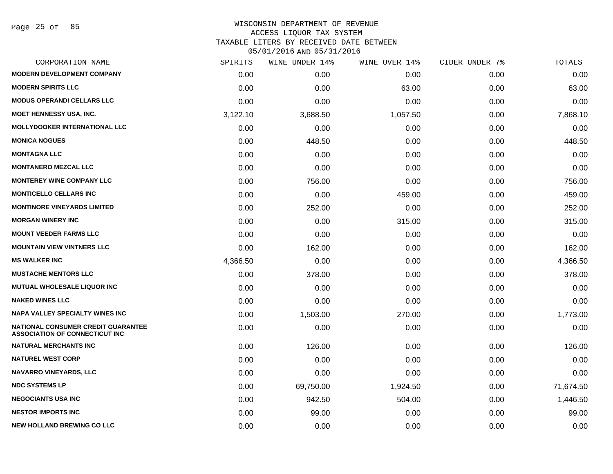| CORPORATION NAME                                                                   | SPIRITS  | WINE UNDER 14% | WINE OVER 14% | CIDER UNDER 7% | TOTALS    |
|------------------------------------------------------------------------------------|----------|----------------|---------------|----------------|-----------|
| <b>MODERN DEVELOPMENT COMPANY</b>                                                  | 0.00     | 0.00           | 0.00          | 0.00           | 0.00      |
| <b>MODERN SPIRITS LLC</b>                                                          | 0.00     | 0.00           | 63.00         | 0.00           | 63.00     |
| <b>MODUS OPERANDI CELLARS LLC</b>                                                  | 0.00     | 0.00           | 0.00          | 0.00           | 0.00      |
| <b>MOET HENNESSY USA, INC.</b>                                                     | 3,122.10 | 3,688.50       | 1,057.50      | 0.00           | 7,868.10  |
| <b>MOLLYDOOKER INTERNATIONAL LLC</b>                                               | 0.00     | 0.00           | 0.00          | 0.00           | 0.00      |
| <b>MONICA NOGUES</b>                                                               | 0.00     | 448.50         | 0.00          | 0.00           | 448.50    |
| <b>MONTAGNA LLC</b>                                                                | 0.00     | 0.00           | 0.00          | 0.00           | 0.00      |
| <b>MONTANERO MEZCAL LLC</b>                                                        | 0.00     | 0.00           | 0.00          | 0.00           | 0.00      |
| <b>MONTEREY WINE COMPANY LLC</b>                                                   | 0.00     | 756.00         | 0.00          | 0.00           | 756.00    |
| <b>MONTICELLO CELLARS INC</b>                                                      | 0.00     | 0.00           | 459.00        | 0.00           | 459.00    |
| <b>MONTINORE VINEYARDS LIMITED</b>                                                 | 0.00     | 252.00         | 0.00          | 0.00           | 252.00    |
| <b>MORGAN WINERY INC</b>                                                           | 0.00     | 0.00           | 315.00        | 0.00           | 315.00    |
| <b>MOUNT VEEDER FARMS LLC</b>                                                      | 0.00     | 0.00           | 0.00          | 0.00           | 0.00      |
| <b>MOUNTAIN VIEW VINTNERS LLC</b>                                                  | 0.00     | 162.00         | 0.00          | 0.00           | 162.00    |
| <b>MS WALKER INC</b>                                                               | 4,366.50 | 0.00           | 0.00          | 0.00           | 4,366.50  |
| <b>MUSTACHE MENTORS LLC</b>                                                        | 0.00     | 378.00         | 0.00          | 0.00           | 378.00    |
| <b>MUTUAL WHOLESALE LIQUOR INC</b>                                                 | 0.00     | 0.00           | 0.00          | 0.00           | 0.00      |
| <b>NAKED WINES LLC</b>                                                             | 0.00     | 0.00           | 0.00          | 0.00           | 0.00      |
| <b>NAPA VALLEY SPECIALTY WINES INC</b>                                             | 0.00     | 1,503.00       | 270.00        | 0.00           | 1,773.00  |
| <b>NATIONAL CONSUMER CREDIT GUARANTEE</b><br><b>ASSOCIATION OF CONNECTICUT INC</b> | 0.00     | 0.00           | 0.00          | 0.00           | 0.00      |
| <b>NATURAL MERCHANTS INC</b>                                                       | 0.00     | 126.00         | 0.00          | 0.00           | 126.00    |
| <b>NATUREL WEST CORP</b>                                                           | 0.00     | 0.00           | 0.00          | 0.00           | 0.00      |
| <b>NAVARRO VINEYARDS, LLC</b>                                                      | 0.00     | 0.00           | 0.00          | 0.00           | 0.00      |
| <b>NDC SYSTEMS LP</b>                                                              | 0.00     | 69,750.00      | 1,924.50      | 0.00           | 71,674.50 |
| <b>NEGOCIANTS USA INC</b>                                                          | 0.00     | 942.50         | 504.00        | 0.00           | 1,446.50  |
| <b>NESTOR IMPORTS INC</b>                                                          | 0.00     | 99.00          | 0.00          | 0.00           | 99.00     |
| <b>NEW HOLLAND BREWING CO LLC</b>                                                  | 0.00     | 0.00           | 0.00          | 0.00           | 0.00      |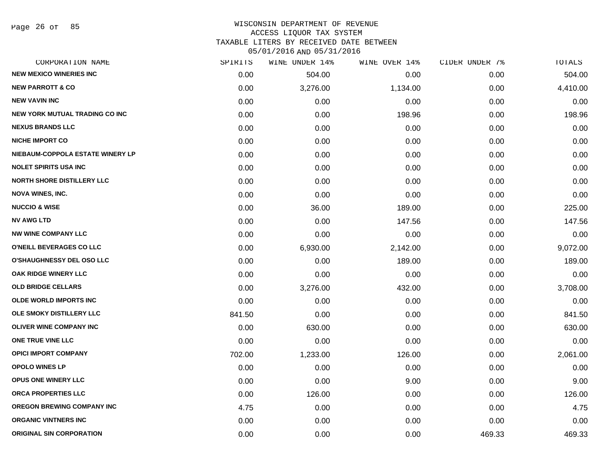### WISCONSIN DEPARTMENT OF REVENUE ACCESS LIQUOR TAX SYSTEM TAXABLE LITERS BY RECEIVED DATE BETWEEN

| CORPORATION NAME                      | SPIRITS | WINE UNDER 14% | WINE OVER 14% | CIDER UNDER 7% | TOTALS   |
|---------------------------------------|---------|----------------|---------------|----------------|----------|
| <b>NEW MEXICO WINERIES INC</b>        | 0.00    | 504.00         | 0.00          | 0.00           | 504.00   |
| <b>NEW PARROTT &amp; CO</b>           | 0.00    | 3,276.00       | 1,134.00      | 0.00           | 4,410.00 |
| <b>NEW VAVIN INC</b>                  | 0.00    | 0.00           | 0.00          | 0.00           | 0.00     |
| <b>NEW YORK MUTUAL TRADING CO INC</b> | 0.00    | 0.00           | 198.96        | 0.00           | 198.96   |
| <b>NEXUS BRANDS LLC</b>               | 0.00    | 0.00           | 0.00          | 0.00           | 0.00     |
| <b>NICHE IMPORT CO</b>                | 0.00    | 0.00           | 0.00          | 0.00           | 0.00     |
| NIEBAUM-COPPOLA ESTATE WINERY LP      | 0.00    | 0.00           | 0.00          | 0.00           | 0.00     |
| <b>NOLET SPIRITS USA INC</b>          | 0.00    | 0.00           | 0.00          | 0.00           | 0.00     |
| <b>NORTH SHORE DISTILLERY LLC</b>     | 0.00    | 0.00           | 0.00          | 0.00           | 0.00     |
| <b>NOVA WINES, INC.</b>               | 0.00    | 0.00           | 0.00          | 0.00           | 0.00     |
| <b>NUCCIO &amp; WISE</b>              | 0.00    | 36.00          | 189.00        | 0.00           | 225.00   |
| <b>NV AWG LTD</b>                     | 0.00    | 0.00           | 147.56        | 0.00           | 147.56   |
| <b>NW WINE COMPANY LLC</b>            | 0.00    | 0.00           | 0.00          | 0.00           | 0.00     |
| O'NEILL BEVERAGES CO LLC              | 0.00    | 6,930.00       | 2,142.00      | 0.00           | 9,072.00 |
| <b>O'SHAUGHNESSY DEL OSO LLC</b>      | 0.00    | 0.00           | 189.00        | 0.00           | 189.00   |
| <b>OAK RIDGE WINERY LLC</b>           | 0.00    | 0.00           | 0.00          | 0.00           | 0.00     |
| <b>OLD BRIDGE CELLARS</b>             | 0.00    | 3,276.00       | 432.00        | 0.00           | 3,708.00 |
| <b>OLDE WORLD IMPORTS INC</b>         | 0.00    | 0.00           | 0.00          | 0.00           | 0.00     |
| OLE SMOKY DISTILLERY LLC              | 841.50  | 0.00           | 0.00          | 0.00           | 841.50   |
| OLIVER WINE COMPANY INC               | 0.00    | 630.00         | 0.00          | 0.00           | 630.00   |
| ONE TRUE VINE LLC                     | 0.00    | 0.00           | 0.00          | 0.00           | 0.00     |
| <b>OPICI IMPORT COMPANY</b>           | 702.00  | 1,233.00       | 126.00        | 0.00           | 2,061.00 |
| <b>OPOLO WINES LP</b>                 | 0.00    | 0.00           | 0.00          | 0.00           | 0.00     |
| <b>OPUS ONE WINERY LLC</b>            | 0.00    | 0.00           | 9.00          | 0.00           | 9.00     |
| ORCA PROPERTIES LLC                   | 0.00    | 126.00         | 0.00          | 0.00           | 126.00   |
| <b>OREGON BREWING COMPANY INC</b>     | 4.75    | 0.00           | 0.00          | 0.00           | 4.75     |
| <b>ORGANIC VINTNERS INC</b>           | 0.00    | 0.00           | 0.00          | 0.00           | 0.00     |
| <b>ORIGINAL SIN CORPORATION</b>       | 0.00    | 0.00           | 0.00          | 469.33         | 469.33   |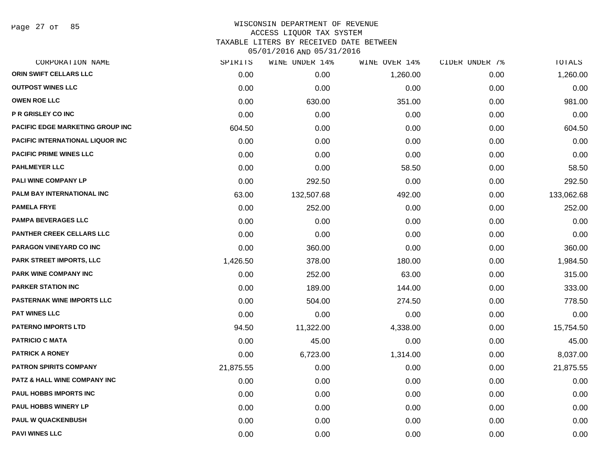Page 27 of 85

| CORPORATION NAME                  | SPIRITS   | WINE UNDER 14% | WINE OVER 14% | CIDER UNDER 7% | <b>TOTALS</b> |
|-----------------------------------|-----------|----------------|---------------|----------------|---------------|
| ORIN SWIFT CELLARS LLC            | 0.00      | 0.00           | 1,260.00      | 0.00           | 1,260.00      |
| <b>OUTPOST WINES LLC</b>          | 0.00      | 0.00           | 0.00          | 0.00           | 0.00          |
| <b>OWEN ROE LLC</b>               | 0.00      | 630.00         | 351.00        | 0.00           | 981.00        |
| <b>P R GRISLEY CO INC</b>         | 0.00      | 0.00           | 0.00          | 0.00           | 0.00          |
| PACIFIC EDGE MARKETING GROUP INC  | 604.50    | 0.00           | 0.00          | 0.00           | 604.50        |
| PACIFIC INTERNATIONAL LIQUOR INC  | 0.00      | 0.00           | 0.00          | 0.00           | 0.00          |
| <b>PACIFIC PRIME WINES LLC</b>    | 0.00      | 0.00           | 0.00          | 0.00           | 0.00          |
| <b>PAHLMEYER LLC</b>              | 0.00      | 0.00           | 58.50         | 0.00           | 58.50         |
| PALI WINE COMPANY LP              | 0.00      | 292.50         | 0.00          | 0.00           | 292.50        |
| PALM BAY INTERNATIONAL INC        | 63.00     | 132,507.68     | 492.00        | 0.00           | 133,062.68    |
| <b>PAMELA FRYE</b>                | 0.00      | 252.00         | 0.00          | 0.00           | 252.00        |
| <b>PAMPA BEVERAGES LLC</b>        | 0.00      | 0.00           | 0.00          | 0.00           | 0.00          |
| PANTHER CREEK CELLARS LLC         | 0.00      | 0.00           | 0.00          | 0.00           | 0.00          |
| <b>PARAGON VINEYARD CO INC</b>    | 0.00      | 360.00         | 0.00          | 0.00           | 360.00        |
| PARK STREET IMPORTS, LLC          | 1,426.50  | 378.00         | 180.00        | 0.00           | 1,984.50      |
| <b>PARK WINE COMPANY INC</b>      | 0.00      | 252.00         | 63.00         | 0.00           | 315.00        |
| <b>PARKER STATION INC</b>         | 0.00      | 189.00         | 144.00        | 0.00           | 333.00        |
| <b>PASTERNAK WINE IMPORTS LLC</b> | 0.00      | 504.00         | 274.50        | 0.00           | 778.50        |
| <b>PAT WINES LLC</b>              | 0.00      | 0.00           | 0.00          | 0.00           | 0.00          |
| <b>PATERNO IMPORTS LTD</b>        | 94.50     | 11,322.00      | 4,338.00      | 0.00           | 15,754.50     |
| <b>PATRICIO C MATA</b>            | 0.00      | 45.00          | 0.00          | 0.00           | 45.00         |
| <b>PATRICK A RONEY</b>            | 0.00      | 6,723.00       | 1,314.00      | 0.00           | 8,037.00      |
| <b>PATRON SPIRITS COMPANY</b>     | 21,875.55 | 0.00           | 0.00          | 0.00           | 21,875.55     |
| PATZ & HALL WINE COMPANY INC      | 0.00      | 0.00           | 0.00          | 0.00           | 0.00          |
| PAUL HOBBS IMPORTS INC            | 0.00      | 0.00           | 0.00          | 0.00           | 0.00          |
| <b>PAUL HOBBS WINERY LP</b>       | 0.00      | 0.00           | 0.00          | 0.00           | 0.00          |
| <b>PAUL W QUACKENBUSH</b>         | 0.00      | 0.00           | 0.00          | 0.00           | 0.00          |
| <b>PAVI WINES LLC</b>             | 0.00      | 0.00           | 0.00          | 0.00           | 0.00          |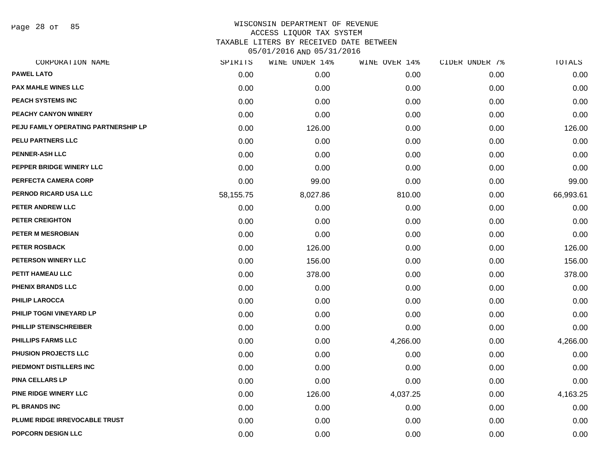Page 28 of 85

# WISCONSIN DEPARTMENT OF REVENUE ACCESS LIQUOR TAX SYSTEM TAXABLE LITERS BY RECEIVED DATE BETWEEN

| CORPORATION NAME                     | SPIRITS   | WINE UNDER 14% | WINE OVER 14% | CIDER UNDER 7% | TOTALS    |
|--------------------------------------|-----------|----------------|---------------|----------------|-----------|
| <b>PAWEL LATO</b>                    | 0.00      | 0.00           | 0.00          | 0.00           | 0.00      |
| <b>PAX MAHLE WINES LLC</b>           | 0.00      | 0.00           | 0.00          | 0.00           | 0.00      |
| PEACH SYSTEMS INC                    | 0.00      | 0.00           | 0.00          | 0.00           | 0.00      |
| <b>PEACHY CANYON WINERY</b>          | 0.00      | 0.00           | 0.00          | 0.00           | 0.00      |
| PEJU FAMILY OPERATING PARTNERSHIP LP | 0.00      | 126.00         | 0.00          | 0.00           | 126.00    |
| PELU PARTNERS LLC                    | 0.00      | 0.00           | 0.00          | 0.00           | 0.00      |
| <b>PENNER-ASH LLC</b>                | 0.00      | 0.00           | 0.00          | 0.00           | 0.00      |
| PEPPER BRIDGE WINERY LLC             | 0.00      | 0.00           | 0.00          | 0.00           | 0.00      |
| PERFECTA CAMERA CORP                 | 0.00      | 99.00          | 0.00          | 0.00           | 99.00     |
| PERNOD RICARD USA LLC                | 58,155.75 | 8,027.86       | 810.00        | 0.00           | 66,993.61 |
| PETER ANDREW LLC                     | 0.00      | 0.00           | 0.00          | 0.00           | 0.00      |
| PETER CREIGHTON                      | 0.00      | 0.00           | 0.00          | 0.00           | 0.00      |
| PETER M MESROBIAN                    | 0.00      | 0.00           | 0.00          | 0.00           | 0.00      |
| <b>PETER ROSBACK</b>                 | 0.00      | 126.00         | 0.00          | 0.00           | 126.00    |
| PETERSON WINERY LLC                  | 0.00      | 156.00         | 0.00          | 0.00           | 156.00    |
| PETIT HAMEAU LLC                     | 0.00      | 378.00         | 0.00          | 0.00           | 378.00    |
| PHENIX BRANDS LLC                    | 0.00      | 0.00           | 0.00          | 0.00           | 0.00      |
| <b>PHILIP LAROCCA</b>                | 0.00      | 0.00           | 0.00          | 0.00           | 0.00      |
| PHILIP TOGNI VINEYARD LP             | 0.00      | 0.00           | 0.00          | 0.00           | 0.00      |
| PHILLIP STEINSCHREIBER               | 0.00      | 0.00           | 0.00          | 0.00           | 0.00      |
| <b>PHILLIPS FARMS LLC</b>            | 0.00      | 0.00           | 4,266.00      | 0.00           | 4,266.00  |
| PHUSION PROJECTS LLC                 | 0.00      | 0.00           | 0.00          | 0.00           | 0.00      |
| PIEDMONT DISTILLERS INC              | 0.00      | 0.00           | 0.00          | 0.00           | 0.00      |
| <b>PINA CELLARS LP</b>               | 0.00      | 0.00           | 0.00          | 0.00           | 0.00      |
| <b>PINE RIDGE WINERY LLC</b>         | 0.00      | 126.00         | 4,037.25      | 0.00           | 4,163.25  |
| <b>PL BRANDS INC</b>                 | 0.00      | 0.00           | 0.00          | 0.00           | 0.00      |
| PLUME RIDGE IRREVOCABLE TRUST        | 0.00      | 0.00           | 0.00          | 0.00           | 0.00      |
| POPCORN DESIGN LLC                   | 0.00      | 0.00           | 0.00          | 0.00           | 0.00      |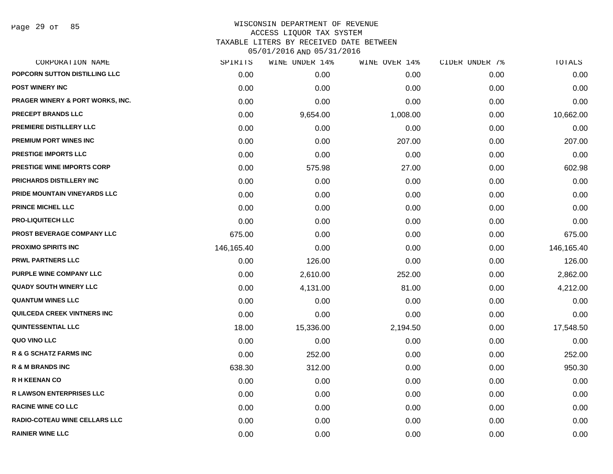Page 29 of 85

| CORPORATION NAME                            | SPIRITS    | WINE UNDER 14% | WINE OVER 14% | CIDER UNDER 7% | TOTALS     |
|---------------------------------------------|------------|----------------|---------------|----------------|------------|
| POPCORN SUTTON DISTILLING LLC               | 0.00       | 0.00           | 0.00          | 0.00           | 0.00       |
| <b>POST WINERY INC</b>                      | 0.00       | 0.00           | 0.00          | 0.00           | 0.00       |
| <b>PRAGER WINERY &amp; PORT WORKS, INC.</b> | 0.00       | 0.00           | 0.00          | 0.00           | 0.00       |
| <b>PRECEPT BRANDS LLC</b>                   | 0.00       | 9,654.00       | 1,008.00      | 0.00           | 10,662.00  |
| PREMIERE DISTILLERY LLC                     | 0.00       | 0.00           | 0.00          | 0.00           | 0.00       |
| <b>PREMIUM PORT WINES INC</b>               | 0.00       | 0.00           | 207.00        | 0.00           | 207.00     |
| PRESTIGE IMPORTS LLC                        | 0.00       | 0.00           | 0.00          | 0.00           | 0.00       |
| <b>PRESTIGE WINE IMPORTS CORP</b>           | 0.00       | 575.98         | 27.00         | 0.00           | 602.98     |
| PRICHARDS DISTILLERY INC                    | 0.00       | 0.00           | 0.00          | 0.00           | 0.00       |
| PRIDE MOUNTAIN VINEYARDS LLC                | 0.00       | 0.00           | 0.00          | 0.00           | 0.00       |
| <b>PRINCE MICHEL LLC</b>                    | 0.00       | 0.00           | 0.00          | 0.00           | 0.00       |
| <b>PRO-LIQUITECH LLC</b>                    | 0.00       | 0.00           | 0.00          | 0.00           | 0.00       |
| <b>PROST BEVERAGE COMPANY LLC</b>           | 675.00     | 0.00           | 0.00          | 0.00           | 675.00     |
| <b>PROXIMO SPIRITS INC</b>                  | 146,165.40 | 0.00           | 0.00          | 0.00           | 146,165.40 |
| <b>PRWL PARTNERS LLC</b>                    | 0.00       | 126.00         | 0.00          | 0.00           | 126.00     |
| PURPLE WINE COMPANY LLC                     | 0.00       | 2,610.00       | 252.00        | 0.00           | 2,862.00   |
| <b>QUADY SOUTH WINERY LLC</b>               | 0.00       | 4,131.00       | 81.00         | 0.00           | 4,212.00   |
| <b>QUANTUM WINES LLC</b>                    | 0.00       | 0.00           | 0.00          | 0.00           | 0.00       |
| QUILCEDA CREEK VINTNERS INC                 | 0.00       | 0.00           | 0.00          | 0.00           | 0.00       |
| QUINTESSENTIAL LLC                          | 18.00      | 15,336.00      | 2,194.50      | 0.00           | 17,548.50  |
| QUO VINO LLC                                | 0.00       | 0.00           | 0.00          | 0.00           | 0.00       |
| <b>R &amp; G SCHATZ FARMS INC</b>           | 0.00       | 252.00         | 0.00          | 0.00           | 252.00     |
| <b>R &amp; M BRANDS INC</b>                 | 638.30     | 312.00         | 0.00          | 0.00           | 950.30     |
| <b>R H KEENAN CO</b>                        | 0.00       | 0.00           | 0.00          | 0.00           | 0.00       |
| <b>R LAWSON ENTERPRISES LLC</b>             | 0.00       | 0.00           | 0.00          | 0.00           | 0.00       |
| <b>RACINE WINE CO LLC</b>                   | 0.00       | 0.00           | 0.00          | 0.00           | 0.00       |
| <b>RADIO-COTEAU WINE CELLARS LLC</b>        | 0.00       | 0.00           | 0.00          | 0.00           | 0.00       |
| <b>RAINIER WINE LLC</b>                     | 0.00       | 0.00           | 0.00          | 0.00           | 0.00       |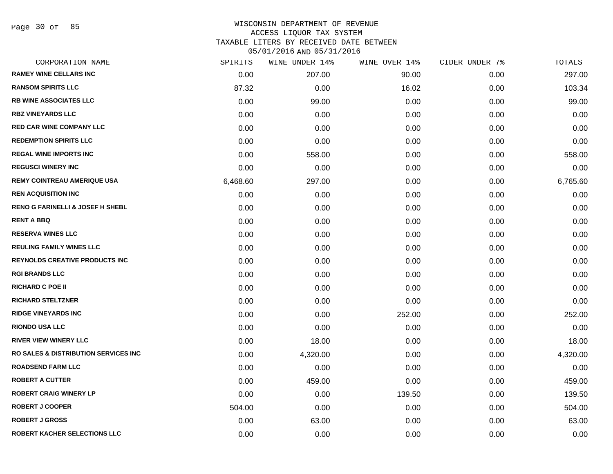Page 30 of 85

| CORPORATION NAME                            | SPIRITS  | WINE UNDER 14% | WINE OVER 14% | CIDER UNDER 7% | TOTALS   |
|---------------------------------------------|----------|----------------|---------------|----------------|----------|
| <b>RAMEY WINE CELLARS INC</b>               | 0.00     | 207.00         | 90.00         | 0.00           | 297.00   |
| <b>RANSOM SPIRITS LLC</b>                   | 87.32    | 0.00           | 16.02         | 0.00           | 103.34   |
| <b>RB WINE ASSOCIATES LLC</b>               | 0.00     | 99.00          | 0.00          | 0.00           | 99.00    |
| <b>RBZ VINEYARDS LLC</b>                    | 0.00     | 0.00           | 0.00          | 0.00           | 0.00     |
| <b>RED CAR WINE COMPANY LLC</b>             | 0.00     | 0.00           | 0.00          | 0.00           | 0.00     |
| <b>REDEMPTION SPIRITS LLC</b>               | 0.00     | 0.00           | 0.00          | 0.00           | 0.00     |
| <b>REGAL WINE IMPORTS INC</b>               | 0.00     | 558.00         | 0.00          | 0.00           | 558.00   |
| <b>REGUSCI WINERY INC</b>                   | 0.00     | 0.00           | 0.00          | 0.00           | 0.00     |
| <b>REMY COINTREAU AMERIQUE USA</b>          | 6,468.60 | 297.00         | 0.00          | 0.00           | 6,765.60 |
| <b>REN ACQUISITION INC</b>                  | 0.00     | 0.00           | 0.00          | 0.00           | 0.00     |
| <b>RENO G FARINELLI &amp; JOSEF H SHEBL</b> | 0.00     | 0.00           | 0.00          | 0.00           | 0.00     |
| <b>RENT A BBQ</b>                           | 0.00     | 0.00           | 0.00          | 0.00           | 0.00     |
| <b>RESERVA WINES LLC</b>                    | 0.00     | 0.00           | 0.00          | 0.00           | 0.00     |
| <b>REULING FAMILY WINES LLC</b>             | 0.00     | 0.00           | 0.00          | 0.00           | 0.00     |
| <b>REYNOLDS CREATIVE PRODUCTS INC</b>       | 0.00     | 0.00           | 0.00          | 0.00           | 0.00     |
| <b>RGI BRANDS LLC</b>                       | 0.00     | 0.00           | 0.00          | 0.00           | 0.00     |
| <b>RICHARD C POE II</b>                     | 0.00     | 0.00           | 0.00          | 0.00           | 0.00     |
| <b>RICHARD STELTZNER</b>                    | 0.00     | 0.00           | 0.00          | 0.00           | 0.00     |
| <b>RIDGE VINEYARDS INC</b>                  | 0.00     | 0.00           | 252.00        | 0.00           | 252.00   |
| <b>RIONDO USA LLC</b>                       | 0.00     | 0.00           | 0.00          | 0.00           | 0.00     |
| <b>RIVER VIEW WINERY LLC</b>                | 0.00     | 18.00          | 0.00          | 0.00           | 18.00    |
| RO SALES & DISTRIBUTION SERVICES INC        | 0.00     | 4,320.00       | 0.00          | 0.00           | 4,320.00 |
| <b>ROADSEND FARM LLC</b>                    | 0.00     | 0.00           | 0.00          | 0.00           | 0.00     |
| <b>ROBERT A CUTTER</b>                      | 0.00     | 459.00         | 0.00          | 0.00           | 459.00   |
| <b>ROBERT CRAIG WINERY LP</b>               | 0.00     | 0.00           | 139.50        | 0.00           | 139.50   |
| <b>ROBERT J COOPER</b>                      | 504.00   | 0.00           | 0.00          | 0.00           | 504.00   |
| <b>ROBERT J GROSS</b>                       | 0.00     | 63.00          | 0.00          | 0.00           | 63.00    |
| ROBERT KACHER SELECTIONS LLC                | 0.00     | 0.00           | 0.00          | 0.00           | 0.00     |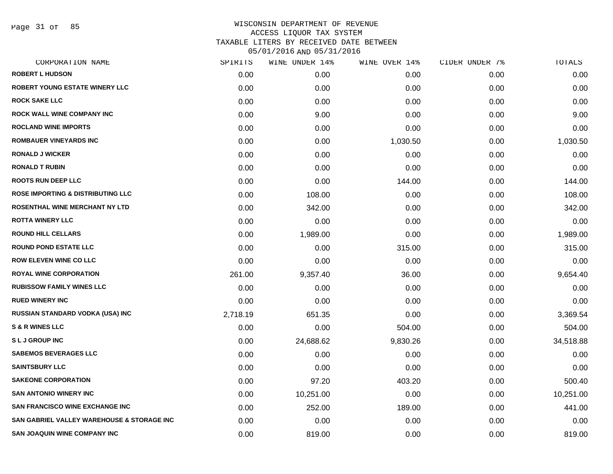Page 31 of 85

| CORPORATION NAME                                      | SPIRITS  | WINE UNDER 14% | WINE OVER 14% | CIDER UNDER 7% | TOTALS    |
|-------------------------------------------------------|----------|----------------|---------------|----------------|-----------|
| <b>ROBERT L HUDSON</b>                                | 0.00     | 0.00           | 0.00          | 0.00           | 0.00      |
| <b>ROBERT YOUNG ESTATE WINERY LLC</b>                 | 0.00     | 0.00           | 0.00          | 0.00           | 0.00      |
| <b>ROCK SAKE LLC</b>                                  | 0.00     | 0.00           | 0.00          | 0.00           | 0.00      |
| <b>ROCK WALL WINE COMPANY INC</b>                     | 0.00     | 9.00           | 0.00          | 0.00           | 9.00      |
| <b>ROCLAND WINE IMPORTS</b>                           | 0.00     | 0.00           | 0.00          | 0.00           | 0.00      |
| <b>ROMBAUER VINEYARDS INC</b>                         | 0.00     | 0.00           | 1,030.50      | 0.00           | 1,030.50  |
| <b>RONALD J WICKER</b>                                | 0.00     | 0.00           | 0.00          | 0.00           | 0.00      |
| <b>RONALD T RUBIN</b>                                 | 0.00     | 0.00           | 0.00          | 0.00           | 0.00      |
| <b>ROOTS RUN DEEP LLC</b>                             | 0.00     | 0.00           | 144.00        | 0.00           | 144.00    |
| <b>ROSE IMPORTING &amp; DISTRIBUTING LLC</b>          | 0.00     | 108.00         | 0.00          | 0.00           | 108.00    |
| ROSENTHAL WINE MERCHANT NY LTD                        | 0.00     | 342.00         | 0.00          | 0.00           | 342.00    |
| <b>ROTTA WINERY LLC</b>                               | 0.00     | 0.00           | 0.00          | 0.00           | 0.00      |
| <b>ROUND HILL CELLARS</b>                             | 0.00     | 1,989.00       | 0.00          | 0.00           | 1,989.00  |
| <b>ROUND POND ESTATE LLC</b>                          | 0.00     | 0.00           | 315.00        | 0.00           | 315.00    |
| <b>ROW ELEVEN WINE CO LLC</b>                         | 0.00     | 0.00           | 0.00          | 0.00           | 0.00      |
| <b>ROYAL WINE CORPORATION</b>                         | 261.00   | 9,357.40       | 36.00         | 0.00           | 9,654.40  |
| <b>RUBISSOW FAMILY WINES LLC</b>                      | 0.00     | 0.00           | 0.00          | 0.00           | 0.00      |
| <b>RUED WINERY INC</b>                                | 0.00     | 0.00           | 0.00          | 0.00           | 0.00      |
| RUSSIAN STANDARD VODKA (USA) INC                      | 2,718.19 | 651.35         | 0.00          | 0.00           | 3,369.54  |
| <b>S &amp; R WINES LLC</b>                            | 0.00     | 0.00           | 504.00        | 0.00           | 504.00    |
| <b>SLJGROUPINC</b>                                    | 0.00     | 24,688.62      | 9,830.26      | 0.00           | 34,518.88 |
| <b>SABEMOS BEVERAGES LLC</b>                          | 0.00     | 0.00           | 0.00          | 0.00           | 0.00      |
| <b>SAINTSBURY LLC</b>                                 | 0.00     | 0.00           | 0.00          | 0.00           | 0.00      |
| <b>SAKEONE CORPORATION</b>                            | 0.00     | 97.20          | 403.20        | 0.00           | 500.40    |
| <b>SAN ANTONIO WINERY INC</b>                         | 0.00     | 10,251.00      | 0.00          | 0.00           | 10,251.00 |
| <b>SAN FRANCISCO WINE EXCHANGE INC</b>                | 0.00     | 252.00         | 189.00        | 0.00           | 441.00    |
| <b>SAN GABRIEL VALLEY WAREHOUSE &amp; STORAGE INC</b> | 0.00     | 0.00           | 0.00          | 0.00           | 0.00      |
| <b>SAN JOAQUIN WINE COMPANY INC</b>                   | 0.00     | 819.00         | 0.00          | 0.00           | 819.00    |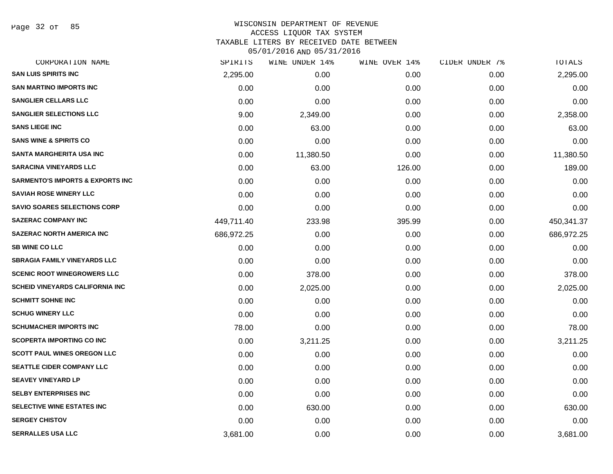Page 32 of 85

#### WISCONSIN DEPARTMENT OF REVENUE ACCESS LIQUOR TAX SYSTEM TAXABLE LITERS BY RECEIVED DATE BETWEEN

| CORPORATION NAME                            | SPIRITS    | WINE UNDER 14% | WINE OVER 14% | CIDER UNDER 7% | TOTALS     |
|---------------------------------------------|------------|----------------|---------------|----------------|------------|
| <b>SAN LUIS SPIRITS INC</b>                 | 2,295.00   | 0.00           | 0.00          | 0.00           | 2,295.00   |
| <b>SAN MARTINO IMPORTS INC</b>              | 0.00       | 0.00           | 0.00          | 0.00           | 0.00       |
| <b>SANGLIER CELLARS LLC</b>                 | 0.00       | 0.00           | 0.00          | 0.00           | 0.00       |
| <b>SANGLIER SELECTIONS LLC</b>              | 9.00       | 2,349.00       | 0.00          | 0.00           | 2,358.00   |
| <b>SANS LIEGE INC</b>                       | 0.00       | 63.00          | 0.00          | 0.00           | 63.00      |
| <b>SANS WINE &amp; SPIRITS CO</b>           | 0.00       | 0.00           | 0.00          | 0.00           | 0.00       |
| SANTA MARGHERITA USA INC                    | 0.00       | 11,380.50      | 0.00          | 0.00           | 11,380.50  |
| <b>SARACINA VINEYARDS LLC</b>               | 0.00       | 63.00          | 126.00        | 0.00           | 189.00     |
| <b>SARMENTO'S IMPORTS &amp; EXPORTS INC</b> | 0.00       | 0.00           | 0.00          | 0.00           | 0.00       |
| <b>SAVIAH ROSE WINERY LLC</b>               | 0.00       | 0.00           | 0.00          | 0.00           | 0.00       |
| <b>SAVIO SOARES SELECTIONS CORP</b>         | 0.00       | 0.00           | 0.00          | 0.00           | 0.00       |
| <b>SAZERAC COMPANY INC</b>                  | 449,711.40 | 233.98         | 395.99        | 0.00           | 450,341.37 |
| <b>SAZERAC NORTH AMERICA INC</b>            | 686,972.25 | 0.00           | 0.00          | 0.00           | 686,972.25 |
| <b>SB WINE CO LLC</b>                       | 0.00       | 0.00           | 0.00          | 0.00           | 0.00       |
| <b>SBRAGIA FAMILY VINEYARDS LLC</b>         | 0.00       | 0.00           | 0.00          | 0.00           | 0.00       |
| <b>SCENIC ROOT WINEGROWERS LLC</b>          | 0.00       | 378.00         | 0.00          | 0.00           | 378.00     |
| <b>SCHEID VINEYARDS CALIFORNIA INC</b>      | 0.00       | 2,025.00       | 0.00          | 0.00           | 2,025.00   |
| <b>SCHMITT SOHNE INC</b>                    | 0.00       | 0.00           | 0.00          | 0.00           | 0.00       |
| <b>SCHUG WINERY LLC</b>                     | 0.00       | 0.00           | 0.00          | 0.00           | 0.00       |
| <b>SCHUMACHER IMPORTS INC</b>               | 78.00      | 0.00           | 0.00          | 0.00           | 78.00      |
| <b>SCOPERTA IMPORTING CO INC</b>            | 0.00       | 3,211.25       | 0.00          | 0.00           | 3,211.25   |
| <b>SCOTT PAUL WINES OREGON LLC</b>          | 0.00       | 0.00           | 0.00          | 0.00           | 0.00       |
| <b>SEATTLE CIDER COMPANY LLC</b>            | 0.00       | 0.00           | 0.00          | 0.00           | 0.00       |
| <b>SEAVEY VINEYARD LP</b>                   | 0.00       | 0.00           | 0.00          | 0.00           | 0.00       |
| <b>SELBY ENTERPRISES INC</b>                | 0.00       | 0.00           | 0.00          | 0.00           | 0.00       |
| SELECTIVE WINE ESTATES INC                  | 0.00       | 630.00         | 0.00          | 0.00           | 630.00     |
| <b>SERGEY CHISTOV</b>                       | 0.00       | 0.00           | 0.00          | 0.00           | 0.00       |
| <b>SERRALLES USA LLC</b>                    | 3,681.00   | 0.00           | 0.00          | 0.00           | 3,681.00   |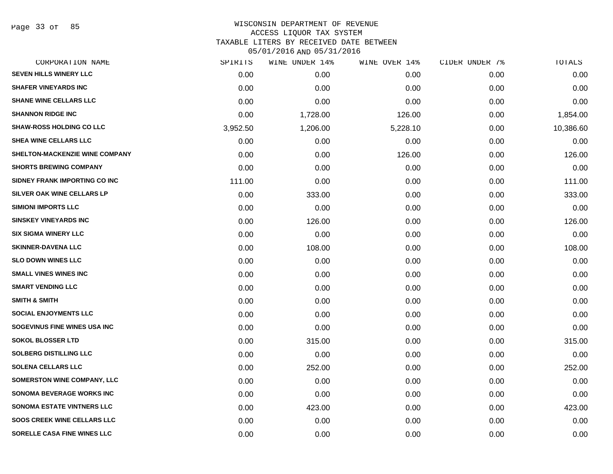Page 33 of 85

| CORPORATION NAME                      | SPIRITS  | WINE UNDER 14% | WINE OVER 14% | CIDER UNDER 7% | TOTALS    |
|---------------------------------------|----------|----------------|---------------|----------------|-----------|
| <b>SEVEN HILLS WINERY LLC</b>         | 0.00     | 0.00           | 0.00          | 0.00           | 0.00      |
| <b>SHAFER VINEYARDS INC</b>           | 0.00     | 0.00           | 0.00          | 0.00           | 0.00      |
| <b>SHANE WINE CELLARS LLC</b>         | 0.00     | 0.00           | 0.00          | 0.00           | 0.00      |
| <b>SHANNON RIDGE INC</b>              | 0.00     | 1,728.00       | 126.00        | 0.00           | 1,854.00  |
| <b>SHAW-ROSS HOLDING CO LLC</b>       | 3,952.50 | 1,206.00       | 5,228.10      | 0.00           | 10,386.60 |
| SHEA WINE CELLARS LLC                 | 0.00     | 0.00           | 0.00          | 0.00           | 0.00      |
| <b>SHELTON-MACKENZIE WINE COMPANY</b> | 0.00     | 0.00           | 126.00        | 0.00           | 126.00    |
| <b>SHORTS BREWING COMPANY</b>         | 0.00     | 0.00           | 0.00          | 0.00           | 0.00      |
| SIDNEY FRANK IMPORTING CO INC         | 111.00   | 0.00           | 0.00          | 0.00           | 111.00    |
| SILVER OAK WINE CELLARS LP            | 0.00     | 333.00         | 0.00          | 0.00           | 333.00    |
| <b>SIMIONI IMPORTS LLC</b>            | 0.00     | 0.00           | 0.00          | 0.00           | 0.00      |
| <b>SINSKEY VINEYARDS INC</b>          | 0.00     | 126.00         | 0.00          | 0.00           | 126.00    |
| <b>SIX SIGMA WINERY LLC</b>           | 0.00     | 0.00           | 0.00          | 0.00           | 0.00      |
| <b>SKINNER-DAVENA LLC</b>             | 0.00     | 108.00         | 0.00          | 0.00           | 108.00    |
| <b>SLO DOWN WINES LLC</b>             | 0.00     | 0.00           | 0.00          | 0.00           | 0.00      |
| <b>SMALL VINES WINES INC</b>          | 0.00     | 0.00           | 0.00          | 0.00           | 0.00      |
| <b>SMART VENDING LLC</b>              | 0.00     | 0.00           | 0.00          | 0.00           | 0.00      |
| <b>SMITH &amp; SMITH</b>              | 0.00     | 0.00           | 0.00          | 0.00           | 0.00      |
| <b>SOCIAL ENJOYMENTS LLC</b>          | 0.00     | 0.00           | 0.00          | 0.00           | 0.00      |
| SOGEVINUS FINE WINES USA INC          | 0.00     | 0.00           | 0.00          | 0.00           | 0.00      |
| <b>SOKOL BLOSSER LTD</b>              | 0.00     | 315.00         | 0.00          | 0.00           | 315.00    |
| <b>SOLBERG DISTILLING LLC</b>         | 0.00     | 0.00           | 0.00          | 0.00           | 0.00      |
| <b>SOLENA CELLARS LLC</b>             | 0.00     | 252.00         | 0.00          | 0.00           | 252.00    |
| <b>SOMERSTON WINE COMPANY, LLC</b>    | 0.00     | 0.00           | 0.00          | 0.00           | 0.00      |
| <b>SONOMA BEVERAGE WORKS INC</b>      | 0.00     | 0.00           | 0.00          | 0.00           | 0.00      |
| <b>SONOMA ESTATE VINTNERS LLC</b>     | 0.00     | 423.00         | 0.00          | 0.00           | 423.00    |
| <b>SOOS CREEK WINE CELLARS LLC</b>    | 0.00     | 0.00           | 0.00          | 0.00           | 0.00      |
| SORELLE CASA FINE WINES LLC           | 0.00     | 0.00           | 0.00          | 0.00           | 0.00      |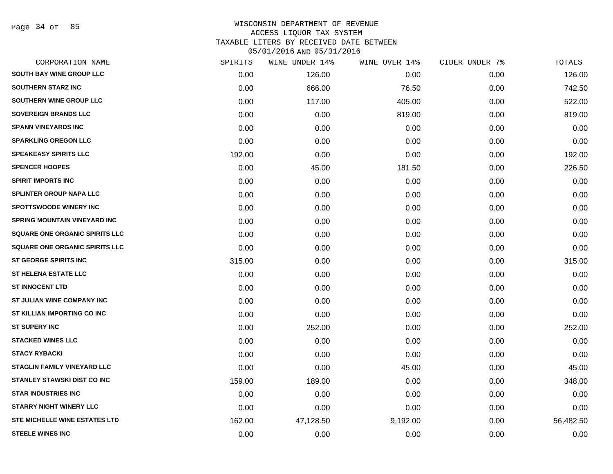Page 34 of 85

# WISCONSIN DEPARTMENT OF REVENUE ACCESS LIQUOR TAX SYSTEM TAXABLE LITERS BY RECEIVED DATE BETWEEN

| CORPORATION NAME                      | SPIRITS | WINE UNDER 14% | WINE OVER 14% | CIDER UNDER 7% | TOTALS    |
|---------------------------------------|---------|----------------|---------------|----------------|-----------|
| <b>SOUTH BAY WINE GROUP LLC</b>       | 0.00    | 126.00         | 0.00          | 0.00           | 126.00    |
| <b>SOUTHERN STARZ INC</b>             | 0.00    | 666.00         | 76.50         | 0.00           | 742.50    |
| SOUTHERN WINE GROUP LLC               | 0.00    | 117.00         | 405.00        | 0.00           | 522.00    |
| <b>SOVEREIGN BRANDS LLC</b>           | 0.00    | 0.00           | 819.00        | 0.00           | 819.00    |
| <b>SPANN VINEYARDS INC</b>            | 0.00    | 0.00           | 0.00          | 0.00           | 0.00      |
| <b>SPARKLING OREGON LLC</b>           | 0.00    | 0.00           | 0.00          | 0.00           | 0.00      |
| <b>SPEAKEASY SPIRITS LLC</b>          | 192.00  | 0.00           | 0.00          | 0.00           | 192.00    |
| <b>SPENCER HOOPES</b>                 | 0.00    | 45.00          | 181.50        | 0.00           | 226.50    |
| <b>SPIRIT IMPORTS INC</b>             | 0.00    | 0.00           | 0.00          | 0.00           | 0.00      |
| <b>SPLINTER GROUP NAPA LLC</b>        | 0.00    | 0.00           | 0.00          | 0.00           | 0.00      |
| <b>SPOTTSWOODE WINERY INC</b>         | 0.00    | 0.00           | 0.00          | 0.00           | 0.00      |
| <b>SPRING MOUNTAIN VINEYARD INC</b>   | 0.00    | 0.00           | 0.00          | 0.00           | 0.00      |
| <b>SQUARE ONE ORGANIC SPIRITS LLC</b> | 0.00    | 0.00           | 0.00          | 0.00           | 0.00      |
| <b>SQUARE ONE ORGANIC SPIRITS LLC</b> | 0.00    | 0.00           | 0.00          | 0.00           | 0.00      |
| <b>ST GEORGE SPIRITS INC</b>          | 315.00  | 0.00           | 0.00          | 0.00           | 315.00    |
| <b>ST HELENA ESTATE LLC</b>           | 0.00    | 0.00           | 0.00          | 0.00           | 0.00      |
| <b>ST INNOCENT LTD</b>                | 0.00    | 0.00           | 0.00          | 0.00           | 0.00      |
| ST JULIAN WINE COMPANY INC            | 0.00    | 0.00           | 0.00          | 0.00           | 0.00      |
| ST KILLIAN IMPORTING CO INC           | 0.00    | 0.00           | 0.00          | 0.00           | 0.00      |
| <b>ST SUPERY INC</b>                  | 0.00    | 252.00         | 0.00          | 0.00           | 252.00    |
| <b>STACKED WINES LLC</b>              | 0.00    | 0.00           | 0.00          | 0.00           | 0.00      |
| <b>STACY RYBACKI</b>                  | 0.00    | 0.00           | 0.00          | 0.00           | 0.00      |
| <b>STAGLIN FAMILY VINEYARD LLC</b>    | 0.00    | 0.00           | 45.00         | 0.00           | 45.00     |
| <b>STANLEY STAWSKI DIST CO INC</b>    | 159.00  | 189.00         | 0.00          | 0.00           | 348.00    |
| <b>STAR INDUSTRIES INC</b>            | 0.00    | 0.00           | 0.00          | 0.00           | 0.00      |
| <b>STARRY NIGHT WINERY LLC</b>        | 0.00    | 0.00           | 0.00          | 0.00           | 0.00      |
| <b>STE MICHELLE WINE ESTATES LTD</b>  | 162.00  | 47,128.50      | 9,192.00      | 0.00           | 56,482.50 |
| <b>STEELE WINES INC</b>               | 0.00    | 0.00           | 0.00          | 0.00           | 0.00      |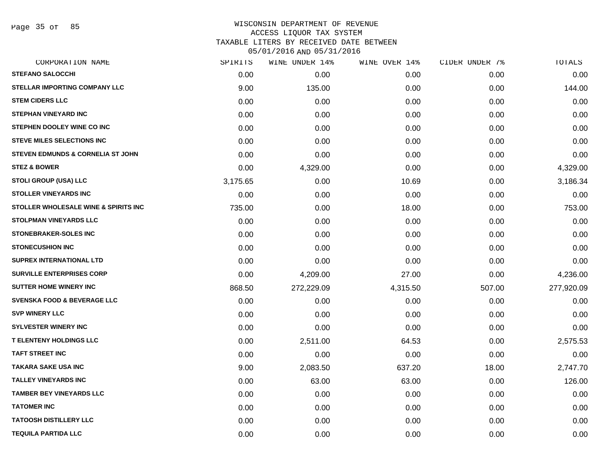Page 35 of 85

#### WISCONSIN DEPARTMENT OF REVENUE ACCESS LIQUOR TAX SYSTEM

TAXABLE LITERS BY RECEIVED DATE BETWEEN

| CORPORATION NAME                       | SPIRITS  | WINE UNDER 14% | WINE OVER 14% | CIDER UNDER 7% | TOTALS     |
|----------------------------------------|----------|----------------|---------------|----------------|------------|
| <b>STEFANO SALOCCHI</b>                | 0.00     | 0.00           | 0.00          | 0.00           | 0.00       |
| <b>STELLAR IMPORTING COMPANY LLC</b>   | 9.00     | 135.00         | 0.00          | 0.00           | 144.00     |
| <b>STEM CIDERS LLC</b>                 | 0.00     | 0.00           | 0.00          | 0.00           | 0.00       |
| <b>STEPHAN VINEYARD INC</b>            | 0.00     | 0.00           | 0.00          | 0.00           | 0.00       |
| STEPHEN DOOLEY WINE CO INC             | 0.00     | 0.00           | 0.00          | 0.00           | 0.00       |
| <b>STEVE MILES SELECTIONS INC</b>      | 0.00     | 0.00           | 0.00          | 0.00           | 0.00       |
| STEVEN EDMUNDS & CORNELIA ST JOHN      | 0.00     | 0.00           | 0.00          | 0.00           | 0.00       |
| <b>STEZ &amp; BOWER</b>                | 0.00     | 4,329.00       | 0.00          | 0.00           | 4,329.00   |
| <b>STOLI GROUP (USA) LLC</b>           | 3,175.65 | 0.00           | 10.69         | 0.00           | 3,186.34   |
| <b>STOLLER VINEYARDS INC</b>           | 0.00     | 0.00           | 0.00          | 0.00           | 0.00       |
| STOLLER WHOLESALE WINE & SPIRITS INC   | 735.00   | 0.00           | 18.00         | 0.00           | 753.00     |
| <b>STOLPMAN VINEYARDS LLC</b>          | 0.00     | 0.00           | 0.00          | 0.00           | 0.00       |
| <b>STONEBRAKER-SOLES INC</b>           | 0.00     | 0.00           | 0.00          | 0.00           | 0.00       |
| <b>STONECUSHION INC</b>                | 0.00     | 0.00           | 0.00          | 0.00           | 0.00       |
| <b>SUPREX INTERNATIONAL LTD</b>        | 0.00     | 0.00           | 0.00          | 0.00           | 0.00       |
| <b>SURVILLE ENTERPRISES CORP</b>       | 0.00     | 4,209.00       | 27.00         | 0.00           | 4,236.00   |
| <b>SUTTER HOME WINERY INC</b>          | 868.50   | 272,229.09     | 4,315.50      | 507.00         | 277,920.09 |
| <b>SVENSKA FOOD &amp; BEVERAGE LLC</b> | 0.00     | 0.00           | 0.00          | 0.00           | 0.00       |
| <b>SVP WINERY LLC</b>                  | 0.00     | 0.00           | 0.00          | 0.00           | 0.00       |
| <b>SYLVESTER WINERY INC</b>            | 0.00     | 0.00           | 0.00          | 0.00           | 0.00       |
| <b>T ELENTENY HOLDINGS LLC</b>         | 0.00     | 2,511.00       | 64.53         | 0.00           | 2,575.53   |
| <b>TAFT STREET INC</b>                 | 0.00     | 0.00           | 0.00          | 0.00           | 0.00       |
| <b>TAKARA SAKE USA INC</b>             | 9.00     | 2,083.50       | 637.20        | 18.00          | 2,747.70   |
| <b>TALLEY VINEYARDS INC</b>            | 0.00     | 63.00          | 63.00         | 0.00           | 126.00     |
| <b>TAMBER BEY VINEYARDS LLC</b>        | 0.00     | 0.00           | 0.00          | 0.00           | 0.00       |
| <b>TATOMER INC</b>                     | 0.00     | 0.00           | 0.00          | 0.00           | 0.00       |
| <b>TATOOSH DISTILLERY LLC</b>          | 0.00     | 0.00           | 0.00          | 0.00           | 0.00       |
| <b>TEQUILA PARTIDA LLC</b>             | 0.00     | 0.00           | 0.00          | 0.00           | 0.00       |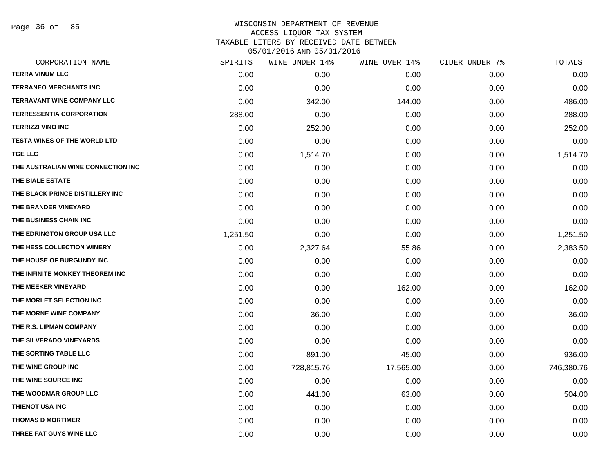Page 36 of 85

| CORPORATION NAME                    | SPIRITS  | WINE UNDER 14% | WINE OVER 14% | CIDER UNDER 7% | TOTALS     |
|-------------------------------------|----------|----------------|---------------|----------------|------------|
| <b>TERRA VINUM LLC</b>              | 0.00     | 0.00           | 0.00          | 0.00           | 0.00       |
| <b>TERRANEO MERCHANTS INC</b>       | 0.00     | 0.00           | 0.00          | 0.00           | 0.00       |
| <b>TERRAVANT WINE COMPANY LLC</b>   | 0.00     | 342.00         | 144.00        | 0.00           | 486.00     |
| <b>TERRESSENTIA CORPORATION</b>     | 288.00   | 0.00           | 0.00          | 0.00           | 288.00     |
| <b>TERRIZZI VINO INC</b>            | 0.00     | 252.00         | 0.00          | 0.00           | 252.00     |
| <b>TESTA WINES OF THE WORLD LTD</b> | 0.00     | 0.00           | 0.00          | 0.00           | 0.00       |
| <b>TGE LLC</b>                      | 0.00     | 1,514.70       | 0.00          | 0.00           | 1,514.70   |
| THE AUSTRALIAN WINE CONNECTION INC  | 0.00     | 0.00           | 0.00          | 0.00           | 0.00       |
| THE BIALE ESTATE                    | 0.00     | 0.00           | 0.00          | 0.00           | 0.00       |
| THE BLACK PRINCE DISTILLERY INC     | 0.00     | 0.00           | 0.00          | 0.00           | 0.00       |
| THE BRANDER VINEYARD                | 0.00     | 0.00           | 0.00          | 0.00           | 0.00       |
| THE BUSINESS CHAIN INC              | 0.00     | 0.00           | 0.00          | 0.00           | 0.00       |
| THE EDRINGTON GROUP USA LLC         | 1,251.50 | 0.00           | 0.00          | 0.00           | 1,251.50   |
| THE HESS COLLECTION WINERY          | 0.00     | 2,327.64       | 55.86         | 0.00           | 2,383.50   |
| THE HOUSE OF BURGUNDY INC           | 0.00     | 0.00           | 0.00          | 0.00           | 0.00       |
| THE INFINITE MONKEY THEOREM INC     | 0.00     | 0.00           | 0.00          | 0.00           | 0.00       |
| THE MEEKER VINEYARD                 | 0.00     | 0.00           | 162.00        | 0.00           | 162.00     |
| THE MORLET SELECTION INC            | 0.00     | 0.00           | 0.00          | 0.00           | 0.00       |
| THE MORNE WINE COMPANY              | 0.00     | 36.00          | 0.00          | 0.00           | 36.00      |
| THE R.S. LIPMAN COMPANY             | 0.00     | 0.00           | 0.00          | 0.00           | 0.00       |
| THE SILVERADO VINEYARDS             | 0.00     | 0.00           | 0.00          | 0.00           | 0.00       |
| THE SORTING TABLE LLC               | 0.00     | 891.00         | 45.00         | 0.00           | 936.00     |
| THE WINE GROUP INC                  | 0.00     | 728,815.76     | 17,565.00     | 0.00           | 746,380.76 |
| THE WINE SOURCE INC                 | 0.00     | 0.00           | 0.00          | 0.00           | 0.00       |
| THE WOODMAR GROUP LLC               | 0.00     | 441.00         | 63.00         | 0.00           | 504.00     |
| <b>THIENOT USA INC</b>              | 0.00     | 0.00           | 0.00          | 0.00           | 0.00       |
| <b>THOMAS D MORTIMER</b>            | 0.00     | 0.00           | 0.00          | 0.00           | 0.00       |
| THREE FAT GUYS WINE LLC             | 0.00     | 0.00           | 0.00          | 0.00           | 0.00       |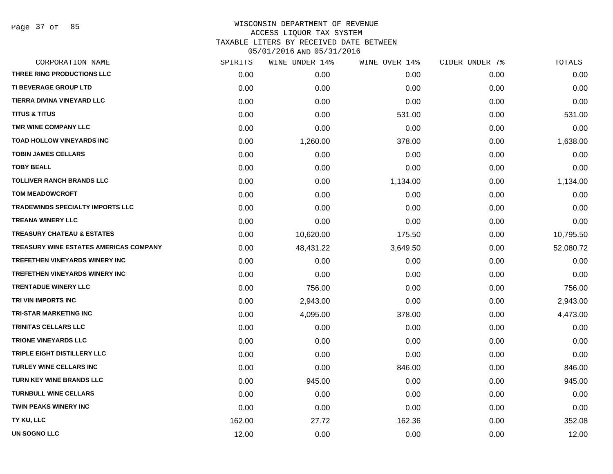Page 37 of 85

| CORPORATION NAME                       | SPIRITS | WINE UNDER 14% | WINE OVER 14% | CIDER UNDER 7% | TOTALS    |
|----------------------------------------|---------|----------------|---------------|----------------|-----------|
| THREE RING PRODUCTIONS LLC             | 0.00    | 0.00           | 0.00          | 0.00           | 0.00      |
| <b>TI BEVERAGE GROUP LTD</b>           | 0.00    | 0.00           | 0.00          | 0.00           | 0.00      |
| TIERRA DIVINA VINEYARD LLC             | 0.00    | 0.00           | 0.00          | 0.00           | 0.00      |
| <b>TITUS &amp; TITUS</b>               | 0.00    | 0.00           | 531.00        | 0.00           | 531.00    |
| TMR WINE COMPANY LLC                   | 0.00    | 0.00           | 0.00          | 0.00           | 0.00      |
| <b>TOAD HOLLOW VINEYARDS INC</b>       | 0.00    | 1,260.00       | 378.00        | 0.00           | 1,638.00  |
| <b>TOBIN JAMES CELLARS</b>             | 0.00    | 0.00           | 0.00          | 0.00           | 0.00      |
| <b>TOBY BEALL</b>                      | 0.00    | 0.00           | 0.00          | 0.00           | 0.00      |
| <b>TOLLIVER RANCH BRANDS LLC</b>       | 0.00    | 0.00           | 1,134.00      | 0.00           | 1,134.00  |
| <b>TOM MEADOWCROFT</b>                 | 0.00    | 0.00           | 0.00          | 0.00           | 0.00      |
| TRADEWINDS SPECIALTY IMPORTS LLC       | 0.00    | 0.00           | 0.00          | 0.00           | 0.00      |
| <b>TREANA WINERY LLC</b>               | 0.00    | 0.00           | 0.00          | 0.00           | 0.00      |
| <b>TREASURY CHATEAU &amp; ESTATES</b>  | 0.00    | 10,620.00      | 175.50        | 0.00           | 10,795.50 |
| TREASURY WINE ESTATES AMERICAS COMPANY | 0.00    | 48,431.22      | 3,649.50      | 0.00           | 52,080.72 |
| <b>TREFETHEN VINEYARDS WINERY INC</b>  | 0.00    | 0.00           | 0.00          | 0.00           | 0.00      |
| <b>TREFETHEN VINEYARDS WINERY INC</b>  | 0.00    | 0.00           | 0.00          | 0.00           | 0.00      |
| <b>TRENTADUE WINERY LLC</b>            | 0.00    | 756.00         | 0.00          | 0.00           | 756.00    |
| TRI VIN IMPORTS INC                    | 0.00    | 2,943.00       | 0.00          | 0.00           | 2,943.00  |
| <b>TRI-STAR MARKETING INC</b>          | 0.00    | 4,095.00       | 378.00        | 0.00           | 4,473.00  |
| TRINITAS CELLARS LLC                   | 0.00    | 0.00           | 0.00          | 0.00           | 0.00      |
| <b>TRIONE VINEYARDS LLC</b>            | 0.00    | 0.00           | 0.00          | 0.00           | 0.00      |
| TRIPLE EIGHT DISTILLERY LLC            | 0.00    | 0.00           | 0.00          | 0.00           | 0.00      |
| <b>TURLEY WINE CELLARS INC</b>         | 0.00    | 0.00           | 846.00        | 0.00           | 846.00    |
| <b>TURN KEY WINE BRANDS LLC</b>        | 0.00    | 945.00         | 0.00          | 0.00           | 945.00    |
| <b>TURNBULL WINE CELLARS</b>           | 0.00    | 0.00           | 0.00          | 0.00           | 0.00      |
| <b>TWIN PEAKS WINERY INC</b>           | 0.00    | 0.00           | 0.00          | 0.00           | 0.00      |
| TY KU, LLC                             | 162.00  | 27.72          | 162.36        | 0.00           | 352.08    |
| <b>UN SOGNO LLC</b>                    | 12.00   | 0.00           | 0.00          | 0.00           | 12.00     |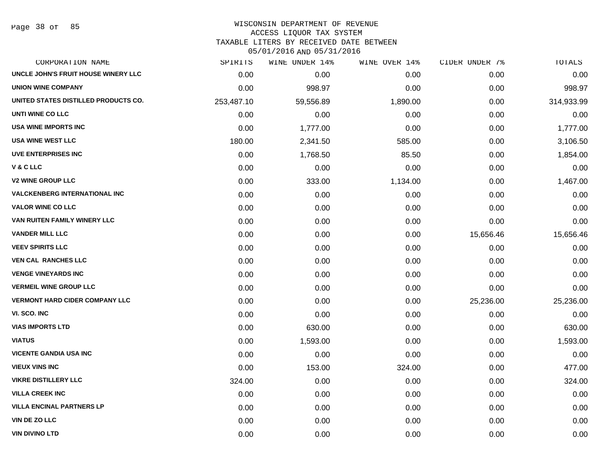Page 38 of 85

| CORPORATION NAME                      | SPIRITS    | WINE UNDER 14% | WINE OVER 14% | CIDER UNDER 7% | TOTALS     |
|---------------------------------------|------------|----------------|---------------|----------------|------------|
| UNCLE JOHN'S FRUIT HOUSE WINERY LLC   | 0.00       | 0.00           | 0.00          | 0.00           | 0.00       |
| <b>UNION WINE COMPANY</b>             | 0.00       | 998.97         | 0.00          | 0.00           | 998.97     |
| UNITED STATES DISTILLED PRODUCTS CO.  | 253,487.10 | 59,556.89      | 1,890.00      | 0.00           | 314,933.99 |
| UNTI WINE CO LLC                      | 0.00       | 0.00           | 0.00          | 0.00           | 0.00       |
| <b>USA WINE IMPORTS INC</b>           | 0.00       | 1,777.00       | 0.00          | 0.00           | 1,777.00   |
| <b>USA WINE WEST LLC</b>              | 180.00     | 2,341.50       | 585.00        | 0.00           | 3,106.50   |
| <b>UVE ENTERPRISES INC</b>            | 0.00       | 1,768.50       | 85.50         | 0.00           | 1,854.00   |
| <b>V&amp;CLLC</b>                     | 0.00       | 0.00           | 0.00          | 0.00           | 0.00       |
| <b>V2 WINE GROUP LLC</b>              | 0.00       | 333.00         | 1,134.00      | 0.00           | 1,467.00   |
| <b>VALCKENBERG INTERNATIONAL INC</b>  | 0.00       | 0.00           | 0.00          | 0.00           | 0.00       |
| <b>VALOR WINE CO LLC</b>              | 0.00       | 0.00           | 0.00          | 0.00           | 0.00       |
| VAN RUITEN FAMILY WINERY LLC          | 0.00       | 0.00           | 0.00          | 0.00           | 0.00       |
| <b>VANDER MILL LLC</b>                | 0.00       | 0.00           | 0.00          | 15,656.46      | 15,656.46  |
| <b>VEEV SPIRITS LLC</b>               | 0.00       | 0.00           | 0.00          | 0.00           | 0.00       |
| <b>VEN CAL RANCHES LLC</b>            | 0.00       | 0.00           | 0.00          | 0.00           | 0.00       |
| <b>VENGE VINEYARDS INC</b>            | 0.00       | 0.00           | 0.00          | 0.00           | 0.00       |
| <b>VERMEIL WINE GROUP LLC</b>         | 0.00       | 0.00           | 0.00          | 0.00           | 0.00       |
| <b>VERMONT HARD CIDER COMPANY LLC</b> | 0.00       | 0.00           | 0.00          | 25,236.00      | 25,236.00  |
| VI. SCO. INC                          | 0.00       | 0.00           | 0.00          | 0.00           | 0.00       |
| <b>VIAS IMPORTS LTD</b>               | 0.00       | 630.00         | 0.00          | 0.00           | 630.00     |
| <b>VIATUS</b>                         | 0.00       | 1,593.00       | 0.00          | 0.00           | 1,593.00   |
| <b>VICENTE GANDIA USA INC</b>         | 0.00       | 0.00           | 0.00          | 0.00           | 0.00       |
| <b>VIEUX VINS INC</b>                 | 0.00       | 153.00         | 324.00        | 0.00           | 477.00     |
| <b>VIKRE DISTILLERY LLC</b>           | 324.00     | 0.00           | 0.00          | 0.00           | 324.00     |
| <b>VILLA CREEK INC</b>                | 0.00       | 0.00           | 0.00          | 0.00           | 0.00       |
| <b>VILLA ENCINAL PARTNERS LP</b>      | 0.00       | 0.00           | 0.00          | 0.00           | 0.00       |
| <b>VIN DE ZO LLC</b>                  | 0.00       | 0.00           | 0.00          | 0.00           | 0.00       |
| <b>VIN DIVINO LTD</b>                 | 0.00       | 0.00           | 0.00          | 0.00           | 0.00       |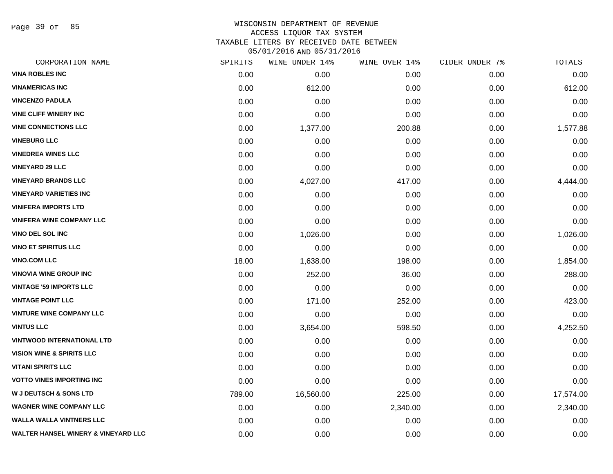Page 39 of 85

#### WISCONSIN DEPARTMENT OF REVENUE ACCESS LIQUOR TAX SYSTEM TAXABLE LITERS BY RECEIVED DATE BETWEEN

| CORPORATION NAME                               | SPIRITS | WINE UNDER 14% | WINE OVER 14% | CIDER UNDER 7% | TOTALS    |
|------------------------------------------------|---------|----------------|---------------|----------------|-----------|
| <b>VINA ROBLES INC</b>                         | 0.00    | 0.00           | 0.00          | 0.00           | 0.00      |
| <b>VINAMERICAS INC</b>                         | 0.00    | 612.00         | 0.00          | 0.00           | 612.00    |
| <b>VINCENZO PADULA</b>                         | 0.00    | 0.00           | 0.00          | 0.00           | 0.00      |
| <b>VINE CLIFF WINERY INC</b>                   | 0.00    | 0.00           | 0.00          | 0.00           | 0.00      |
| <b>VINE CONNECTIONS LLC</b>                    | 0.00    | 1,377.00       | 200.88        | 0.00           | 1,577.88  |
| <b>VINEBURG LLC</b>                            | 0.00    | 0.00           | 0.00          | 0.00           | 0.00      |
| <b>VINEDREA WINES LLC</b>                      | 0.00    | 0.00           | 0.00          | 0.00           | 0.00      |
| <b>VINEYARD 29 LLC</b>                         | 0.00    | 0.00           | 0.00          | 0.00           | 0.00      |
| <b>VINEYARD BRANDS LLC</b>                     | 0.00    | 4,027.00       | 417.00        | 0.00           | 4,444.00  |
| <b>VINEYARD VARIETIES INC</b>                  | 0.00    | 0.00           | 0.00          | 0.00           | 0.00      |
| <b>VINIFERA IMPORTS LTD</b>                    | 0.00    | 0.00           | 0.00          | 0.00           | 0.00      |
| <b>VINIFERA WINE COMPANY LLC</b>               | 0.00    | 0.00           | 0.00          | 0.00           | 0.00      |
| <b>VINO DEL SOL INC</b>                        | 0.00    | 1,026.00       | 0.00          | 0.00           | 1,026.00  |
| <b>VINO ET SPIRITUS LLC</b>                    | 0.00    | 0.00           | 0.00          | 0.00           | 0.00      |
| <b>VINO.COM LLC</b>                            | 18.00   | 1,638.00       | 198.00        | 0.00           | 1,854.00  |
| <b>VINOVIA WINE GROUP INC</b>                  | 0.00    | 252.00         | 36.00         | 0.00           | 288.00    |
| <b>VINTAGE '59 IMPORTS LLC</b>                 | 0.00    | 0.00           | 0.00          | 0.00           | 0.00      |
| <b>VINTAGE POINT LLC</b>                       | 0.00    | 171.00         | 252.00        | 0.00           | 423.00    |
| <b>VINTURE WINE COMPANY LLC</b>                | 0.00    | 0.00           | 0.00          | 0.00           | 0.00      |
| <b>VINTUS LLC</b>                              | 0.00    | 3,654.00       | 598.50        | 0.00           | 4,252.50  |
| <b>VINTWOOD INTERNATIONAL LTD</b>              | 0.00    | 0.00           | 0.00          | 0.00           | 0.00      |
| <b>VISION WINE &amp; SPIRITS LLC</b>           | 0.00    | 0.00           | 0.00          | 0.00           | 0.00      |
| <b>VITANI SPIRITS LLC</b>                      | 0.00    | 0.00           | 0.00          | 0.00           | 0.00      |
| <b>VOTTO VINES IMPORTING INC</b>               | 0.00    | 0.00           | 0.00          | 0.00           | 0.00      |
| <b>W J DEUTSCH &amp; SONS LTD</b>              | 789.00  | 16,560.00      | 225.00        | 0.00           | 17,574.00 |
| <b>WAGNER WINE COMPANY LLC</b>                 | 0.00    | 0.00           | 2,340.00      | 0.00           | 2,340.00  |
| <b>WALLA WALLA VINTNERS LLC</b>                | 0.00    | 0.00           | 0.00          | 0.00           | 0.00      |
| <b>WALTER HANSEL WINERY &amp; VINEYARD LLC</b> | 0.00    | 0.00           | 0.00          | 0.00           | 0.00      |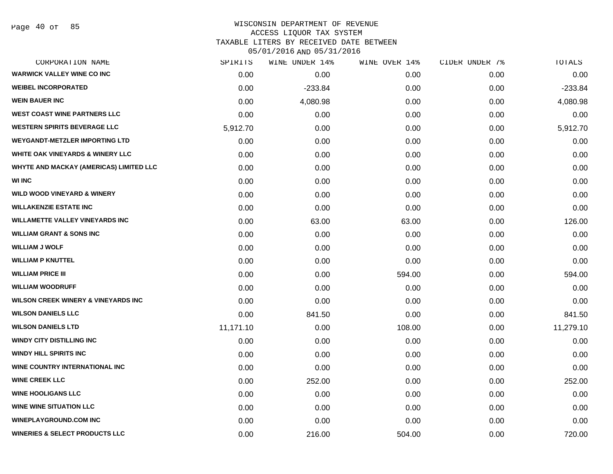### WISCONSIN DEPARTMENT OF REVENUE ACCESS LIQUOR TAX SYSTEM TAXABLE LITERS BY RECEIVED DATE BETWEEN

| CORPORATION NAME                               | SPIRITS   | WINE UNDER 14% | WINE OVER 14% | CIDER UNDER 7% | TOTALS    |
|------------------------------------------------|-----------|----------------|---------------|----------------|-----------|
| <b>WARWICK VALLEY WINE CO INC</b>              | 0.00      | 0.00           | 0.00          | 0.00           | 0.00      |
| <b>WEIBEL INCORPORATED</b>                     | 0.00      | $-233.84$      | 0.00          | 0.00           | $-233.84$ |
| <b>WEIN BAUER INC</b>                          | 0.00      | 4,080.98       | 0.00          | 0.00           | 4,080.98  |
| <b>WEST COAST WINE PARTNERS LLC</b>            | 0.00      | 0.00           | 0.00          | 0.00           | 0.00      |
| <b>WESTERN SPIRITS BEVERAGE LLC</b>            | 5,912.70  | 0.00           | 0.00          | 0.00           | 5,912.70  |
| <b>WEYGANDT-METZLER IMPORTING LTD</b>          | 0.00      | 0.00           | 0.00          | 0.00           | 0.00      |
| <b>WHITE OAK VINEYARDS &amp; WINERY LLC</b>    | 0.00      | 0.00           | 0.00          | 0.00           | 0.00      |
| WHYTE AND MACKAY (AMERICAS) LIMITED LLC        | 0.00      | 0.00           | 0.00          | 0.00           | 0.00      |
| <b>WI INC</b>                                  | 0.00      | 0.00           | 0.00          | 0.00           | 0.00      |
| <b>WILD WOOD VINEYARD &amp; WINERY</b>         | 0.00      | 0.00           | 0.00          | 0.00           | 0.00      |
| <b>WILLAKENZIE ESTATE INC</b>                  | 0.00      | 0.00           | 0.00          | 0.00           | 0.00      |
| <b>WILLAMETTE VALLEY VINEYARDS INC</b>         | 0.00      | 63.00          | 63.00         | 0.00           | 126.00    |
| <b>WILLIAM GRANT &amp; SONS INC</b>            | 0.00      | 0.00           | 0.00          | 0.00           | 0.00      |
| <b>WILLIAM J WOLF</b>                          | 0.00      | 0.00           | 0.00          | 0.00           | 0.00      |
| <b>WILLIAM P KNUTTEL</b>                       | 0.00      | 0.00           | 0.00          | 0.00           | 0.00      |
| <b>WILLIAM PRICE III</b>                       | 0.00      | 0.00           | 594.00        | 0.00           | 594.00    |
| <b>WILLIAM WOODRUFF</b>                        | 0.00      | 0.00           | 0.00          | 0.00           | 0.00      |
| <b>WILSON CREEK WINERY &amp; VINEYARDS INC</b> | 0.00      | 0.00           | 0.00          | 0.00           | 0.00      |
| <b>WILSON DANIELS LLC</b>                      | 0.00      | 841.50         | 0.00          | 0.00           | 841.50    |
| <b>WILSON DANIELS LTD</b>                      | 11,171.10 | 0.00           | 108.00        | 0.00           | 11,279.10 |
| <b>WINDY CITY DISTILLING INC</b>               | 0.00      | 0.00           | 0.00          | 0.00           | 0.00      |
| <b>WINDY HILL SPIRITS INC</b>                  | 0.00      | 0.00           | 0.00          | 0.00           | 0.00      |
| WINE COUNTRY INTERNATIONAL INC                 | 0.00      | 0.00           | 0.00          | 0.00           | 0.00      |
| <b>WINE CREEK LLC</b>                          | 0.00      | 252.00         | 0.00          | 0.00           | 252.00    |
| <b>WINE HOOLIGANS LLC</b>                      | 0.00      | 0.00           | 0.00          | 0.00           | 0.00      |
| <b>WINE WINE SITUATION LLC</b>                 | 0.00      | 0.00           | 0.00          | 0.00           | 0.00      |
| <b>WINEPLAYGROUND.COM INC</b>                  | 0.00      | 0.00           | 0.00          | 0.00           | 0.00      |
| <b>WINERIES &amp; SELECT PRODUCTS LLC</b>      | 0.00      | 216.00         | 504.00        | 0.00           | 720.00    |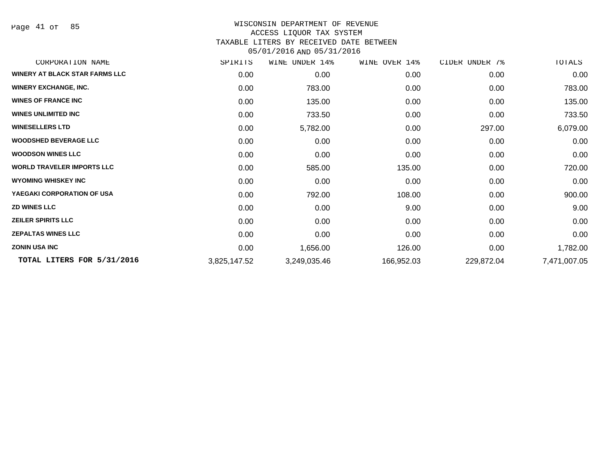Page 41 of 85

| CORPORATION NAME                  | SPIRITS      | UNDER 14%<br>WINE | WINE OVER 14% | CIDER UNDER 7% | TOTALS       |
|-----------------------------------|--------------|-------------------|---------------|----------------|--------------|
| WINERY AT BLACK STAR FARMS LLC    | 0.00         | 0.00              | 0.00          | 0.00           | 0.00         |
| <b>WINERY EXCHANGE, INC.</b>      | 0.00         | 783.00            | 0.00          | 0.00           | 783.00       |
| <b>WINES OF FRANCE INC</b>        | 0.00         | 135.00            | 0.00          | 0.00           | 135.00       |
| <b>WINES UNLIMITED INC</b>        | 0.00         | 733.50            | 0.00          | 0.00           | 733.50       |
| <b>WINESELLERS LTD</b>            | 0.00         | 5,782.00          | 0.00          | 297.00         | 6,079.00     |
| <b>WOODSHED BEVERAGE LLC</b>      | 0.00         | 0.00              | 0.00          | 0.00           | 0.00         |
| <b>WOODSON WINES LLC</b>          | 0.00         | 0.00              | 0.00          | 0.00           | 0.00         |
| <b>WORLD TRAVELER IMPORTS LLC</b> | 0.00         | 585.00            | 135.00        | 0.00           | 720.00       |
| <b>WYOMING WHISKEY INC</b>        | 0.00         | 0.00              | 0.00          | 0.00           | 0.00         |
| YAEGAKI CORPORATION OF USA        | 0.00         | 792.00            | 108.00        | 0.00           | 900.00       |
| <b>ZD WINES LLC</b>               | 0.00         | 0.00              | 9.00          | 0.00           | 9.00         |
| <b>ZEILER SPIRITS LLC</b>         | 0.00         | 0.00              | 0.00          | 0.00           | 0.00         |
| <b>ZEPALTAS WINES LLC</b>         | 0.00         | 0.00              | 0.00          | 0.00           | 0.00         |
| <b>ZONIN USA INC</b>              | 0.00         | 1,656.00          | 126.00        | 0.00           | 1,782.00     |
| TOTAL LITERS FOR 5/31/2016        | 3,825,147.52 | 3,249,035.46      | 166,952.03    | 229,872.04     | 7,471,007.05 |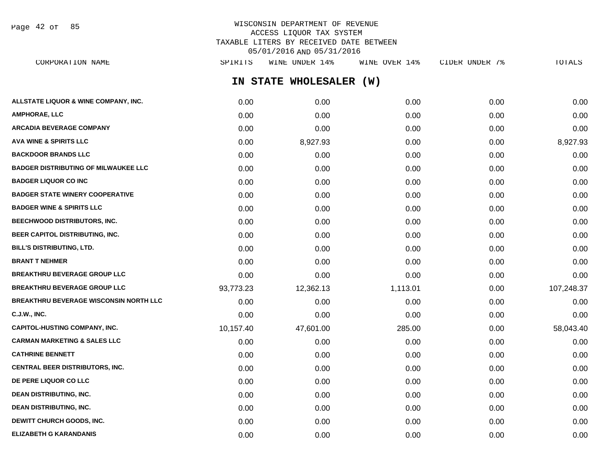Page 42 of 85

# WISCONSIN DEPARTMENT OF REVENUE ACCESS LIQUOR TAX SYSTEM TAXABLE LITERS BY RECEIVED DATE BETWEEN 05/01/2016 AND 05/31/2016

**IN STATE WHOLESALER (W) ALLSTATE LIQUOR & WINE COMPANY, INC.**  $0.00$   $0.00$   $0.00$   $0.00$   $0.00$   $0.00$   $0.00$   $0.00$   $0.00$   $0.00$   $0.00$   $0.00$ **AMPHORAE, LLC** 0.00 0.00 0.00 0.00 0.00 **ARCADIA BEVERAGE COMPANY** 0.00 0.00 0.00 0.00 0.00 **AVA WINE & SPIRITS LLC** 0.00 8,927.93 0.00 0.00 8,927.93 **BACKDOOR BRANDS LLC** 0.00 0.00 0.00 0.00 0.00 **BADGER DISTRIBUTING OF MILWAUKEE LLC** 0.00 0.00 0.00 0.00 0.00 **BADGER LIQUOR CO INC** 0.00 0.00 0.00 0.00 0.00 **BADGER STATE WINERY COOPERATIVE** 0.00 0.00 0.00 0.00 0.00 **BADGER WINE & SPIRITS LLC**  $\begin{array}{ccc} 0.00 & 0.00 & 0.00 \\ 0.00 & 0.00 & 0.00 \end{array}$ **BEECHWOOD DISTRIBUTORS, INC.** 0.00 0.00 0.00 0.00 0.00 **BEER CAPITOL DISTRIBUTING, INC.** 0.00 0.00 0.00 0.00 0.00 **BILL'S DISTRIBUTING, LTD.** 0.00 0.00 0.00 0.00 0.00 **BRANT T NEHMER** 0.00 0.00 0.00 0.00 0.00 **BREAKTHRU BEVERAGE GROUP LLC** 0.00 0.00 0.00 0.00 0.00 **BREAKTHRU BEVERAGE GROUP LLC** 93,773.23 12,362.13 1,113.01 0.00 107,248.37 **BREAKTHRU BEVERAGE WISCONSIN NORTH LLC** 0.00 0.00 0.00 0.00 0.00 **C.J.W., INC.** 0.00 0.00 0.00 0.00 0.00 **CAPITOL-HUSTING COMPANY, INC.** 10,157.40 47,601.00 285.00 0.00 58,043.40 **CARMAN MARKETING & SALES LLC** 0.00 0.00 0.00 0.00 0.00 **CATHRINE BENNETT** 0.00 0.00 0.00 0.00 0.00 **CENTRAL BEER DISTRIBUTORS, INC.** 0.00 0.00 0.00 0.00 0.00 **DE PERE LIQUOR CO LLC** 0.00 0.00 0.00 0.00 0.00 **DEAN DISTRIBUTING, INC.** 0.00 0.00 0.00 0.00 0.00 **DEAN DISTRIBUTING, INC.** 0.00 0.00 0.00 0.00 0.00 **DEWITT CHURCH GOODS, INC.** 0.00 0.00 0.00 0.00 0.00 CORPORATION NAME SPIRITS WINE UNDER 14% WINE OVER 14% CIDER UNDER 7% TOTALS

**ELIZABETH G KARANDANIS** 0.00 0.00 0.00 0.00 0.00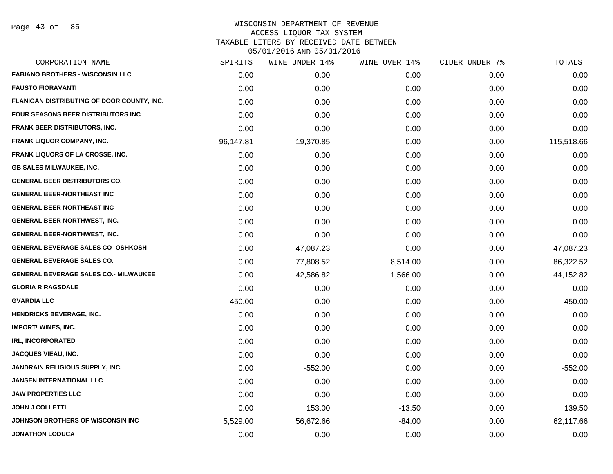| SPIRITS   | WINE UNDER 14% | WINE OVER 14% | CIDER UNDER 7% | TOTALS     |
|-----------|----------------|---------------|----------------|------------|
| 0.00      | 0.00           | 0.00          | 0.00           | 0.00       |
| 0.00      | 0.00           | 0.00          | 0.00           | 0.00       |
| 0.00      | 0.00           | 0.00          | 0.00           | 0.00       |
| 0.00      | 0.00           | 0.00          | 0.00           | 0.00       |
| 0.00      | 0.00           | 0.00          | 0.00           | 0.00       |
| 96,147.81 | 19,370.85      | 0.00          | 0.00           | 115,518.66 |
| 0.00      | 0.00           | 0.00          | 0.00           | 0.00       |
| 0.00      | 0.00           | 0.00          | 0.00           | 0.00       |
| 0.00      | 0.00           | 0.00          | 0.00           | 0.00       |
| 0.00      | 0.00           | 0.00          | 0.00           | 0.00       |
| 0.00      | 0.00           | 0.00          | 0.00           | 0.00       |
| 0.00      | 0.00           | 0.00          | 0.00           | 0.00       |
| 0.00      | 0.00           | 0.00          | 0.00           | 0.00       |
| 0.00      | 47,087.23      | 0.00          | 0.00           | 47,087.23  |
| 0.00      | 77,808.52      | 8,514.00      | 0.00           | 86,322.52  |
| 0.00      | 42,586.82      | 1,566.00      | 0.00           | 44,152.82  |
| 0.00      | 0.00           | 0.00          | 0.00           | 0.00       |
| 450.00    | 0.00           | 0.00          | 0.00           | 450.00     |
| 0.00      | 0.00           | 0.00          | 0.00           | 0.00       |
| 0.00      | 0.00           | 0.00          | 0.00           | 0.00       |
| 0.00      | 0.00           | 0.00          | 0.00           | 0.00       |
| 0.00      | 0.00           | 0.00          | 0.00           | 0.00       |
| 0.00      | $-552.00$      | 0.00          | 0.00           | $-552.00$  |
| 0.00      | 0.00           | 0.00          | 0.00           | 0.00       |
| 0.00      | 0.00           | 0.00          | 0.00           | 0.00       |
| 0.00      | 153.00         | $-13.50$      | 0.00           | 139.50     |
| 5,529.00  | 56,672.66      | $-84.00$      | 0.00           | 62,117.66  |
| 0.00      | 0.00           | 0.00          | 0.00           | 0.00       |
|           |                |               |                |            |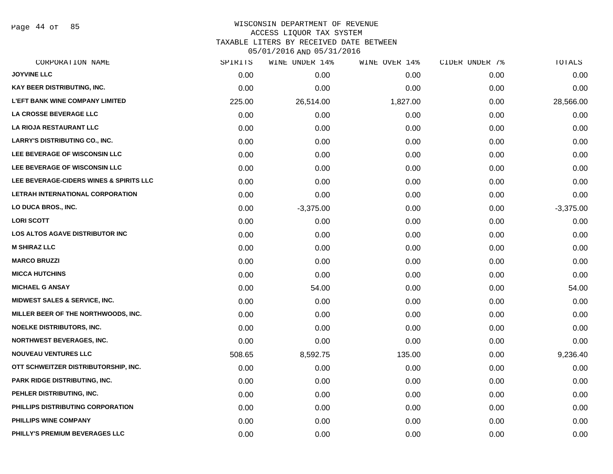Page 44 of 85

# WISCONSIN DEPARTMENT OF REVENUE ACCESS LIQUOR TAX SYSTEM TAXABLE LITERS BY RECEIVED DATE BETWEEN

| CORPORATION NAME                         | SPIRITS | WINE UNDER 14% | WINE OVER 14% | CIDER UNDER 7% | TOTALS      |
|------------------------------------------|---------|----------------|---------------|----------------|-------------|
| <b>JOYVINE LLC</b>                       | 0.00    | 0.00           | 0.00          | 0.00           | 0.00        |
| KAY BEER DISTRIBUTING, INC.              | 0.00    | 0.00           | 0.00          | 0.00           | 0.00        |
| <b>L'EFT BANK WINE COMPANY LIMITED</b>   | 225.00  | 26,514.00      | 1,827.00      | 0.00           | 28,566.00   |
| <b>LA CROSSE BEVERAGE LLC</b>            | 0.00    | 0.00           | 0.00          | 0.00           | 0.00        |
| LA RIOJA RESTAURANT LLC                  | 0.00    | 0.00           | 0.00          | 0.00           | 0.00        |
| <b>LARRY'S DISTRIBUTING CO., INC.</b>    | 0.00    | 0.00           | 0.00          | 0.00           | 0.00        |
| LEE BEVERAGE OF WISCONSIN LLC            | 0.00    | 0.00           | 0.00          | 0.00           | 0.00        |
| LEE BEVERAGE OF WISCONSIN LLC            | 0.00    | 0.00           | 0.00          | 0.00           | 0.00        |
| LEE BEVERAGE-CIDERS WINES & SPIRITS LLC  | 0.00    | 0.00           | 0.00          | 0.00           | 0.00        |
| LETRAH INTERNATIONAL CORPORATION         | 0.00    | 0.00           | 0.00          | 0.00           | 0.00        |
| LO DUCA BROS., INC.                      | 0.00    | $-3,375.00$    | 0.00          | 0.00           | $-3,375.00$ |
| <b>LORI SCOTT</b>                        | 0.00    | 0.00           | 0.00          | 0.00           | 0.00        |
| LOS ALTOS AGAVE DISTRIBUTOR INC          | 0.00    | 0.00           | 0.00          | 0.00           | 0.00        |
| <b>M SHIRAZ LLC</b>                      | 0.00    | 0.00           | 0.00          | 0.00           | 0.00        |
| <b>MARCO BRUZZI</b>                      | 0.00    | 0.00           | 0.00          | 0.00           | 0.00        |
| <b>MICCA HUTCHINS</b>                    | 0.00    | 0.00           | 0.00          | 0.00           | 0.00        |
| <b>MICHAEL G ANSAY</b>                   | 0.00    | 54.00          | 0.00          | 0.00           | 54.00       |
| <b>MIDWEST SALES &amp; SERVICE, INC.</b> | 0.00    | 0.00           | 0.00          | 0.00           | 0.00        |
| MILLER BEER OF THE NORTHWOODS, INC.      | 0.00    | 0.00           | 0.00          | 0.00           | 0.00        |
| <b>NOELKE DISTRIBUTORS, INC.</b>         | 0.00    | 0.00           | 0.00          | 0.00           | 0.00        |
| <b>NORTHWEST BEVERAGES, INC.</b>         | 0.00    | 0.00           | 0.00          | 0.00           | 0.00        |
| <b>NOUVEAU VENTURES LLC</b>              | 508.65  | 8,592.75       | 135.00        | 0.00           | 9,236.40    |
| OTT SCHWEITZER DISTRIBUTORSHIP, INC.     | 0.00    | 0.00           | 0.00          | 0.00           | 0.00        |
| PARK RIDGE DISTRIBUTING, INC.            | 0.00    | 0.00           | 0.00          | 0.00           | 0.00        |
| PEHLER DISTRIBUTING, INC.                | 0.00    | 0.00           | 0.00          | 0.00           | 0.00        |
| PHILLIPS DISTRIBUTING CORPORATION        | 0.00    | 0.00           | 0.00          | 0.00           | 0.00        |
| PHILLIPS WINE COMPANY                    | 0.00    | 0.00           | 0.00          | 0.00           | 0.00        |
| PHILLY'S PREMIUM BEVERAGES LLC           | 0.00    | 0.00           | 0.00          | 0.00           | 0.00        |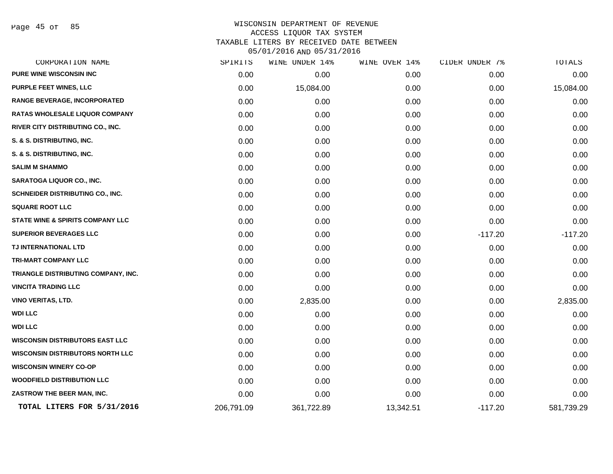Page 45 of 85

| CORPORATION NAME                        | SPIRITS    | WINE UNDER 14% | WINE OVER 14% | CIDER UNDER 7% | TOTALS     |
|-----------------------------------------|------------|----------------|---------------|----------------|------------|
| <b>PURE WINE WISCONSIN INC</b>          | 0.00       | 0.00           | 0.00          | 0.00           | 0.00       |
| PURPLE FEET WINES, LLC                  | 0.00       | 15,084.00      | 0.00          | 0.00           | 15,084.00  |
| RANGE BEVERAGE, INCORPORATED            | 0.00       | 0.00           | 0.00          | 0.00           | 0.00       |
| RATAS WHOLESALE LIQUOR COMPANY          | 0.00       | 0.00           | 0.00          | 0.00           | 0.00       |
| RIVER CITY DISTRIBUTING CO., INC.       | 0.00       | 0.00           | 0.00          | 0.00           | 0.00       |
| S. & S. DISTRIBUTING, INC.              | 0.00       | 0.00           | 0.00          | 0.00           | 0.00       |
| S. & S. DISTRIBUTING, INC.              | 0.00       | 0.00           | 0.00          | 0.00           | 0.00       |
| <b>SALIM M SHAMMO</b>                   | 0.00       | 0.00           | 0.00          | 0.00           | 0.00       |
| <b>SARATOGA LIQUOR CO., INC.</b>        | 0.00       | 0.00           | 0.00          | 0.00           | 0.00       |
| SCHNEIDER DISTRIBUTING CO., INC.        | 0.00       | 0.00           | 0.00          | 0.00           | 0.00       |
| <b>SQUARE ROOT LLC</b>                  | 0.00       | 0.00           | 0.00          | 0.00           | 0.00       |
| STATE WINE & SPIRITS COMPANY LLC        | 0.00       | 0.00           | 0.00          | 0.00           | 0.00       |
| SUPERIOR BEVERAGES LLC                  | 0.00       | 0.00           | 0.00          | $-117.20$      | $-117.20$  |
| TJ INTERNATIONAL LTD                    | 0.00       | 0.00           | 0.00          | 0.00           | 0.00       |
| <b>TRI-MART COMPANY LLC</b>             | 0.00       | 0.00           | 0.00          | 0.00           | 0.00       |
| TRIANGLE DISTRIBUTING COMPANY, INC.     | 0.00       | 0.00           | 0.00          | 0.00           | 0.00       |
| <b>VINCITA TRADING LLC</b>              | 0.00       | 0.00           | 0.00          | 0.00           | 0.00       |
| <b>VINO VERITAS, LTD.</b>               | 0.00       | 2,835.00       | 0.00          | 0.00           | 2,835.00   |
| <b>WDI LLC</b>                          | 0.00       | 0.00           | 0.00          | 0.00           | 0.00       |
| <b>WDI LLC</b>                          | 0.00       | 0.00           | 0.00          | 0.00           | 0.00       |
| <b>WISCONSIN DISTRIBUTORS EAST LLC</b>  | 0.00       | 0.00           | 0.00          | 0.00           | 0.00       |
| <b>WISCONSIN DISTRIBUTORS NORTH LLC</b> | 0.00       | 0.00           | 0.00          | 0.00           | 0.00       |
| <b>WISCONSIN WINERY CO-OP</b>           | 0.00       | 0.00           | 0.00          | 0.00           | 0.00       |
| <b>WOODFIELD DISTRIBUTION LLC</b>       | 0.00       | 0.00           | 0.00          | 0.00           | 0.00       |
| ZASTROW THE BEER MAN, INC.              | 0.00       | 0.00           | 0.00          | 0.00           | 0.00       |
| TOTAL LITERS FOR 5/31/2016              | 206,791.09 | 361,722.89     | 13,342.51     | $-117.20$      | 581,739.29 |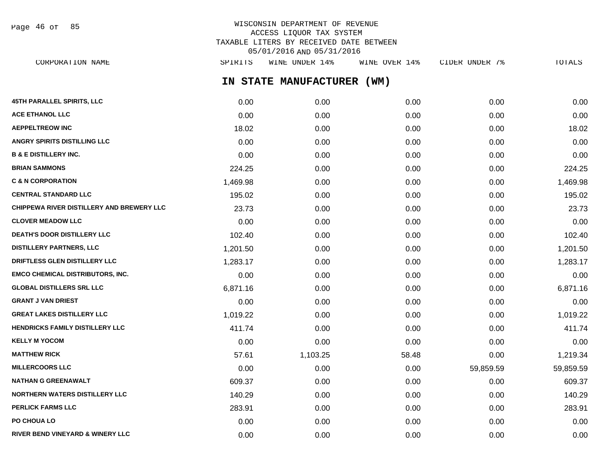Page 46 of 85

# WISCONSIN DEPARTMENT OF REVENUE ACCESS LIQUOR TAX SYSTEM TAXABLE LITERS BY RECEIVED DATE BETWEEN 05/01/2016 AND 05/31/2016

**IN STATE MANUFACTURER (WM) 45TH PARALLEL SPIRITS, LLC** 0.00 0.00 0.00 0.00 0.00 **ACE ETHANOL LLC** 0.00 0.00 0.00 0.00 0.00 **AEPPELTREOW INC** 18.02 0.00 0.00 0.00 18.02 **ANGRY SPIRITS DISTILLING LLC** 0.00 0.00 0.00 0.00 0.00 **B & E DISTILLERY INC.** 0.00 0.00 0.00 0.00 0.00 **BRIAN SAMMONS** 224.25 0.00 0.00 0.00 224.25 **C & N CORPORATION** 1,469.98 0.00 0.00 0.00 1,469.98 **CENTRAL STANDARD LLC** 195.02 0.00 0.00 0.00 195.02 **CHIPPEWA RIVER DISTILLERY AND BREWERY LLC** 23.73 0.00 0.00 0.00 23.73 **CLOVER MEADOW LLC** 0.00 0.00 0.00 0.00 0.00 **DEATH'S DOOR DISTILLERY LLC** 102.40 0.00 0.00 0.00 102.40 **DISTILLERY PARTNERS, LLC** 1,201.50 0.00 0.00 0.00 1,201.50 **DRIFTLESS GLEN DISTILLERY LLC** 1,283.17 0.00 0.00 0.00 1,283.17 **EMCO CHEMICAL DISTRIBUTORS, INC.** 0.00 0.00 0.00 0.00 0.00 **GLOBAL DISTILLERS SRL LLC** 6,871.16 0.00 0.00 0.00 6,871.16 **GRANT J VAN DRIEST** 0.00 0.00 0.00 0.00 0.00 **GREAT LAKES DISTILLERY LLC** 1,019.22 0.00 0.00 0.00 1,019.22 **HENDRICKS FAMILY DISTILLERY LLC** 411.74 0.00 0.00 0.00 0.00 0.00 0.00 411.74 **KELLY M YOCOM** 0.00 0.00 0.00 0.00 0.00 **MATTHEW RICK** 57.61 1,103.25 58.48 0.00 1,219.34 **MILLERCOORS LLC** 69,859.59 59,859.59 59,859.59 59,859.59 0.00 0.00 0.00 0.00 59,859.59 59,859.59 59,859.59 59,859 **NATHAN G GREENAWALT** 609.37 0.00 0.00 0.00 609.37 **NORTHERN WATERS DISTILLERY LLC**  $140.29$  0.00 0.00 0.00 0.00 0.00 0.00 0.00 140.29 **PERLICK FARMS LLC** 283.91 283.91 283.91 283.91 283.91 283.91 283.91 283.91 283.91 283.91 283.91 283.91 283.91 283.91 CORPORATION NAME SPIRITS WINE UNDER 14% WINE OVER 14% CIDER UNDER 7% TOTALS

**PO CHOUA LO** 0.00 0.00 0.00 0.00 0.00 **RIVER BEND VINEYARD & WINERY LLC** 0.00 0.00 0.00 0.00 0.00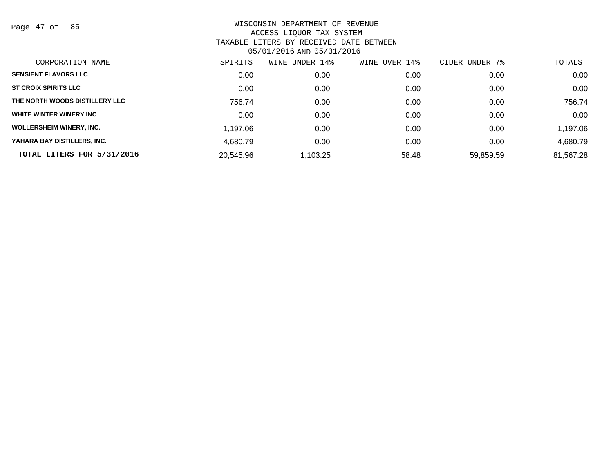Page 47 of 85

| CORPORATION NAME                | SPIRITS   | WINE<br>UNDER 14% | OVER 14%<br>WINE | UNDER 7%<br>CIDER | TOTALS    |
|---------------------------------|-----------|-------------------|------------------|-------------------|-----------|
| <b>SENSIENT FLAVORS LLC</b>     | 0.00      | 0.00              | 0.00             | 0.00              | 0.00      |
| <b>ST CROIX SPIRITS LLC</b>     | 0.00      | 0.00              | 0.00             | 0.00              | 0.00      |
| THE NORTH WOODS DISTILLERY LLC  | 756.74    | 0.00              | 0.00             | 0.00              | 756.74    |
| WHITE WINTER WINERY INC         | 0.00      | 0.00              | 0.00             | 0.00              | 0.00      |
| <b>WOLLERSHEIM WINERY, INC.</b> | 1.197.06  | 0.00              | 0.00             | 0.00              | 1,197.06  |
| YAHARA BAY DISTILLERS, INC.     | 4,680.79  | 0.00              | 0.00             | 0.00              | 4,680.79  |
| TOTAL LITERS FOR 5/31/2016      | 20,545.96 | 1,103.25          | 58.48            | 59,859.59         | 81,567.28 |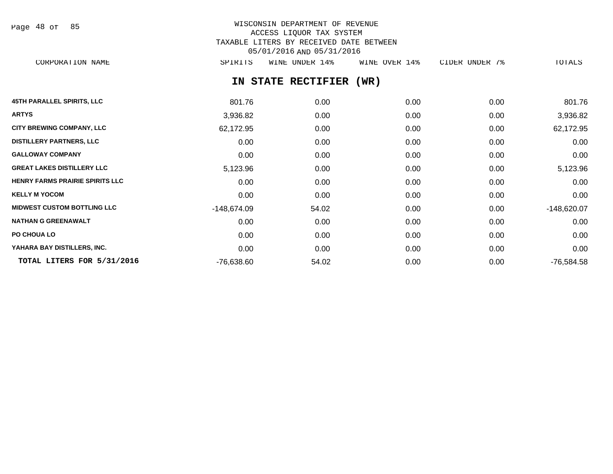Page 48 of 85

# WISCONSIN DEPARTMENT OF REVENUE ACCESS LIQUOR TAX SYSTEM TAXABLE LITERS BY RECEIVED DATE BETWEEN 05/01/2016 AND 05/31/2016

CORPORATION NAME SPIRITS WINE UNDER 14% WINE OVER 14% CIDER UNDER 7% TOTALS

# **IN STATE RECTIFIER (WR)**

| <b>45TH PARALLEL SPIRITS, LLC</b>      | 801.76        | 0.00  | 0.00 | 0.00 | 801.76        |
|----------------------------------------|---------------|-------|------|------|---------------|
| <b>ARTYS</b>                           | 3,936.82      | 0.00  | 0.00 | 0.00 | 3,936.82      |
| <b>CITY BREWING COMPANY, LLC</b>       | 62,172.95     | 0.00  | 0.00 | 0.00 | 62,172.95     |
| <b>DISTILLERY PARTNERS, LLC</b>        | 0.00          | 0.00  | 0.00 | 0.00 | 0.00          |
| <b>GALLOWAY COMPANY</b>                | 0.00          | 0.00  | 0.00 | 0.00 | 0.00          |
| <b>GREAT LAKES DISTILLERY LLC</b>      | 5,123.96      | 0.00  | 0.00 | 0.00 | 5,123.96      |
| <b>HENRY FARMS PRAIRIE SPIRITS LLC</b> | 0.00          | 0.00  | 0.00 | 0.00 | 0.00          |
| <b>KELLY M YOCOM</b>                   | 0.00          | 0.00  | 0.00 | 0.00 | 0.00          |
| <b>MIDWEST CUSTOM BOTTLING LLC</b>     | $-148,674.09$ | 54.02 | 0.00 | 0.00 | $-148,620.07$ |
| <b>NATHAN G GREENAWALT</b>             | 0.00          | 0.00  | 0.00 | 0.00 | 0.00          |
| PO CHOUA LO                            | 0.00          | 0.00  | 0.00 | 0.00 | 0.00          |
| YAHARA BAY DISTILLERS, INC.            | 0.00          | 0.00  | 0.00 | 0.00 | 0.00          |
| TOTAL LITERS FOR 5/31/2016             | $-76,638.60$  | 54.02 | 0.00 | 0.00 | $-76,584.58$  |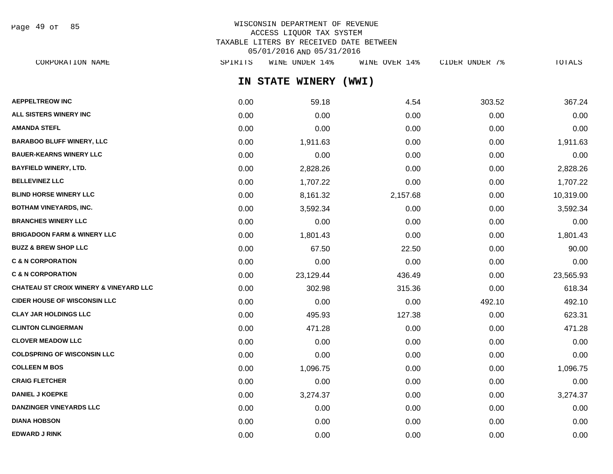Page 49 of 85

# WISCONSIN DEPARTMENT OF REVENUE ACCESS LIQUOR TAX SYSTEM TAXABLE LITERS BY RECEIVED DATE BETWEEN 05/01/2016 AND 05/31/2016

**IN STATE WINERY (WWI) AEPPELTREOW INC** 303.52 367.24 **ALL SISTERS WINERY INC** 0.00 0.00 0.00 0.00 0.00 **AMANDA STEFL** 0.00 0.00 0.00 0.00 0.00 **BARABOO BLUFF WINERY, LLC** 0.00 1,911.63 0.00 0.00 1,911.63 **BAUER-KEARNS WINERY LLC** 0.00 0.00 0.00 0.00 0.00 **BAYFIELD WINERY, LTD.** 0.00 2,828.26 0.00 0.00 2,828.26 **BELLEVINEZ LLC** 0.00 1,707.22 0.00 0.00 1,707.22 **BLIND HORSE WINERY LLC** 0.00 8,161.32 2,157.68 0.00 10,319.00 **BOTHAM VINEYARDS, INC.** 25,592.34 2.000 0.00 0.00 0.00 3,592.34 3.592.34 3.592.34 3.592.34 **BRANCHES WINERY LLC** 0.00 0.00 0.00 0.00 0.00 **BRIGADOON FARM & WINERY LLC** 0.00 1,801.43 0.00 0.00 1,801.43 **BUZZ & BREW SHOP LLC** 60.00 67.50 22.50 0.00 67.50 22.50 0.00 90.00 **C & N CORPORATION CONSUMED ASSOCIATION CONSUMING A LOCAL CONSUMING A LOCAL CONSUMING A LOCAL CONSUMING A LOCAL CONSUMING A LOCAL CONSUMING A LOCAL CONSUMING A LOCAL CONSUMING A LOCAL CONSUMING A LOCAL CONSUMING A LOCAL CO C & N CORPORATION 62.456.93 C & N CORPORATION 436.49** 23,129.44 **436.49** 23,565.93 **CHATEAU ST CROIX WINERY & VINEYARD LLC** 0.00 302.98 315.36 0.00 618.34 CORPORATION NAME SPIRITS WINE UNDER 14% WINE OVER 14% CIDER UNDER 7% TOTALS

**CIDER HOUSE OF WISCONSIN LLC** 0.00 0.00 0.00 492.10 492.10 **CLAY JAR HOLDINGS LLC** 0.00 495.93 127.38 0.00 623.31 **CLINTON CLINGERMAN** 0.00 471.28 0.00 0.00 471.28 **CLOVER MEADOW LLC** 0.00 0.00 0.00 0.00 0.00 **COLDSPRING OF WISCONSIN LLC** 0.00 0.00 0.00 0.00 0.00 **COLLEEN M BOS** 0.00 1,096.75 0.00 0.00 1,096.75 **CRAIG FLETCHER** 0.00 0.00 0.00 0.00 0.00 **DANIEL J KOEPKE** 0.00 3,274.37 0.00 0.00 3,274.37 **DANZINGER VINEYARDS LLC** 0.00 0.00 0.00 0.00 0.00 **DIANA HOBSON** 0.00 0.00 0.00 0.00 0.00 **EDWARD J RINK** 0.00 0.00 0.00 0.00 0.00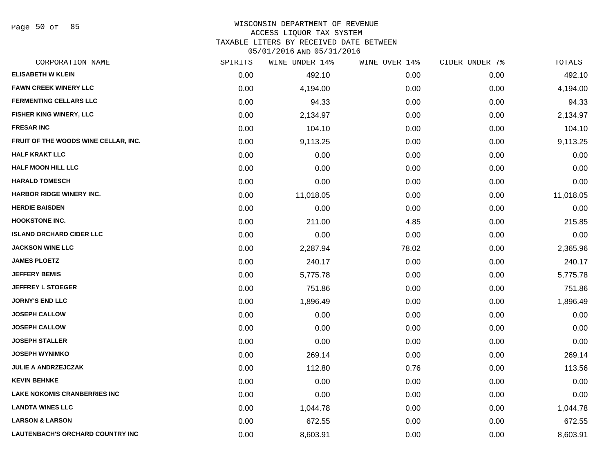Page 50 of 85

# WISCONSIN DEPARTMENT OF REVENUE

ACCESS LIQUOR TAX SYSTEM

TAXABLE LITERS BY RECEIVED DATE BETWEEN

| CORPORATION NAME                        | SPIRITS | WINE UNDER 14% | WINE OVER 14% | CIDER UNDER 7% | TOTALS    |
|-----------------------------------------|---------|----------------|---------------|----------------|-----------|
| <b>ELISABETH W KLEIN</b>                | 0.00    | 492.10         | 0.00          | 0.00           | 492.10    |
| <b>FAWN CREEK WINERY LLC</b>            | 0.00    | 4,194.00       | 0.00          | 0.00           | 4,194.00  |
| <b>FERMENTING CELLARS LLC</b>           | 0.00    | 94.33          | 0.00          | 0.00           | 94.33     |
| <b>FISHER KING WINERY, LLC</b>          | 0.00    | 2,134.97       | 0.00          | 0.00           | 2,134.97  |
| <b>FRESAR INC</b>                       | 0.00    | 104.10         | 0.00          | 0.00           | 104.10    |
| FRUIT OF THE WOODS WINE CELLAR, INC.    | 0.00    | 9,113.25       | 0.00          | 0.00           | 9,113.25  |
| <b>HALF KRAKT LLC</b>                   | 0.00    | 0.00           | 0.00          | 0.00           | 0.00      |
| <b>HALF MOON HILL LLC</b>               | 0.00    | 0.00           | 0.00          | 0.00           | 0.00      |
| <b>HARALD TOMESCH</b>                   | 0.00    | 0.00           | 0.00          | 0.00           | 0.00      |
| <b>HARBOR RIDGE WINERY INC.</b>         | 0.00    | 11,018.05      | 0.00          | 0.00           | 11,018.05 |
| <b>HERDIE BAISDEN</b>                   | 0.00    | 0.00           | 0.00          | 0.00           | 0.00      |
| <b>HOOKSTONE INC.</b>                   | 0.00    | 211.00         | 4.85          | 0.00           | 215.85    |
| <b>ISLAND ORCHARD CIDER LLC</b>         | 0.00    | 0.00           | 0.00          | 0.00           | 0.00      |
| <b>JACKSON WINE LLC</b>                 | 0.00    | 2,287.94       | 78.02         | 0.00           | 2,365.96  |
| <b>JAMES PLOETZ</b>                     | 0.00    | 240.17         | 0.00          | 0.00           | 240.17    |
| <b>JEFFERY BEMIS</b>                    | 0.00    | 5,775.78       | 0.00          | 0.00           | 5,775.78  |
| <b>JEFFREY L STOEGER</b>                | 0.00    | 751.86         | 0.00          | 0.00           | 751.86    |
| <b>JORNY'S END LLC</b>                  | 0.00    | 1,896.49       | 0.00          | 0.00           | 1,896.49  |
| <b>JOSEPH CALLOW</b>                    | 0.00    | 0.00           | 0.00          | 0.00           | 0.00      |
| <b>JOSEPH CALLOW</b>                    | 0.00    | 0.00           | 0.00          | 0.00           | 0.00      |
| <b>JOSEPH STALLER</b>                   | 0.00    | 0.00           | 0.00          | 0.00           | 0.00      |
| <b>JOSEPH WYNIMKO</b>                   | 0.00    | 269.14         | 0.00          | 0.00           | 269.14    |
| <b>JULIE A ANDRZEJCZAK</b>              | 0.00    | 112.80         | 0.76          | 0.00           | 113.56    |
| <b>KEVIN BEHNKE</b>                     | 0.00    | 0.00           | 0.00          | 0.00           | 0.00      |
| <b>LAKE NOKOMIS CRANBERRIES INC</b>     | 0.00    | 0.00           | 0.00          | 0.00           | 0.00      |
| <b>LANDTA WINES LLC</b>                 | 0.00    | 1,044.78       | 0.00          | 0.00           | 1,044.78  |
| <b>LARSON &amp; LARSON</b>              | 0.00    | 672.55         | 0.00          | 0.00           | 672.55    |
| <b>LAUTENBACH'S ORCHARD COUNTRY INC</b> | 0.00    | 8,603.91       | 0.00          | 0.00           | 8,603.91  |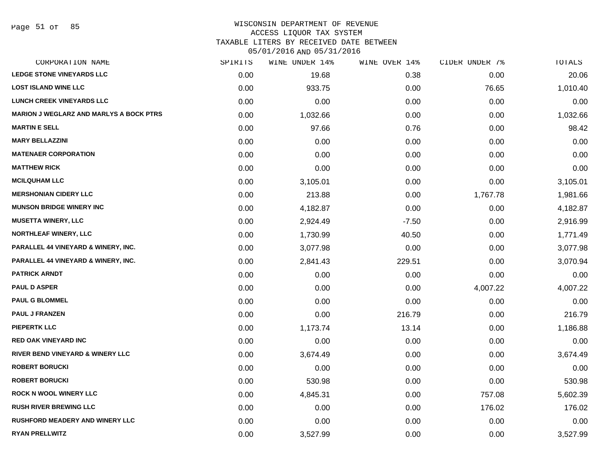# WISCONSIN DEPARTMENT OF REVENUE

## ACCESS LIQUOR TAX SYSTEM

TAXABLE LITERS BY RECEIVED DATE BETWEEN

| CORPORATION NAME                               | SPIRITS | WINE UNDER 14% | WINE OVER 14% | CIDER UNDER 7% | TOTALS   |
|------------------------------------------------|---------|----------------|---------------|----------------|----------|
| <b>LEDGE STONE VINEYARDS LLC</b>               | 0.00    | 19.68          | 0.38          | 0.00           | 20.06    |
| <b>LOST ISLAND WINE LLC</b>                    | 0.00    | 933.75         | 0.00          | 76.65          | 1,010.40 |
| <b>LUNCH CREEK VINEYARDS LLC</b>               | 0.00    | 0.00           | 0.00          | 0.00           | 0.00     |
| <b>MARION J WEGLARZ AND MARLYS A BOCK PTRS</b> | 0.00    | 1,032.66       | 0.00          | 0.00           | 1,032.66 |
| <b>MARTIN E SELL</b>                           | 0.00    | 97.66          | 0.76          | 0.00           | 98.42    |
| <b>MARY BELLAZZINI</b>                         | 0.00    | 0.00           | 0.00          | 0.00           | 0.00     |
| <b>MATENAER CORPORATION</b>                    | 0.00    | 0.00           | 0.00          | 0.00           | 0.00     |
| <b>MATTHEW RICK</b>                            | 0.00    | 0.00           | 0.00          | 0.00           | 0.00     |
| <b>MCILQUHAM LLC</b>                           | 0.00    | 3,105.01       | 0.00          | 0.00           | 3,105.01 |
| <b>MERSHONIAN CIDERY LLC</b>                   | 0.00    | 213.88         | 0.00          | 1,767.78       | 1,981.66 |
| <b>MUNSON BRIDGE WINERY INC</b>                | 0.00    | 4,182.87       | 0.00          | 0.00           | 4,182.87 |
| <b>MUSETTA WINERY, LLC</b>                     | 0.00    | 2,924.49       | $-7.50$       | 0.00           | 2,916.99 |
| NORTHLEAF WINERY, LLC                          | 0.00    | 1,730.99       | 40.50         | 0.00           | 1,771.49 |
| <b>PARALLEL 44 VINEYARD &amp; WINERY, INC.</b> | 0.00    | 3,077.98       | 0.00          | 0.00           | 3,077.98 |
| <b>PARALLEL 44 VINEYARD &amp; WINERY, INC.</b> | 0.00    | 2,841.43       | 229.51        | 0.00           | 3,070.94 |
| <b>PATRICK ARNDT</b>                           | 0.00    | 0.00           | 0.00          | 0.00           | 0.00     |
| <b>PAUL D ASPER</b>                            | 0.00    | 0.00           | 0.00          | 4,007.22       | 4,007.22 |
| <b>PAUL G BLOMMEL</b>                          | 0.00    | 0.00           | 0.00          | 0.00           | 0.00     |
| <b>PAUL J FRANZEN</b>                          | 0.00    | 0.00           | 216.79        | 0.00           | 216.79   |
| <b>PIEPERTK LLC</b>                            | 0.00    | 1,173.74       | 13.14         | 0.00           | 1,186.88 |
| <b>RED OAK VINEYARD INC</b>                    | 0.00    | 0.00           | 0.00          | 0.00           | 0.00     |
| RIVER BEND VINEYARD & WINERY LLC               | 0.00    | 3,674.49       | 0.00          | 0.00           | 3,674.49 |
| <b>ROBERT BORUCKI</b>                          | 0.00    | 0.00           | 0.00          | 0.00           | 0.00     |
| <b>ROBERT BORUCKI</b>                          | 0.00    | 530.98         | 0.00          | 0.00           | 530.98   |
| <b>ROCK N WOOL WINERY LLC</b>                  | 0.00    | 4,845.31       | 0.00          | 757.08         | 5,602.39 |
| <b>RUSH RIVER BREWING LLC</b>                  | 0.00    | 0.00           | 0.00          | 176.02         | 176.02   |
| <b>RUSHFORD MEADERY AND WINERY LLC</b>         | 0.00    | 0.00           | 0.00          | 0.00           | 0.00     |
| <b>RYAN PRELLWITZ</b>                          | 0.00    | 3,527.99       | 0.00          | 0.00           | 3,527.99 |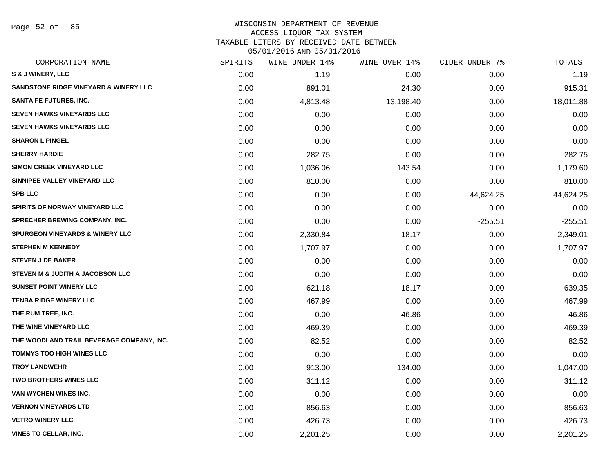Page 52 of 85

# WISCONSIN DEPARTMENT OF REVENUE

ACCESS LIQUOR TAX SYSTEM

TAXABLE LITERS BY RECEIVED DATE BETWEEN

| CORPORATION NAME                                 | SPIRITS | WINE UNDER 14% | WINE OVER 14% | CIDER UNDER 7% | TOTALS    |
|--------------------------------------------------|---------|----------------|---------------|----------------|-----------|
| S & J WINERY, LLC                                | 0.00    | 1.19           | 0.00          | 0.00           | 1.19      |
| <b>SANDSTONE RIDGE VINEYARD &amp; WINERY LLC</b> | 0.00    | 891.01         | 24.30         | 0.00           | 915.31    |
| <b>SANTA FE FUTURES, INC.</b>                    | 0.00    | 4,813.48       | 13,198.40     | 0.00           | 18,011.88 |
| <b>SEVEN HAWKS VINEYARDS LLC</b>                 | 0.00    | 0.00           | 0.00          | 0.00           | 0.00      |
| <b>SEVEN HAWKS VINEYARDS LLC</b>                 | 0.00    | 0.00           | 0.00          | 0.00           | 0.00      |
| <b>SHARON L PINGEL</b>                           | 0.00    | 0.00           | 0.00          | 0.00           | 0.00      |
| <b>SHERRY HARDIE</b>                             | 0.00    | 282.75         | 0.00          | 0.00           | 282.75    |
| <b>SIMON CREEK VINEYARD LLC</b>                  | 0.00    | 1,036.06       | 143.54        | 0.00           | 1,179.60  |
| SINNIPEE VALLEY VINEYARD LLC                     | 0.00    | 810.00         | 0.00          | 0.00           | 810.00    |
| <b>SPB LLC</b>                                   | 0.00    | 0.00           | 0.00          | 44,624.25      | 44,624.25 |
| SPIRITS OF NORWAY VINEYARD LLC                   | 0.00    | 0.00           | 0.00          | 0.00           | 0.00      |
| SPRECHER BREWING COMPANY, INC.                   | 0.00    | 0.00           | 0.00          | $-255.51$      | $-255.51$ |
| <b>SPURGEON VINEYARDS &amp; WINERY LLC</b>       | 0.00    | 2,330.84       | 18.17         | 0.00           | 2,349.01  |
| <b>STEPHEN M KENNEDY</b>                         | 0.00    | 1,707.97       | 0.00          | 0.00           | 1,707.97  |
| <b>STEVEN J DE BAKER</b>                         | 0.00    | 0.00           | 0.00          | 0.00           | 0.00      |
| STEVEN M & JUDITH A JACOBSON LLC                 | 0.00    | 0.00           | 0.00          | 0.00           | 0.00      |
| <b>SUNSET POINT WINERY LLC</b>                   | 0.00    | 621.18         | 18.17         | 0.00           | 639.35    |
| <b>TENBA RIDGE WINERY LLC</b>                    | 0.00    | 467.99         | 0.00          | 0.00           | 467.99    |
| THE RUM TREE, INC.                               | 0.00    | 0.00           | 46.86         | 0.00           | 46.86     |
| THE WINE VINEYARD LLC                            | 0.00    | 469.39         | 0.00          | 0.00           | 469.39    |
| THE WOODLAND TRAIL BEVERAGE COMPANY, INC.        | 0.00    | 82.52          | 0.00          | 0.00           | 82.52     |
| <b>TOMMYS TOO HIGH WINES LLC</b>                 | 0.00    | 0.00           | 0.00          | 0.00           | 0.00      |
| <b>TROY LANDWEHR</b>                             | 0.00    | 913.00         | 134.00        | 0.00           | 1,047.00  |
| <b>TWO BROTHERS WINES LLC</b>                    | 0.00    | 311.12         | 0.00          | 0.00           | 311.12    |
| VAN WYCHEN WINES INC.                            | 0.00    | 0.00           | 0.00          | 0.00           | 0.00      |
| <b>VERNON VINEYARDS LTD</b>                      | 0.00    | 856.63         | 0.00          | 0.00           | 856.63    |
| <b>VETRO WINERY LLC</b>                          | 0.00    | 426.73         | 0.00          | 0.00           | 426.73    |
| <b>VINES TO CELLAR, INC.</b>                     | 0.00    | 2,201.25       | 0.00          | 0.00           | 2,201.25  |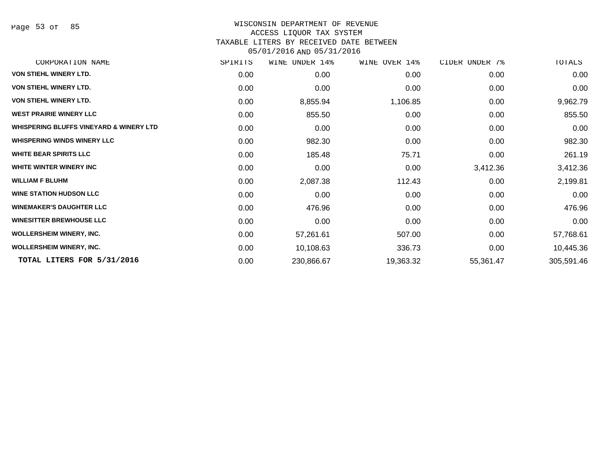Page 53 of 85

#### WISCONSIN DEPARTMENT OF REVENUE

#### ACCESS LIQUOR TAX SYSTEM

TAXABLE LITERS BY RECEIVED DATE BETWEEN

| CORPORATION NAME                                   | SPIRITS | WINE UNDER 14% | WINE OVER 14% | CIDER UNDER 7% | TOTALS     |
|----------------------------------------------------|---------|----------------|---------------|----------------|------------|
| <b>VON STIEHL WINERY LTD.</b>                      | 0.00    | 0.00           | 0.00          | 0.00           | 0.00       |
| VON STIEHL WINERY LTD.                             | 0.00    | 0.00           | 0.00          | 0.00           | 0.00       |
| <b>VON STIEHL WINERY LTD.</b>                      | 0.00    | 8,855.94       | 1,106.85      | 0.00           | 9,962.79   |
| <b>WEST PRAIRIE WINERY LLC</b>                     | 0.00    | 855.50         | 0.00          | 0.00           | 855.50     |
| <b>WHISPERING BLUFFS VINEYARD &amp; WINERY LTD</b> | 0.00    | 0.00           | 0.00          | 0.00           | 0.00       |
| <b>WHISPERING WINDS WINERY LLC</b>                 | 0.00    | 982.30         | 0.00          | 0.00           | 982.30     |
| <b>WHITE BEAR SPIRITS LLC</b>                      | 0.00    | 185.48         | 75.71         | 0.00           | 261.19     |
| WHITE WINTER WINERY INC                            | 0.00    | 0.00           | 0.00          | 3,412.36       | 3,412.36   |
| <b>WILLIAM F BLUHM</b>                             | 0.00    | 2,087.38       | 112.43        | 0.00           | 2,199.81   |
| <b>WINE STATION HUDSON LLC</b>                     | 0.00    | 0.00           | 0.00          | 0.00           | 0.00       |
| <b>WINEMAKER'S DAUGHTER LLC</b>                    | 0.00    | 476.96         | 0.00          | 0.00           | 476.96     |
| <b>WINESITTER BREWHOUSE LLC</b>                    | 0.00    | 0.00           | 0.00          | 0.00           | 0.00       |
| <b>WOLLERSHEIM WINERY, INC.</b>                    | 0.00    | 57,261.61      | 507.00        | 0.00           | 57,768.61  |
| <b>WOLLERSHEIM WINERY, INC.</b>                    | 0.00    | 10,108.63      | 336.73        | 0.00           | 10,445.36  |
| TOTAL LITERS FOR 5/31/2016                         | 0.00    | 230,866.67     | 19,363.32     | 55,361.47      | 305,591.46 |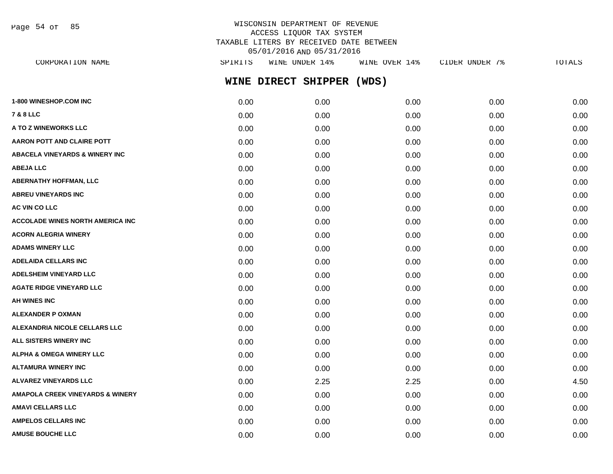Page 54 of 85

# WISCONSIN DEPARTMENT OF REVENUE ACCESS LIQUOR TAX SYSTEM TAXABLE LITERS BY RECEIVED DATE BETWEEN 05/01/2016 AND 05/31/2016

| SPIRITS | WINE UNDER 14% | WINE OVER 14% | CIDER UNDER 7%      | <b>TOTALS</b> |
|---------|----------------|---------------|---------------------|---------------|
|         |                | (WDS)         |                     |               |
| 0.00    | 0.00           | 0.00          | 0.00                | 0.00          |
| 0.00    | 0.00           | 0.00          | 0.00                | 0.00          |
| 0.00    | 0.00           | 0.00          | 0.00                | 0.00          |
| 0.00    | 0.00           | 0.00          | 0.00                | 0.00          |
| 0.00    | 0.00           | 0.00          | 0.00                | 0.00          |
| 0.00    | 0.00           | 0.00          | 0.00                | 0.00          |
| 0.00    | 0.00           | 0.00          | 0.00                | 0.00          |
| 0.00    | 0.00           | 0.00          | 0.00                | 0.00          |
| 0.00    | 0.00           | 0.00          | 0.00                | 0.00          |
| 0.00    | 0.00           | 0.00          | 0.00                | 0.00          |
| 0.00    | 0.00           | 0.00          | 0.00                | 0.00          |
| 0.00    | 0.00           | 0.00          | 0.00                | 0.00          |
| 0.00    | 0.00           | 0.00          | 0.00                | 0.00          |
| 0.00    | 0.00           | 0.00          | 0.00                | 0.00          |
| 0.00    | 0.00           | 0.00          | 0.00                | 0.00          |
| 0.00    | 0.00           | 0.00          | 0.00                | 0.00          |
| 0.00    | 0.00           | 0.00          | 0.00                | 0.00          |
| 0.00    | 0.00           | 0.00          | 0.00                | 0.00          |
| 0.00    | 0.00           | 0.00          | 0.00                | 0.00          |
| 0.00    | 0.00           | 0.00          | 0.00                | 0.00          |
| 0.00    | 0.00           | 0.00          | 0.00                | 0.00          |
| 0.00    | 2.25           | 2.25          | 0.00                | 4.50          |
| 0.00    | 0.00           | 0.00          | 0.00                | 0.00          |
| 0.00    | 0.00           | 0.00          | 0.00                | 0.00          |
| 0.00    | 0.00           | 0.00          | 0.00                | 0.00          |
|         |                |               | WINE DIRECT SHIPPER |               |

**AMUSE BOUCHE LLC** 0.00 0.00 0.00 0.00 0.00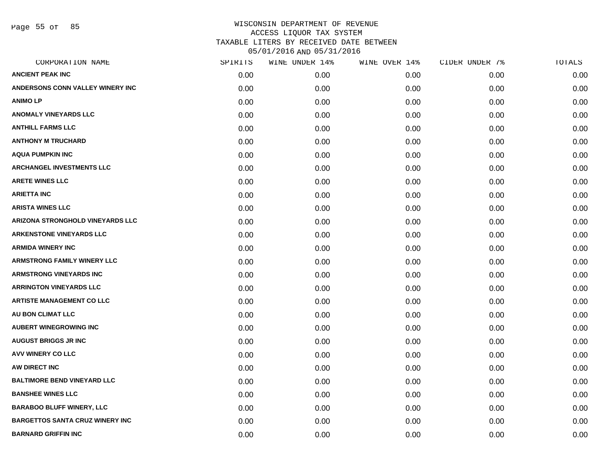Page 55 of 85

| CORPORATION NAME                       | SPIRITS | WINE UNDER 14% | WINE OVER 14% | CIDER UNDER 7% | TOTALS |
|----------------------------------------|---------|----------------|---------------|----------------|--------|
| <b>ANCIENT PEAK INC</b>                | 0.00    | 0.00           | 0.00          | 0.00           | 0.00   |
| ANDERSONS CONN VALLEY WINERY INC       | 0.00    | 0.00           | 0.00          | 0.00           | 0.00   |
| <b>ANIMOLP</b>                         | 0.00    | 0.00           | 0.00          | 0.00           | 0.00   |
| <b>ANOMALY VINEYARDS LLC</b>           | 0.00    | 0.00           | 0.00          | 0.00           | 0.00   |
| <b>ANTHILL FARMS LLC</b>               | 0.00    | 0.00           | 0.00          | 0.00           | 0.00   |
| <b>ANTHONY M TRUCHARD</b>              | 0.00    | 0.00           | 0.00          | 0.00           | 0.00   |
| <b>AQUA PUMPKIN INC</b>                | 0.00    | 0.00           | 0.00          | 0.00           | 0.00   |
| <b>ARCHANGEL INVESTMENTS LLC</b>       | 0.00    | 0.00           | 0.00          | 0.00           | 0.00   |
| <b>ARETE WINES LLC</b>                 | 0.00    | 0.00           | 0.00          | 0.00           | 0.00   |
| <b>ARIETTA INC</b>                     | 0.00    | 0.00           | 0.00          | 0.00           | 0.00   |
| <b>ARISTA WINES LLC</b>                | 0.00    | 0.00           | 0.00          | 0.00           | 0.00   |
| ARIZONA STRONGHOLD VINEYARDS LLC       | 0.00    | 0.00           | 0.00          | 0.00           | 0.00   |
| <b>ARKENSTONE VINEYARDS LLC</b>        | 0.00    | 0.00           | 0.00          | 0.00           | 0.00   |
| <b>ARMIDA WINERY INC</b>               | 0.00    | 0.00           | 0.00          | 0.00           | 0.00   |
| <b>ARMSTRONG FAMILY WINERY LLC</b>     | 0.00    | 0.00           | 0.00          | 0.00           | 0.00   |
| <b>ARMSTRONG VINEYARDS INC</b>         | 0.00    | 0.00           | 0.00          | 0.00           | 0.00   |
| <b>ARRINGTON VINEYARDS LLC</b>         | 0.00    | 0.00           | 0.00          | 0.00           | 0.00   |
| <b>ARTISTE MANAGEMENT CO LLC</b>       | 0.00    | 0.00           | 0.00          | 0.00           | 0.00   |
| AU BON CLIMAT LLC                      | 0.00    | 0.00           | 0.00          | 0.00           | 0.00   |
| <b>AUBERT WINEGROWING INC</b>          | 0.00    | 0.00           | 0.00          | 0.00           | 0.00   |
| <b>AUGUST BRIGGS JR INC</b>            | 0.00    | 0.00           | 0.00          | 0.00           | 0.00   |
| <b>AVV WINERY CO LLC</b>               | 0.00    | 0.00           | 0.00          | 0.00           | 0.00   |
| AW DIRECT INC                          | 0.00    | 0.00           | 0.00          | 0.00           | 0.00   |
| <b>BALTIMORE BEND VINEYARD LLC</b>     | 0.00    | 0.00           | 0.00          | 0.00           | 0.00   |
| <b>BANSHEE WINES LLC</b>               | 0.00    | 0.00           | 0.00          | 0.00           | 0.00   |
| <b>BARABOO BLUFF WINERY, LLC</b>       | 0.00    | 0.00           | 0.00          | 0.00           | 0.00   |
| <b>BARGETTOS SANTA CRUZ WINERY INC</b> | 0.00    | 0.00           | 0.00          | 0.00           | 0.00   |
| <b>BARNARD GRIFFIN INC</b>             | 0.00    | 0.00           | 0.00          | 0.00           | 0.00   |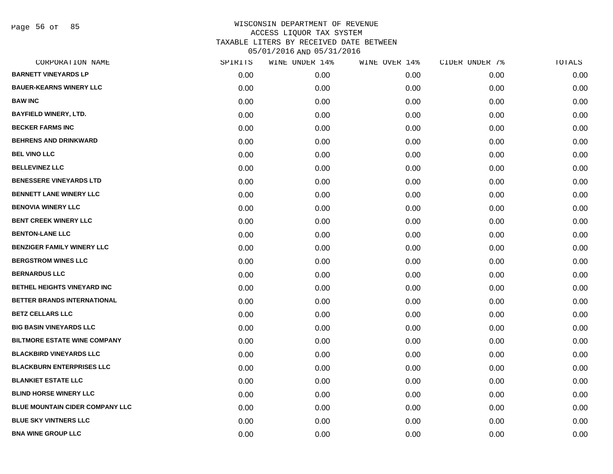Page 56 of 85

| SPIRITS | WINE UNDER 14% | WINE OVER 14% | CIDER UNDER 7% | TOTALS |
|---------|----------------|---------------|----------------|--------|
| 0.00    | 0.00           | 0.00          | 0.00           | 0.00   |
| 0.00    | 0.00           | 0.00          | 0.00           | 0.00   |
| 0.00    | 0.00           | 0.00          | 0.00           | 0.00   |
| 0.00    | 0.00           | 0.00          | 0.00           | 0.00   |
| 0.00    | 0.00           | 0.00          | 0.00           | 0.00   |
| 0.00    | 0.00           | 0.00          | 0.00           | 0.00   |
| 0.00    | 0.00           | 0.00          | 0.00           | 0.00   |
| 0.00    | 0.00           | 0.00          | 0.00           | 0.00   |
| 0.00    | 0.00           | 0.00          | 0.00           | 0.00   |
| 0.00    | 0.00           | 0.00          | 0.00           | 0.00   |
| 0.00    | 0.00           | 0.00          | 0.00           | 0.00   |
| 0.00    | 0.00           | 0.00          | 0.00           | 0.00   |
| 0.00    | 0.00           | 0.00          | 0.00           | 0.00   |
| 0.00    | 0.00           | 0.00          | 0.00           | 0.00   |
| 0.00    | 0.00           | 0.00          | 0.00           | 0.00   |
| 0.00    | 0.00           | 0.00          | 0.00           | 0.00   |
| 0.00    | 0.00           | 0.00          | 0.00           | 0.00   |
| 0.00    | 0.00           | 0.00          | 0.00           | 0.00   |
| 0.00    | 0.00           | 0.00          | 0.00           | 0.00   |
| 0.00    | 0.00           | 0.00          | 0.00           | 0.00   |
| 0.00    | 0.00           | 0.00          | 0.00           | 0.00   |
| 0.00    | 0.00           | 0.00          | 0.00           | 0.00   |
| 0.00    | 0.00           | 0.00          | 0.00           | 0.00   |
| 0.00    | 0.00           | 0.00          | 0.00           | 0.00   |
| 0.00    | 0.00           | 0.00          | 0.00           | 0.00   |
| 0.00    | 0.00           | 0.00          | 0.00           | 0.00   |
| 0.00    | 0.00           | 0.00          | 0.00           | 0.00   |
| 0.00    | 0.00           | 0.00          | 0.00           | 0.00   |
|         |                |               |                |        |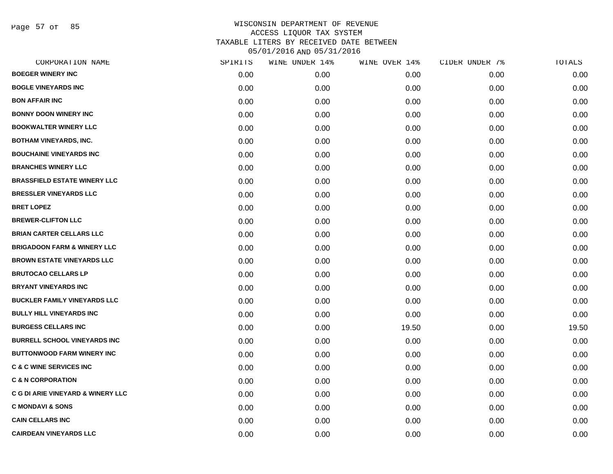Page 57 of 85

| CORPORATION NAME                             | SPIRITS | WINE UNDER 14% | WINE OVER 14% | CIDER UNDER 7% | TOTALS |
|----------------------------------------------|---------|----------------|---------------|----------------|--------|
| <b>BOEGER WINERY INC</b>                     | 0.00    | 0.00           | 0.00          | 0.00           | 0.00   |
| <b>BOGLE VINEYARDS INC</b>                   | 0.00    | 0.00           | 0.00          | 0.00           | 0.00   |
| <b>BON AFFAIR INC</b>                        | 0.00    | 0.00           | 0.00          | 0.00           | 0.00   |
| <b>BONNY DOON WINERY INC</b>                 | 0.00    | 0.00           | 0.00          | 0.00           | 0.00   |
| <b>BOOKWALTER WINERY LLC</b>                 | 0.00    | 0.00           | 0.00          | 0.00           | 0.00   |
| <b>BOTHAM VINEYARDS, INC.</b>                | 0.00    | 0.00           | 0.00          | 0.00           | 0.00   |
| <b>BOUCHAINE VINEYARDS INC</b>               | 0.00    | 0.00           | 0.00          | 0.00           | 0.00   |
| <b>BRANCHES WINERY LLC</b>                   | 0.00    | 0.00           | 0.00          | 0.00           | 0.00   |
| <b>BRASSFIELD ESTATE WINERY LLC</b>          | 0.00    | 0.00           | 0.00          | 0.00           | 0.00   |
| <b>BRESSLER VINEYARDS LLC</b>                | 0.00    | 0.00           | 0.00          | 0.00           | 0.00   |
| <b>BRET LOPEZ</b>                            | 0.00    | 0.00           | 0.00          | 0.00           | 0.00   |
| <b>BREWER-CLIFTON LLC</b>                    | 0.00    | 0.00           | 0.00          | 0.00           | 0.00   |
| <b>BRIAN CARTER CELLARS LLC</b>              | 0.00    | 0.00           | 0.00          | 0.00           | 0.00   |
| <b>BRIGADOON FARM &amp; WINERY LLC</b>       | 0.00    | 0.00           | 0.00          | 0.00           | 0.00   |
| <b>BROWN ESTATE VINEYARDS LLC</b>            | 0.00    | 0.00           | 0.00          | 0.00           | 0.00   |
| <b>BRUTOCAO CELLARS LP</b>                   | 0.00    | 0.00           | 0.00          | 0.00           | 0.00   |
| <b>BRYANT VINEYARDS INC</b>                  | 0.00    | 0.00           | 0.00          | 0.00           | 0.00   |
| <b>BUCKLER FAMILY VINEYARDS LLC</b>          | 0.00    | 0.00           | 0.00          | 0.00           | 0.00   |
| <b>BULLY HILL VINEYARDS INC</b>              | 0.00    | 0.00           | 0.00          | 0.00           | 0.00   |
| <b>BURGESS CELLARS INC</b>                   | 0.00    | 0.00           | 19.50         | 0.00           | 19.50  |
| <b>BURRELL SCHOOL VINEYARDS INC</b>          | 0.00    | 0.00           | 0.00          | 0.00           | 0.00   |
| <b>BUTTONWOOD FARM WINERY INC</b>            | 0.00    | 0.00           | 0.00          | 0.00           | 0.00   |
| <b>C &amp; C WINE SERVICES INC</b>           | 0.00    | 0.00           | 0.00          | 0.00           | 0.00   |
| <b>C &amp; N CORPORATION</b>                 | 0.00    | 0.00           | 0.00          | 0.00           | 0.00   |
| <b>C G DI ARIE VINEYARD &amp; WINERY LLC</b> | 0.00    | 0.00           | 0.00          | 0.00           | 0.00   |
| <b>C MONDAVI &amp; SONS</b>                  | 0.00    | 0.00           | 0.00          | 0.00           | 0.00   |
| <b>CAIN CELLARS INC</b>                      | 0.00    | 0.00           | 0.00          | 0.00           | 0.00   |
| <b>CAIRDEAN VINEYARDS LLC</b>                | 0.00    | 0.00           | 0.00          | 0.00           | 0.00   |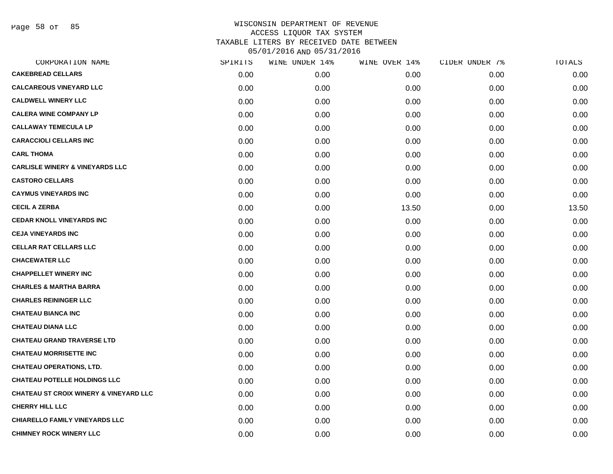Page 58 of 85

| CORPORATION NAME                                  | SPIRITS | WINE UNDER 14% | WINE OVER 14% | CIDER UNDER 7% | TOTALS |
|---------------------------------------------------|---------|----------------|---------------|----------------|--------|
| <b>CAKEBREAD CELLARS</b>                          | 0.00    | 0.00           | 0.00          | 0.00           | 0.00   |
| <b>CALCAREOUS VINEYARD LLC</b>                    | 0.00    | 0.00           | 0.00          | 0.00           | 0.00   |
| <b>CALDWELL WINERY LLC</b>                        | 0.00    | 0.00           | 0.00          | 0.00           | 0.00   |
| <b>CALERA WINE COMPANY LP</b>                     | 0.00    | 0.00           | 0.00          | 0.00           | 0.00   |
| <b>CALLAWAY TEMECULA LP</b>                       | 0.00    | 0.00           | 0.00          | 0.00           | 0.00   |
| <b>CARACCIOLI CELLARS INC</b>                     | 0.00    | 0.00           | 0.00          | 0.00           | 0.00   |
| <b>CARL THOMA</b>                                 | 0.00    | 0.00           | 0.00          | 0.00           | 0.00   |
| <b>CARLISLE WINERY &amp; VINEYARDS LLC</b>        | 0.00    | 0.00           | 0.00          | 0.00           | 0.00   |
| <b>CASTORO CELLARS</b>                            | 0.00    | 0.00           | 0.00          | 0.00           | 0.00   |
| <b>CAYMUS VINEYARDS INC</b>                       | 0.00    | 0.00           | 0.00          | 0.00           | 0.00   |
| <b>CECIL A ZERBA</b>                              | 0.00    | 0.00           | 13.50         | 0.00           | 13.50  |
| <b>CEDAR KNOLL VINEYARDS INC</b>                  | 0.00    | 0.00           | 0.00          | 0.00           | 0.00   |
| <b>CEJA VINEYARDS INC</b>                         | 0.00    | 0.00           | 0.00          | 0.00           | 0.00   |
| <b>CELLAR RAT CELLARS LLC</b>                     | 0.00    | 0.00           | 0.00          | 0.00           | 0.00   |
| <b>CHACEWATER LLC</b>                             | 0.00    | 0.00           | 0.00          | 0.00           | 0.00   |
| <b>CHAPPELLET WINERY INC</b>                      | 0.00    | 0.00           | 0.00          | 0.00           | 0.00   |
| <b>CHARLES &amp; MARTHA BARRA</b>                 | 0.00    | 0.00           | 0.00          | 0.00           | 0.00   |
| <b>CHARLES REININGER LLC</b>                      | 0.00    | 0.00           | 0.00          | 0.00           | 0.00   |
| <b>CHATEAU BIANCA INC</b>                         | 0.00    | 0.00           | 0.00          | 0.00           | 0.00   |
| <b>CHATEAU DIANA LLC</b>                          | 0.00    | 0.00           | 0.00          | 0.00           | 0.00   |
| <b>CHATEAU GRAND TRAVERSE LTD</b>                 | 0.00    | 0.00           | 0.00          | 0.00           | 0.00   |
| <b>CHATEAU MORRISETTE INC</b>                     | 0.00    | 0.00           | 0.00          | 0.00           | 0.00   |
| <b>CHATEAU OPERATIONS, LTD.</b>                   | 0.00    | 0.00           | 0.00          | 0.00           | 0.00   |
| <b>CHATEAU POTELLE HOLDINGS LLC</b>               | 0.00    | 0.00           | 0.00          | 0.00           | 0.00   |
| <b>CHATEAU ST CROIX WINERY &amp; VINEYARD LLC</b> | 0.00    | 0.00           | 0.00          | 0.00           | 0.00   |
| <b>CHERRY HILL LLC</b>                            | 0.00    | 0.00           | 0.00          | 0.00           | 0.00   |
| <b>CHIARELLO FAMILY VINEYARDS LLC</b>             | 0.00    | 0.00           | 0.00          | 0.00           | 0.00   |
| <b>CHIMNEY ROCK WINERY LLC</b>                    | 0.00    | 0.00           | 0.00          | 0.00           | 0.00   |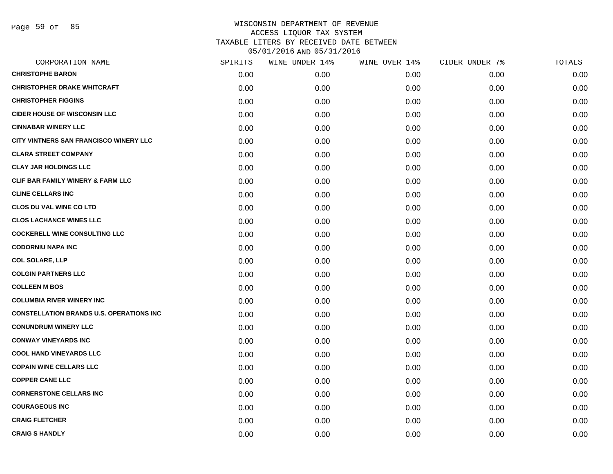Page 59 of 85

| CORPORATION NAME                                 | SPIRITS | WINE UNDER 14% | WINE OVER 14% | CIDER UNDER 7% | TOTALS |
|--------------------------------------------------|---------|----------------|---------------|----------------|--------|
| <b>CHRISTOPHE BARON</b>                          | 0.00    | 0.00           | 0.00          | 0.00           | 0.00   |
| <b>CHRISTOPHER DRAKE WHITCRAFT</b>               | 0.00    | 0.00           | 0.00          | 0.00           | 0.00   |
| <b>CHRISTOPHER FIGGINS</b>                       | 0.00    | 0.00           | 0.00          | 0.00           | 0.00   |
| <b>CIDER HOUSE OF WISCONSIN LLC</b>              | 0.00    | 0.00           | 0.00          | 0.00           | 0.00   |
| <b>CINNABAR WINERY LLC</b>                       | 0.00    | 0.00           | 0.00          | 0.00           | 0.00   |
| CITY VINTNERS SAN FRANCISCO WINERY LLC           | 0.00    | 0.00           | 0.00          | 0.00           | 0.00   |
| <b>CLARA STREET COMPANY</b>                      | 0.00    | 0.00           | 0.00          | 0.00           | 0.00   |
| <b>CLAY JAR HOLDINGS LLC</b>                     | 0.00    | 0.00           | 0.00          | 0.00           | 0.00   |
| CLIF BAR FAMILY WINERY & FARM LLC                | 0.00    | 0.00           | 0.00          | 0.00           | 0.00   |
| <b>CLINE CELLARS INC</b>                         | 0.00    | 0.00           | 0.00          | 0.00           | 0.00   |
| <b>CLOS DU VAL WINE CO LTD</b>                   | 0.00    | 0.00           | 0.00          | 0.00           | 0.00   |
| <b>CLOS LACHANCE WINES LLC</b>                   | 0.00    | 0.00           | 0.00          | 0.00           | 0.00   |
| <b>COCKERELL WINE CONSULTING LLC</b>             | 0.00    | 0.00           | 0.00          | 0.00           | 0.00   |
| <b>CODORNIU NAPA INC</b>                         | 0.00    | 0.00           | 0.00          | 0.00           | 0.00   |
| <b>COL SOLARE, LLP</b>                           | 0.00    | 0.00           | 0.00          | 0.00           | 0.00   |
| <b>COLGIN PARTNERS LLC</b>                       | 0.00    | 0.00           | 0.00          | 0.00           | 0.00   |
| <b>COLLEEN M BOS</b>                             | 0.00    | 0.00           | 0.00          | 0.00           | 0.00   |
| <b>COLUMBIA RIVER WINERY INC</b>                 | 0.00    | 0.00           | 0.00          | 0.00           | 0.00   |
| <b>CONSTELLATION BRANDS U.S. OPERATIONS INC.</b> | 0.00    | 0.00           | 0.00          | 0.00           | 0.00   |
| <b>CONUNDRUM WINERY LLC</b>                      | 0.00    | 0.00           | 0.00          | 0.00           | 0.00   |
| <b>CONWAY VINEYARDS INC</b>                      | 0.00    | 0.00           | 0.00          | 0.00           | 0.00   |
| <b>COOL HAND VINEYARDS LLC</b>                   | 0.00    | 0.00           | 0.00          | 0.00           | 0.00   |
| <b>COPAIN WINE CELLARS LLC</b>                   | 0.00    | 0.00           | 0.00          | 0.00           | 0.00   |
| <b>COPPER CANE LLC</b>                           | 0.00    | 0.00           | 0.00          | 0.00           | 0.00   |
| <b>CORNERSTONE CELLARS INC</b>                   | 0.00    | 0.00           | 0.00          | 0.00           | 0.00   |
| <b>COURAGEOUS INC</b>                            | 0.00    | 0.00           | 0.00          | 0.00           | 0.00   |
| <b>CRAIG FLETCHER</b>                            | 0.00    | 0.00           | 0.00          | 0.00           | 0.00   |
| <b>CRAIG S HANDLY</b>                            | 0.00    | 0.00           | 0.00          | 0.00           | 0.00   |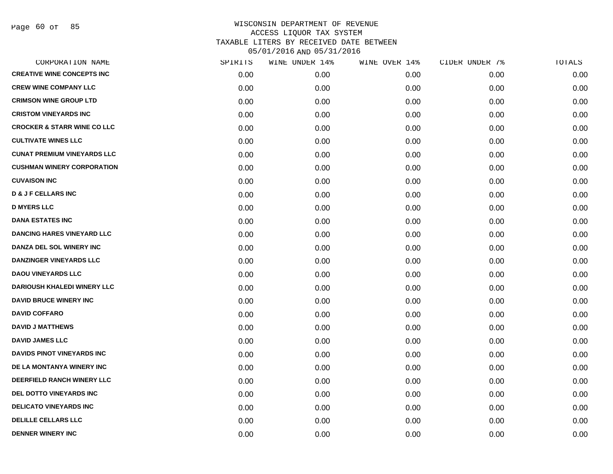Page 60 of 85

| CORPORATION NAME                       | SPIRITS | WINE UNDER 14% | WINE OVER 14% | CIDER UNDER 7% | TOTALS |
|----------------------------------------|---------|----------------|---------------|----------------|--------|
| <b>CREATIVE WINE CONCEPTS INC</b>      | 0.00    | 0.00           | 0.00          | 0.00           | 0.00   |
| <b>CREW WINE COMPANY LLC</b>           | 0.00    | 0.00           | 0.00          | 0.00           | 0.00   |
| <b>CRIMSON WINE GROUP LTD</b>          | 0.00    | 0.00           | 0.00          | 0.00           | 0.00   |
| <b>CRISTOM VINEYARDS INC</b>           | 0.00    | 0.00           | 0.00          | 0.00           | 0.00   |
| <b>CROCKER &amp; STARR WINE CO LLC</b> | 0.00    | 0.00           | 0.00          | 0.00           | 0.00   |
| <b>CULTIVATE WINES LLC</b>             | 0.00    | 0.00           | 0.00          | 0.00           | 0.00   |
| <b>CUNAT PREMIUM VINEYARDS LLC</b>     | 0.00    | 0.00           | 0.00          | 0.00           | 0.00   |
| <b>CUSHMAN WINERY CORPORATION</b>      | 0.00    | 0.00           | 0.00          | 0.00           | 0.00   |
| <b>CUVAISON INC</b>                    | 0.00    | 0.00           | 0.00          | 0.00           | 0.00   |
| <b>D &amp; J F CELLARS INC</b>         | 0.00    | 0.00           | 0.00          | 0.00           | 0.00   |
| <b>D MYERS LLC</b>                     | 0.00    | 0.00           | 0.00          | 0.00           | 0.00   |
| <b>DANA ESTATES INC</b>                | 0.00    | 0.00           | 0.00          | 0.00           | 0.00   |
| <b>DANCING HARES VINEYARD LLC</b>      | 0.00    | 0.00           | 0.00          | 0.00           | 0.00   |
| DANZA DEL SOL WINERY INC               | 0.00    | 0.00           | 0.00          | 0.00           | 0.00   |
| <b>DANZINGER VINEYARDS LLC</b>         | 0.00    | 0.00           | 0.00          | 0.00           | 0.00   |
| <b>DAOU VINEYARDS LLC</b>              | 0.00    | 0.00           | 0.00          | 0.00           | 0.00   |
| <b>DARIOUSH KHALEDI WINERY LLC</b>     | 0.00    | 0.00           | 0.00          | 0.00           | 0.00   |
| <b>DAVID BRUCE WINERY INC</b>          | 0.00    | 0.00           | 0.00          | 0.00           | 0.00   |
| <b>DAVID COFFARO</b>                   | 0.00    | 0.00           | 0.00          | 0.00           | 0.00   |
| <b>DAVID J MATTHEWS</b>                | 0.00    | 0.00           | 0.00          | 0.00           | 0.00   |
| <b>DAVID JAMES LLC</b>                 | 0.00    | 0.00           | 0.00          | 0.00           | 0.00   |
| <b>DAVIDS PINOT VINEYARDS INC</b>      | 0.00    | 0.00           | 0.00          | 0.00           | 0.00   |
| DE LA MONTANYA WINERY INC              | 0.00    | 0.00           | 0.00          | 0.00           | 0.00   |
| DEERFIELD RANCH WINERY LLC             | 0.00    | 0.00           | 0.00          | 0.00           | 0.00   |
| <b>DEL DOTTO VINEYARDS INC</b>         | 0.00    | 0.00           | 0.00          | 0.00           | 0.00   |
| <b>DELICATO VINEYARDS INC</b>          | 0.00    | 0.00           | 0.00          | 0.00           | 0.00   |
| <b>DELILLE CELLARS LLC</b>             | 0.00    | 0.00           | 0.00          | 0.00           | 0.00   |
| <b>DENNER WINERY INC</b>               | 0.00    | 0.00           | 0.00          | 0.00           | 0.00   |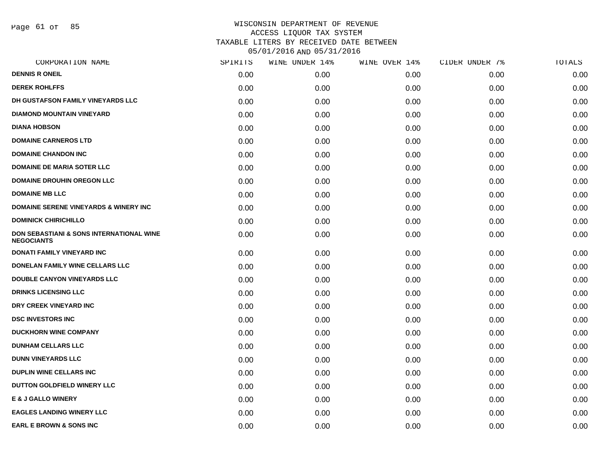Page 61 of 85

| CORPORATION NAME                                                         | SPIRITS | WINE UNDER 14% | WINE OVER 14% | CIDER UNDER 7% | TOTALS |
|--------------------------------------------------------------------------|---------|----------------|---------------|----------------|--------|
| <b>DENNIS R ONEIL</b>                                                    | 0.00    | 0.00           | 0.00          | 0.00           | 0.00   |
| <b>DEREK ROHLFFS</b>                                                     | 0.00    | 0.00           | 0.00          | 0.00           | 0.00   |
| DH GUSTAFSON FAMILY VINEYARDS LLC                                        | 0.00    | 0.00           | 0.00          | 0.00           | 0.00   |
| <b>DIAMOND MOUNTAIN VINEYARD</b>                                         | 0.00    | 0.00           | 0.00          | 0.00           | 0.00   |
| <b>DIANA HOBSON</b>                                                      | 0.00    | 0.00           | 0.00          | 0.00           | 0.00   |
| <b>DOMAINE CARNEROS LTD</b>                                              | 0.00    | 0.00           | 0.00          | 0.00           | 0.00   |
| <b>DOMAINE CHANDON INC</b>                                               | 0.00    | 0.00           | 0.00          | 0.00           | 0.00   |
| <b>DOMAINE DE MARIA SOTER LLC</b>                                        | 0.00    | 0.00           | 0.00          | 0.00           | 0.00   |
| <b>DOMAINE DROUHIN OREGON LLC</b>                                        | 0.00    | 0.00           | 0.00          | 0.00           | 0.00   |
| <b>DOMAINE MB LLC</b>                                                    | 0.00    | 0.00           | 0.00          | 0.00           | 0.00   |
| <b>DOMAINE SERENE VINEYARDS &amp; WINERY INC</b>                         | 0.00    | 0.00           | 0.00          | 0.00           | 0.00   |
| <b>DOMINICK CHIRICHILLO</b>                                              | 0.00    | 0.00           | 0.00          | 0.00           | 0.00   |
| <b>DON SEBASTIANI &amp; SONS INTERNATIONAL WINE</b><br><b>NEGOCIANTS</b> | 0.00    | 0.00           | 0.00          | 0.00           | 0.00   |
| <b>DONATI FAMILY VINEYARD INC</b>                                        | 0.00    | 0.00           | 0.00          | 0.00           | 0.00   |
| DONELAN FAMILY WINE CELLARS LLC                                          | 0.00    | 0.00           | 0.00          | 0.00           | 0.00   |
| DOUBLE CANYON VINEYARDS LLC                                              | 0.00    | 0.00           | 0.00          | 0.00           | 0.00   |
| <b>DRINKS LICENSING LLC</b>                                              | 0.00    | 0.00           | 0.00          | 0.00           | 0.00   |
| DRY CREEK VINEYARD INC                                                   | 0.00    | 0.00           | 0.00          | 0.00           | 0.00   |
| <b>DSC INVESTORS INC</b>                                                 | 0.00    | 0.00           | 0.00          | 0.00           | 0.00   |
| <b>DUCKHORN WINE COMPANY</b>                                             | 0.00    | 0.00           | 0.00          | 0.00           | 0.00   |
| <b>DUNHAM CELLARS LLC</b>                                                | 0.00    | 0.00           | 0.00          | 0.00           | 0.00   |
| <b>DUNN VINEYARDS LLC</b>                                                | 0.00    | 0.00           | 0.00          | 0.00           | 0.00   |
| <b>DUPLIN WINE CELLARS INC</b>                                           | 0.00    | 0.00           | 0.00          | 0.00           | 0.00   |
| DUTTON GOLDFIELD WINERY LLC                                              | 0.00    | 0.00           | 0.00          | 0.00           | 0.00   |
| <b>E &amp; J GALLO WINERY</b>                                            | 0.00    | 0.00           | 0.00          | 0.00           | 0.00   |
| <b>EAGLES LANDING WINERY LLC</b>                                         | 0.00    | 0.00           | 0.00          | 0.00           | 0.00   |
| <b>EARL E BROWN &amp; SONS INC</b>                                       | 0.00    | 0.00           | 0.00          | 0.00           | 0.00   |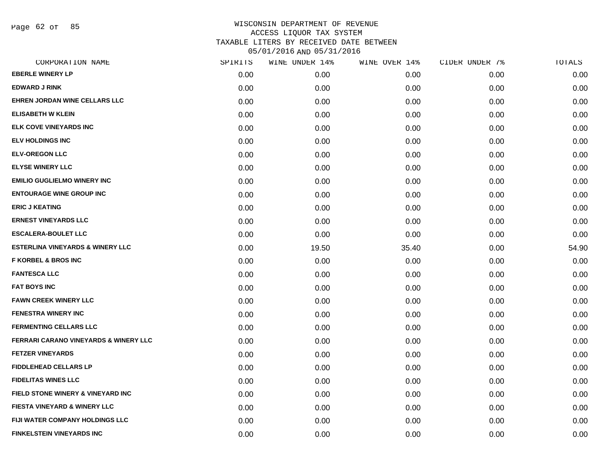Page 62 of 85

| CORPORATION NAME                                 | SPIRITS | WINE UNDER 14% | WINE OVER 14% | CIDER UNDER 7% | TOTALS |
|--------------------------------------------------|---------|----------------|---------------|----------------|--------|
| <b>EBERLE WINERY LP</b>                          | 0.00    | 0.00           | 0.00          | 0.00           | 0.00   |
| <b>EDWARD J RINK</b>                             | 0.00    | 0.00           | 0.00          | 0.00           | 0.00   |
| <b>EHREN JORDAN WINE CELLARS LLC</b>             | 0.00    | 0.00           | 0.00          | 0.00           | 0.00   |
| <b>ELISABETH W KLEIN</b>                         | 0.00    | 0.00           | 0.00          | 0.00           | 0.00   |
| <b>ELK COVE VINEYARDS INC</b>                    | 0.00    | 0.00           | 0.00          | 0.00           | 0.00   |
| <b>ELV HOLDINGS INC</b>                          | 0.00    | 0.00           | 0.00          | 0.00           | 0.00   |
| <b>ELV-OREGON LLC</b>                            | 0.00    | 0.00           | 0.00          | 0.00           | 0.00   |
| <b>ELYSE WINERY LLC</b>                          | 0.00    | 0.00           | 0.00          | 0.00           | 0.00   |
| <b>EMILIO GUGLIELMO WINERY INC</b>               | 0.00    | 0.00           | 0.00          | 0.00           | 0.00   |
| <b>ENTOURAGE WINE GROUP INC</b>                  | 0.00    | 0.00           | 0.00          | 0.00           | 0.00   |
| <b>ERIC J KEATING</b>                            | 0.00    | 0.00           | 0.00          | 0.00           | 0.00   |
| <b>ERNEST VINEYARDS LLC</b>                      | 0.00    | 0.00           | 0.00          | 0.00           | 0.00   |
| <b>ESCALERA-BOULET LLC</b>                       | 0.00    | 0.00           | 0.00          | 0.00           | 0.00   |
| <b>ESTERLINA VINEYARDS &amp; WINERY LLC</b>      | 0.00    | 19.50          | 35.40         | 0.00           | 54.90  |
| <b>F KORBEL &amp; BROS INC</b>                   | 0.00    | 0.00           | 0.00          | 0.00           | 0.00   |
| <b>FANTESCA LLC</b>                              | 0.00    | 0.00           | 0.00          | 0.00           | 0.00   |
| <b>FAT BOYS INC</b>                              | 0.00    | 0.00           | 0.00          | 0.00           | 0.00   |
| <b>FAWN CREEK WINERY LLC</b>                     | 0.00    | 0.00           | 0.00          | 0.00           | 0.00   |
| <b>FENESTRA WINERY INC</b>                       | 0.00    | 0.00           | 0.00          | 0.00           | 0.00   |
| <b>FERMENTING CELLARS LLC</b>                    | 0.00    | 0.00           | 0.00          | 0.00           | 0.00   |
| <b>FERRARI CARANO VINEYARDS &amp; WINERY LLC</b> | 0.00    | 0.00           | 0.00          | 0.00           | 0.00   |
| <b>FETZER VINEYARDS</b>                          | 0.00    | 0.00           | 0.00          | 0.00           | 0.00   |
| <b>FIDDLEHEAD CELLARS LP</b>                     | 0.00    | 0.00           | 0.00          | 0.00           | 0.00   |
| <b>FIDELITAS WINES LLC</b>                       | 0.00    | 0.00           | 0.00          | 0.00           | 0.00   |
| FIELD STONE WINERY & VINEYARD INC                | 0.00    | 0.00           | 0.00          | 0.00           | 0.00   |
| <b>FIESTA VINEYARD &amp; WINERY LLC</b>          | 0.00    | 0.00           | 0.00          | 0.00           | 0.00   |
| <b>FIJI WATER COMPANY HOLDINGS LLC</b>           | 0.00    | 0.00           | 0.00          | 0.00           | 0.00   |
| <b>FINKELSTEIN VINEYARDS INC</b>                 | 0.00    | 0.00           | 0.00          | 0.00           | 0.00   |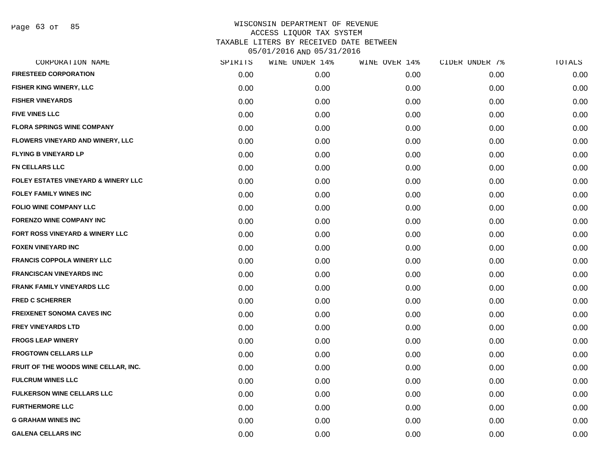| CORPORATION NAME                     | SPIRITS | WINE UNDER 14% | WINE OVER 14% | CIDER UNDER 7% | TOTALS |
|--------------------------------------|---------|----------------|---------------|----------------|--------|
| <b>FIRESTEED CORPORATION</b>         | 0.00    | 0.00           | 0.00          | 0.00           | 0.00   |
| FISHER KING WINERY, LLC              | 0.00    | 0.00           | 0.00          | 0.00           | 0.00   |
| <b>FISHER VINEYARDS</b>              | 0.00    | 0.00           | 0.00          | 0.00           | 0.00   |
| <b>FIVE VINES LLC</b>                | 0.00    | 0.00           | 0.00          | 0.00           | 0.00   |
| <b>FLORA SPRINGS WINE COMPANY</b>    | 0.00    | 0.00           | 0.00          | 0.00           | 0.00   |
| FLOWERS VINEYARD AND WINERY, LLC     | 0.00    | 0.00           | 0.00          | 0.00           | 0.00   |
| <b>FLYING B VINEYARD LP</b>          | 0.00    | 0.00           | 0.00          | 0.00           | 0.00   |
| <b>FN CELLARS LLC</b>                | 0.00    | 0.00           | 0.00          | 0.00           | 0.00   |
| FOLEY ESTATES VINEYARD & WINERY LLC  | 0.00    | 0.00           | 0.00          | 0.00           | 0.00   |
| <b>FOLEY FAMILY WINES INC</b>        | 0.00    | 0.00           | 0.00          | 0.00           | 0.00   |
| <b>FOLIO WINE COMPANY LLC</b>        | 0.00    | 0.00           | 0.00          | 0.00           | 0.00   |
| <b>FORENZO WINE COMPANY INC</b>      | 0.00    | 0.00           | 0.00          | 0.00           | 0.00   |
| FORT ROSS VINEYARD & WINERY LLC      | 0.00    | 0.00           | 0.00          | 0.00           | 0.00   |
| <b>FOXEN VINEYARD INC</b>            | 0.00    | 0.00           | 0.00          | 0.00           | 0.00   |
| <b>FRANCIS COPPOLA WINERY LLC</b>    | 0.00    | 0.00           | 0.00          | 0.00           | 0.00   |
| <b>FRANCISCAN VINEYARDS INC</b>      | 0.00    | 0.00           | 0.00          | 0.00           | 0.00   |
| <b>FRANK FAMILY VINEYARDS LLC</b>    | 0.00    | 0.00           | 0.00          | 0.00           | 0.00   |
| <b>FRED C SCHERRER</b>               | 0.00    | 0.00           | 0.00          | 0.00           | 0.00   |
| <b>FREIXENET SONOMA CAVES INC</b>    | 0.00    | 0.00           | 0.00          | 0.00           | 0.00   |
| <b>FREY VINEYARDS LTD</b>            | 0.00    | 0.00           | 0.00          | 0.00           | 0.00   |
| <b>FROGS LEAP WINERY</b>             | 0.00    | 0.00           | 0.00          | 0.00           | 0.00   |
| <b>FROGTOWN CELLARS LLP</b>          | 0.00    | 0.00           | 0.00          | 0.00           | 0.00   |
| FRUIT OF THE WOODS WINE CELLAR, INC. | 0.00    | 0.00           | 0.00          | 0.00           | 0.00   |
| <b>FULCRUM WINES LLC</b>             | 0.00    | 0.00           | 0.00          | 0.00           | 0.00   |
| <b>FULKERSON WINE CELLARS LLC</b>    | 0.00    | 0.00           | 0.00          | 0.00           | 0.00   |
| <b>FURTHERMORE LLC</b>               | 0.00    | 0.00           | 0.00          | 0.00           | 0.00   |
| <b>G GRAHAM WINES INC</b>            | 0.00    | 0.00           | 0.00          | 0.00           | 0.00   |
| <b>GALENA CELLARS INC</b>            | 0.00    | 0.00           | 0.00          | 0.00           | 0.00   |
|                                      |         |                |               |                |        |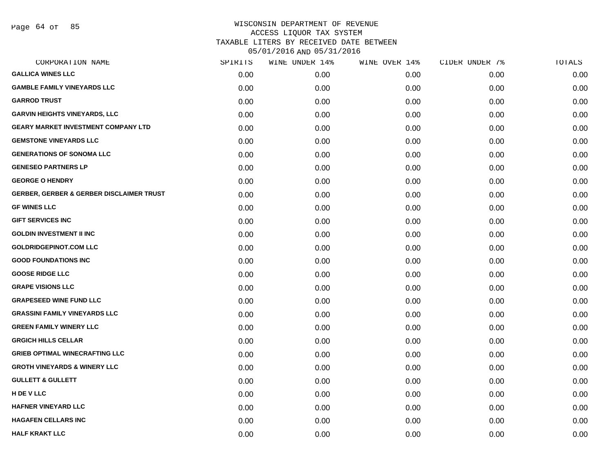Page 64 of 85

| CORPORATION NAME                                    | SPIRITS | WINE UNDER 14% | WINE OVER 14% | CIDER UNDER 7% | TOTALS |
|-----------------------------------------------------|---------|----------------|---------------|----------------|--------|
| <b>GALLICA WINES LLC</b>                            | 0.00    | 0.00           | 0.00          | 0.00           | 0.00   |
| <b>GAMBLE FAMILY VINEYARDS LLC</b>                  | 0.00    | 0.00           | 0.00          | 0.00           | 0.00   |
| <b>GARROD TRUST</b>                                 | 0.00    | 0.00           | 0.00          | 0.00           | 0.00   |
| <b>GARVIN HEIGHTS VINEYARDS, LLC</b>                | 0.00    | 0.00           | 0.00          | 0.00           | 0.00   |
| <b>GEARY MARKET INVESTMENT COMPANY LTD</b>          | 0.00    | 0.00           | 0.00          | 0.00           | 0.00   |
| <b>GEMSTONE VINEYARDS LLC</b>                       | 0.00    | 0.00           | 0.00          | 0.00           | 0.00   |
| <b>GENERATIONS OF SONOMA LLC</b>                    | 0.00    | 0.00           | 0.00          | 0.00           | 0.00   |
| <b>GENESEO PARTNERS LP</b>                          | 0.00    | 0.00           | 0.00          | 0.00           | 0.00   |
| <b>GEORGE O HENDRY</b>                              | 0.00    | 0.00           | 0.00          | 0.00           | 0.00   |
| <b>GERBER, GERBER &amp; GERBER DISCLAIMER TRUST</b> | 0.00    | 0.00           | 0.00          | 0.00           | 0.00   |
| <b>GF WINES LLC</b>                                 | 0.00    | 0.00           | 0.00          | 0.00           | 0.00   |
| <b>GIFT SERVICES INC</b>                            | 0.00    | 0.00           | 0.00          | 0.00           | 0.00   |
| <b>GOLDIN INVESTMENT II INC</b>                     | 0.00    | 0.00           | 0.00          | 0.00           | 0.00   |
| <b>GOLDRIDGEPINOT.COM LLC</b>                       | 0.00    | 0.00           | 0.00          | 0.00           | 0.00   |
| <b>GOOD FOUNDATIONS INC</b>                         | 0.00    | 0.00           | 0.00          | 0.00           | 0.00   |
| <b>GOOSE RIDGE LLC</b>                              | 0.00    | 0.00           | 0.00          | 0.00           | 0.00   |
| <b>GRAPE VISIONS LLC</b>                            | 0.00    | 0.00           | 0.00          | 0.00           | 0.00   |
| <b>GRAPESEED WINE FUND LLC</b>                      | 0.00    | 0.00           | 0.00          | 0.00           | 0.00   |
| <b>GRASSINI FAMILY VINEYARDS LLC</b>                | 0.00    | 0.00           | 0.00          | 0.00           | 0.00   |
| <b>GREEN FAMILY WINERY LLC</b>                      | 0.00    | 0.00           | 0.00          | 0.00           | 0.00   |
| <b>GRGICH HILLS CELLAR</b>                          | 0.00    | 0.00           | 0.00          | 0.00           | 0.00   |
| <b>GRIEB OPTIMAL WINECRAFTING LLC</b>               | 0.00    | 0.00           | 0.00          | 0.00           | 0.00   |
| <b>GROTH VINEYARDS &amp; WINERY LLC</b>             | 0.00    | 0.00           | 0.00          | 0.00           | 0.00   |
| <b>GULLETT &amp; GULLETT</b>                        | 0.00    | 0.00           | 0.00          | 0.00           | 0.00   |
| H DE V LLC                                          | 0.00    | 0.00           | 0.00          | 0.00           | 0.00   |
| <b>HAFNER VINEYARD LLC</b>                          | 0.00    | 0.00           | 0.00          | 0.00           | 0.00   |
| <b>HAGAFEN CELLARS INC</b>                          | 0.00    | 0.00           | 0.00          | 0.00           | 0.00   |
| <b>HALF KRAKT LLC</b>                               | 0.00    | 0.00           | 0.00          | 0.00           | 0.00   |
|                                                     |         |                |               |                |        |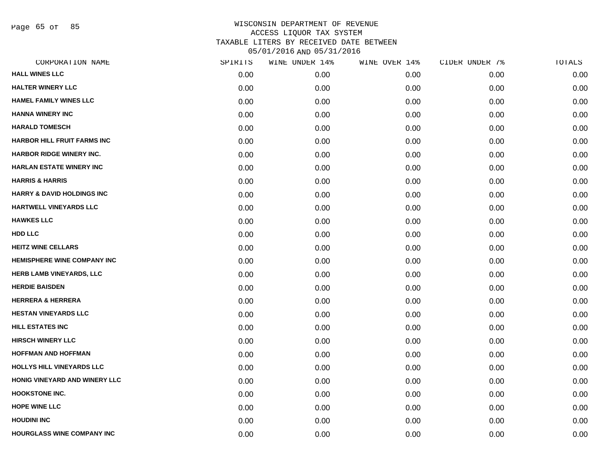Page 65 of 85

| CORPORATION NAME                      | SPIRITS | WINE UNDER 14% | WINE OVER 14% | CIDER UNDER 7% | TOTALS |
|---------------------------------------|---------|----------------|---------------|----------------|--------|
| <b>HALL WINES LLC</b>                 | 0.00    | 0.00           | 0.00          | 0.00           | 0.00   |
| <b>HALTER WINERY LLC</b>              | 0.00    | 0.00           | 0.00          | 0.00           | 0.00   |
| <b>HAMEL FAMILY WINES LLC</b>         | 0.00    | 0.00           | 0.00          | 0.00           | 0.00   |
| <b>HANNA WINERY INC</b>               | 0.00    | 0.00           | 0.00          | 0.00           | 0.00   |
| <b>HARALD TOMESCH</b>                 | 0.00    | 0.00           | 0.00          | 0.00           | 0.00   |
| <b>HARBOR HILL FRUIT FARMS INC</b>    | 0.00    | 0.00           | 0.00          | 0.00           | 0.00   |
| <b>HARBOR RIDGE WINERY INC.</b>       | 0.00    | 0.00           | 0.00          | 0.00           | 0.00   |
| <b>HARLAN ESTATE WINERY INC</b>       | 0.00    | 0.00           | 0.00          | 0.00           | 0.00   |
| <b>HARRIS &amp; HARRIS</b>            | 0.00    | 0.00           | 0.00          | 0.00           | 0.00   |
| <b>HARRY &amp; DAVID HOLDINGS INC</b> | 0.00    | 0.00           | 0.00          | 0.00           | 0.00   |
| HARTWELL VINEYARDS LLC                | 0.00    | 0.00           | 0.00          | 0.00           | 0.00   |
| <b>HAWKES LLC</b>                     | 0.00    | 0.00           | 0.00          | 0.00           | 0.00   |
| <b>HDD LLC</b>                        | 0.00    | 0.00           | 0.00          | 0.00           | 0.00   |
| <b>HEITZ WINE CELLARS</b>             | 0.00    | 0.00           | 0.00          | 0.00           | 0.00   |
| <b>HEMISPHERE WINE COMPANY INC</b>    | 0.00    | 0.00           | 0.00          | 0.00           | 0.00   |
| HERB LAMB VINEYARDS, LLC              | 0.00    | 0.00           | 0.00          | 0.00           | 0.00   |
| <b>HERDIE BAISDEN</b>                 | 0.00    | 0.00           | 0.00          | 0.00           | 0.00   |
| <b>HERRERA &amp; HERRERA</b>          | 0.00    | 0.00           | 0.00          | 0.00           | 0.00   |
| <b>HESTAN VINEYARDS LLC</b>           | 0.00    | 0.00           | 0.00          | 0.00           | 0.00   |
| <b>HILL ESTATES INC</b>               | 0.00    | 0.00           | 0.00          | 0.00           | 0.00   |
| <b>HIRSCH WINERY LLC</b>              | 0.00    | 0.00           | 0.00          | 0.00           | 0.00   |
| <b>HOFFMAN AND HOFFMAN</b>            | 0.00    | 0.00           | 0.00          | 0.00           | 0.00   |
| HOLLYS HILL VINEYARDS LLC             | 0.00    | 0.00           | 0.00          | 0.00           | 0.00   |
| HONIG VINEYARD AND WINERY LLC         | 0.00    | 0.00           | 0.00          | 0.00           | 0.00   |
| <b>HOOKSTONE INC.</b>                 | 0.00    | 0.00           | 0.00          | 0.00           | 0.00   |
| <b>HOPE WINE LLC</b>                  | 0.00    | 0.00           | 0.00          | 0.00           | 0.00   |
| <b>HOUDINI INC</b>                    | 0.00    | 0.00           | 0.00          | 0.00           | 0.00   |
| HOURGLASS WINE COMPANY INC            | 0.00    | 0.00           | 0.00          | 0.00           | 0.00   |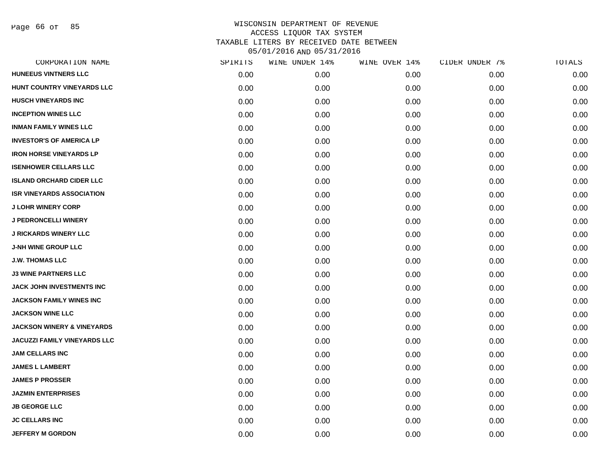Page 66 of 85

| CORPORATION NAME                      | SPIRITS | WINE UNDER 14% | WINE OVER 14% | CIDER UNDER 7% | TOTALS |
|---------------------------------------|---------|----------------|---------------|----------------|--------|
| <b>HUNEEUS VINTNERS LLC</b>           | 0.00    | 0.00           | 0.00          | 0.00           | 0.00   |
| HUNT COUNTRY VINEYARDS LLC            | 0.00    | 0.00           | 0.00          | 0.00           | 0.00   |
| <b>HUSCH VINEYARDS INC</b>            | 0.00    | 0.00           | 0.00          | 0.00           | 0.00   |
| <b>INCEPTION WINES LLC</b>            | 0.00    | 0.00           | 0.00          | 0.00           | 0.00   |
| <b>INMAN FAMILY WINES LLC</b>         | 0.00    | 0.00           | 0.00          | 0.00           | 0.00   |
| <b>INVESTOR'S OF AMERICA LP</b>       | 0.00    | 0.00           | 0.00          | 0.00           | 0.00   |
| <b>IRON HORSE VINEYARDS LP</b>        | 0.00    | 0.00           | 0.00          | 0.00           | 0.00   |
| <b>ISENHOWER CELLARS LLC</b>          | 0.00    | 0.00           | 0.00          | 0.00           | 0.00   |
| <b>ISLAND ORCHARD CIDER LLC</b>       | 0.00    | 0.00           | 0.00          | 0.00           | 0.00   |
| <b>ISR VINEYARDS ASSOCIATION</b>      | 0.00    | 0.00           | 0.00          | 0.00           | 0.00   |
| <b>J LOHR WINERY CORP</b>             | 0.00    | 0.00           | 0.00          | 0.00           | 0.00   |
| <b>J PEDRONCELLI WINERY</b>           | 0.00    | 0.00           | 0.00          | 0.00           | 0.00   |
| <b>J RICKARDS WINERY LLC</b>          | 0.00    | 0.00           | 0.00          | 0.00           | 0.00   |
| <b>J-NH WINE GROUP LLC</b>            | 0.00    | 0.00           | 0.00          | 0.00           | 0.00   |
| <b>J.W. THOMAS LLC</b>                | 0.00    | 0.00           | 0.00          | 0.00           | 0.00   |
| <b>J3 WINE PARTNERS LLC</b>           | 0.00    | 0.00           | 0.00          | 0.00           | 0.00   |
| <b>JACK JOHN INVESTMENTS INC</b>      | 0.00    | 0.00           | 0.00          | 0.00           | 0.00   |
| JACKSON FAMILY WINES INC              | 0.00    | 0.00           | 0.00          | 0.00           | 0.00   |
| <b>JACKSON WINE LLC</b>               | 0.00    | 0.00           | 0.00          | 0.00           | 0.00   |
| <b>JACKSON WINERY &amp; VINEYARDS</b> | 0.00    | 0.00           | 0.00          | 0.00           | 0.00   |
| <b>JACUZZI FAMILY VINEYARDS LLC</b>   | 0.00    | 0.00           | 0.00          | 0.00           | 0.00   |
| <b>JAM CELLARS INC</b>                | 0.00    | 0.00           | 0.00          | 0.00           | 0.00   |
| <b>JAMES L LAMBERT</b>                | 0.00    | 0.00           | 0.00          | 0.00           | 0.00   |
| <b>JAMES P PROSSER</b>                | 0.00    | 0.00           | 0.00          | 0.00           | 0.00   |
| <b>JAZMIN ENTERPRISES</b>             | 0.00    | 0.00           | 0.00          | 0.00           | 0.00   |
| <b>JB GEORGE LLC</b>                  | 0.00    | 0.00           | 0.00          | 0.00           | 0.00   |
| <b>JC CELLARS INC</b>                 | 0.00    | 0.00           | 0.00          | 0.00           | 0.00   |
| <b>JEFFERY M GORDON</b>               | 0.00    | 0.00           | 0.00          | 0.00           | 0.00   |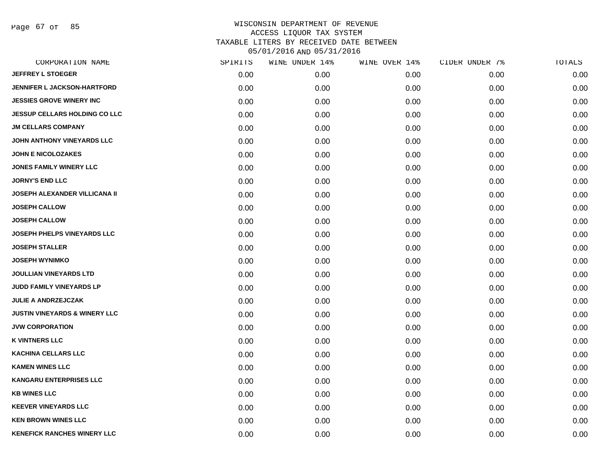Page 67 of 85

| CORPORATION NAME                         | SPIRITS | WINE UNDER 14% | WINE OVER 14% | CIDER UNDER 7% | TOTALS |
|------------------------------------------|---------|----------------|---------------|----------------|--------|
| <b>JEFFREY L STOEGER</b>                 | 0.00    | 0.00           | 0.00          | 0.00           | 0.00   |
| <b>JENNIFER L JACKSON-HARTFORD</b>       | 0.00    | 0.00           | 0.00          | 0.00           | 0.00   |
| <b>JESSIES GROVE WINERY INC</b>          | 0.00    | 0.00           | 0.00          | 0.00           | 0.00   |
| <b>JESSUP CELLARS HOLDING CO LLC</b>     | 0.00    | 0.00           | 0.00          | 0.00           | 0.00   |
| <b>JM CELLARS COMPANY</b>                | 0.00    | 0.00           | 0.00          | 0.00           | 0.00   |
| JOHN ANTHONY VINEYARDS LLC               | 0.00    | 0.00           | 0.00          | 0.00           | 0.00   |
| <b>JOHN E NICOLOZAKES</b>                | 0.00    | 0.00           | 0.00          | 0.00           | 0.00   |
| <b>JONES FAMILY WINERY LLC</b>           | 0.00    | 0.00           | 0.00          | 0.00           | 0.00   |
| <b>JORNY'S END LLC</b>                   | 0.00    | 0.00           | 0.00          | 0.00           | 0.00   |
| <b>JOSEPH ALEXANDER VILLICANA II</b>     | 0.00    | 0.00           | 0.00          | 0.00           | 0.00   |
| <b>JOSEPH CALLOW</b>                     | 0.00    | 0.00           | 0.00          | 0.00           | 0.00   |
| <b>JOSEPH CALLOW</b>                     | 0.00    | 0.00           | 0.00          | 0.00           | 0.00   |
| <b>JOSEPH PHELPS VINEYARDS LLC</b>       | 0.00    | 0.00           | 0.00          | 0.00           | 0.00   |
| <b>JOSEPH STALLER</b>                    | 0.00    | 0.00           | 0.00          | 0.00           | 0.00   |
| <b>JOSEPH WYNIMKO</b>                    | 0.00    | 0.00           | 0.00          | 0.00           | 0.00   |
| <b>JOULLIAN VINEYARDS LTD</b>            | 0.00    | 0.00           | 0.00          | 0.00           | 0.00   |
| <b>JUDD FAMILY VINEYARDS LP</b>          | 0.00    | 0.00           | 0.00          | 0.00           | 0.00   |
| <b>JULIE A ANDRZEJCZAK</b>               | 0.00    | 0.00           | 0.00          | 0.00           | 0.00   |
| <b>JUSTIN VINEYARDS &amp; WINERY LLC</b> | 0.00    | 0.00           | 0.00          | 0.00           | 0.00   |
| <b>JVW CORPORATION</b>                   | 0.00    | 0.00           | 0.00          | 0.00           | 0.00   |
| <b>K VINTNERS LLC</b>                    | 0.00    | 0.00           | 0.00          | 0.00           | 0.00   |
| <b>KACHINA CELLARS LLC</b>               | 0.00    | 0.00           | 0.00          | 0.00           | 0.00   |
| <b>KAMEN WINES LLC</b>                   | 0.00    | 0.00           | 0.00          | 0.00           | 0.00   |
| <b>KANGARU ENTERPRISES LLC</b>           | 0.00    | 0.00           | 0.00          | 0.00           | 0.00   |
| <b>KB WINES LLC</b>                      | 0.00    | 0.00           | 0.00          | 0.00           | 0.00   |
| <b>KEEVER VINEYARDS LLC</b>              | 0.00    | 0.00           | 0.00          | 0.00           | 0.00   |
| <b>KEN BROWN WINES LLC</b>               | 0.00    | 0.00           | 0.00          | 0.00           | 0.00   |
| <b>KENEFICK RANCHES WINERY LLC</b>       | 0.00    | 0.00           | 0.00          | 0.00           | 0.00   |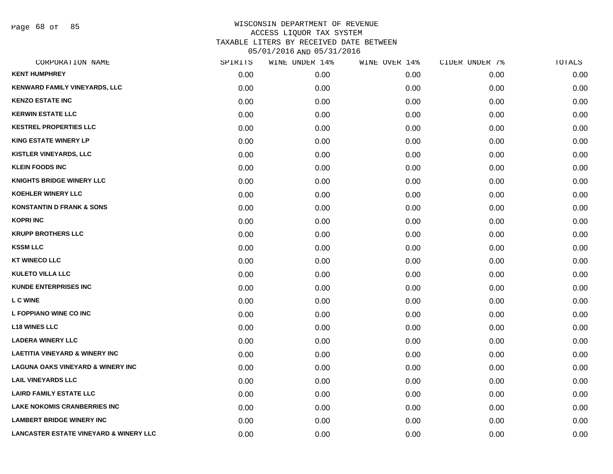Page 68 of 85

| CORPORATION NAME                                  | SPIRITS | WINE UNDER 14% | WINE OVER 14% | CIDER UNDER 7% | TOTALS |
|---------------------------------------------------|---------|----------------|---------------|----------------|--------|
| <b>KENT HUMPHREY</b>                              | 0.00    | 0.00           | 0.00          | 0.00           | 0.00   |
| <b>KENWARD FAMILY VINEYARDS, LLC</b>              | 0.00    | 0.00           | 0.00          | 0.00           | 0.00   |
| <b>KENZO ESTATE INC</b>                           | 0.00    | 0.00           | 0.00          | 0.00           | 0.00   |
| <b>KERWIN ESTATE LLC</b>                          | 0.00    | 0.00           | 0.00          | 0.00           | 0.00   |
| <b>KESTREL PROPERTIES LLC</b>                     | 0.00    | 0.00           | 0.00          | 0.00           | 0.00   |
| <b>KING ESTATE WINERY LP</b>                      | 0.00    | 0.00           | 0.00          | 0.00           | 0.00   |
| <b>KISTLER VINEYARDS, LLC</b>                     | 0.00    | 0.00           | 0.00          | 0.00           | 0.00   |
| <b>KLEIN FOODS INC</b>                            | 0.00    | 0.00           | 0.00          | 0.00           | 0.00   |
| <b>KNIGHTS BRIDGE WINERY LLC</b>                  | 0.00    | 0.00           | 0.00          | 0.00           | 0.00   |
| <b>KOEHLER WINERY LLC</b>                         | 0.00    | 0.00           | 0.00          | 0.00           | 0.00   |
| <b>KONSTANTIN D FRANK &amp; SONS</b>              | 0.00    | 0.00           | 0.00          | 0.00           | 0.00   |
| <b>KOPRI INC</b>                                  | 0.00    | 0.00           | 0.00          | 0.00           | 0.00   |
| <b>KRUPP BROTHERS LLC</b>                         | 0.00    | 0.00           | 0.00          | 0.00           | 0.00   |
| <b>KSSM LLC</b>                                   | 0.00    | 0.00           | 0.00          | 0.00           | 0.00   |
| <b>KT WINECO LLC</b>                              | 0.00    | 0.00           | 0.00          | 0.00           | 0.00   |
| <b>KULETO VILLA LLC</b>                           | 0.00    | 0.00           | 0.00          | 0.00           | 0.00   |
| <b>KUNDE ENTERPRISES INC</b>                      | 0.00    | 0.00           | 0.00          | 0.00           | 0.00   |
| L C WINE                                          | 0.00    | 0.00           | 0.00          | 0.00           | 0.00   |
| L FOPPIANO WINE CO INC                            | 0.00    | 0.00           | 0.00          | 0.00           | 0.00   |
| <b>L18 WINES LLC</b>                              | 0.00    | 0.00           | 0.00          | 0.00           | 0.00   |
| <b>LADERA WINERY LLC</b>                          | 0.00    | 0.00           | 0.00          | 0.00           | 0.00   |
| <b>LAETITIA VINEYARD &amp; WINERY INC</b>         | 0.00    | 0.00           | 0.00          | 0.00           | 0.00   |
| <b>LAGUNA OAKS VINEYARD &amp; WINERY INC</b>      | 0.00    | 0.00           | 0.00          | 0.00           | 0.00   |
| <b>LAIL VINEYARDS LLC</b>                         | 0.00    | 0.00           | 0.00          | 0.00           | 0.00   |
| <b>LAIRD FAMILY ESTATE LLC</b>                    | 0.00    | 0.00           | 0.00          | 0.00           | 0.00   |
| <b>LAKE NOKOMIS CRANBERRIES INC</b>               | 0.00    | 0.00           | 0.00          | 0.00           | 0.00   |
| <b>LAMBERT BRIDGE WINERY INC</b>                  | 0.00    | 0.00           | 0.00          | 0.00           | 0.00   |
| <b>LANCASTER ESTATE VINEYARD &amp; WINERY LLC</b> | 0.00    | 0.00           | 0.00          | 0.00           | 0.00   |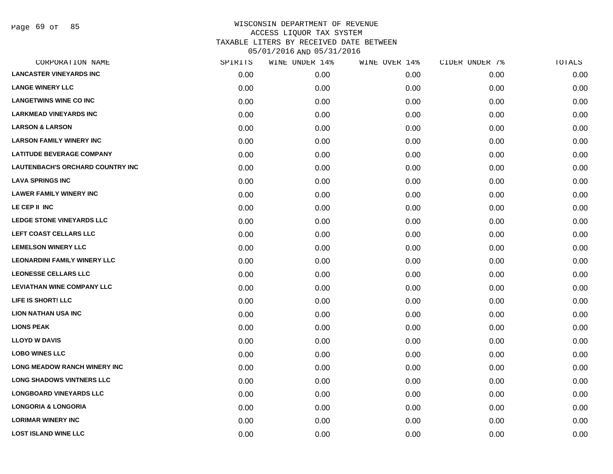Page 69 of 85

| CORPORATION NAME                        | SPIRITS | WINE UNDER 14% | WINE OVER 14% | CIDER UNDER 7% | TOTALS |
|-----------------------------------------|---------|----------------|---------------|----------------|--------|
| <b>LANCASTER VINEYARDS INC</b>          | 0.00    | 0.00           | 0.00          | 0.00           | 0.00   |
| <b>LANGE WINERY LLC</b>                 | 0.00    | 0.00           | 0.00          | 0.00           | 0.00   |
| <b>LANGETWINS WINE CO INC</b>           | 0.00    | 0.00           | 0.00          | 0.00           | 0.00   |
| <b>LARKMEAD VINEYARDS INC</b>           | 0.00    | 0.00           | 0.00          | 0.00           | 0.00   |
| <b>LARSON &amp; LARSON</b>              | 0.00    | 0.00           | 0.00          | 0.00           | 0.00   |
| <b>LARSON FAMILY WINERY INC</b>         | 0.00    | 0.00           | 0.00          | 0.00           | 0.00   |
| <b>LATITUDE BEVERAGE COMPANY</b>        | 0.00    | 0.00           | 0.00          | 0.00           | 0.00   |
| <b>LAUTENBACH'S ORCHARD COUNTRY INC</b> | 0.00    | 0.00           | 0.00          | 0.00           | 0.00   |
| <b>LAVA SPRINGS INC</b>                 | 0.00    | 0.00           | 0.00          | 0.00           | 0.00   |
| <b>LAWER FAMILY WINERY INC</b>          | 0.00    | 0.00           | 0.00          | 0.00           | 0.00   |
| LE CEP II INC                           | 0.00    | 0.00           | 0.00          | 0.00           | 0.00   |
| LEDGE STONE VINEYARDS LLC               | 0.00    | 0.00           | 0.00          | 0.00           | 0.00   |
| LEFT COAST CELLARS LLC                  | 0.00    | 0.00           | 0.00          | 0.00           | 0.00   |
| <b>LEMELSON WINERY LLC</b>              | 0.00    | 0.00           | 0.00          | 0.00           | 0.00   |
| <b>LEONARDINI FAMILY WINERY LLC</b>     | 0.00    | 0.00           | 0.00          | 0.00           | 0.00   |
| <b>LEONESSE CELLARS LLC</b>             | 0.00    | 0.00           | 0.00          | 0.00           | 0.00   |
| <b>LEVIATHAN WINE COMPANY LLC</b>       | 0.00    | 0.00           | 0.00          | 0.00           | 0.00   |
| LIFE IS SHORT! LLC                      | 0.00    | 0.00           | 0.00          | 0.00           | 0.00   |
| <b>LION NATHAN USA INC</b>              | 0.00    | 0.00           | 0.00          | 0.00           | 0.00   |
| <b>LIONS PEAK</b>                       | 0.00    | 0.00           | 0.00          | 0.00           | 0.00   |
| <b>LLOYD W DAVIS</b>                    | 0.00    | 0.00           | 0.00          | 0.00           | 0.00   |
| <b>LOBO WINES LLC</b>                   | 0.00    | 0.00           | 0.00          | 0.00           | 0.00   |
| <b>LONG MEADOW RANCH WINERY INC</b>     | 0.00    | 0.00           | 0.00          | 0.00           | 0.00   |
| <b>LONG SHADOWS VINTNERS LLC</b>        | 0.00    | 0.00           | 0.00          | 0.00           | 0.00   |
| <b>LONGBOARD VINEYARDS LLC</b>          | 0.00    | 0.00           | 0.00          | 0.00           | 0.00   |
| <b>LONGORIA &amp; LONGORIA</b>          | 0.00    | 0.00           | 0.00          | 0.00           | 0.00   |
| <b>LORIMAR WINERY INC</b>               | 0.00    | 0.00           | 0.00          | 0.00           | 0.00   |
| <b>LOST ISLAND WINE LLC</b>             | 0.00    | 0.00           | 0.00          | 0.00           | 0.00   |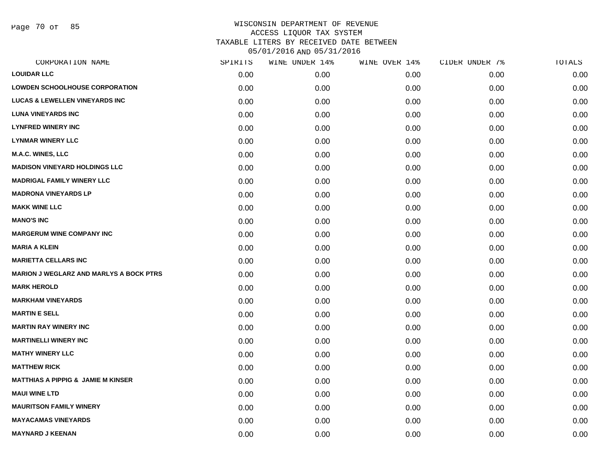Page 70 of 85

|      | WINE UNDER 14% | WINE OVER 14% | CIDER UNDER 7% | TOTALS |
|------|----------------|---------------|----------------|--------|
| 0.00 | 0.00           | 0.00          | 0.00           | 0.00   |
| 0.00 | 0.00           | 0.00          | 0.00           | 0.00   |
| 0.00 | 0.00           | 0.00          | 0.00           | 0.00   |
| 0.00 | 0.00           | 0.00          | 0.00           | 0.00   |
| 0.00 | 0.00           | 0.00          | 0.00           | 0.00   |
| 0.00 | 0.00           | 0.00          | 0.00           | 0.00   |
| 0.00 | 0.00           | 0.00          | 0.00           | 0.00   |
| 0.00 | 0.00           | 0.00          | 0.00           | 0.00   |
| 0.00 | 0.00           | 0.00          | 0.00           | 0.00   |
| 0.00 | 0.00           | 0.00          | 0.00           | 0.00   |
| 0.00 | 0.00           | 0.00          | 0.00           | 0.00   |
| 0.00 | 0.00           | 0.00          | 0.00           | 0.00   |
| 0.00 | 0.00           | 0.00          | 0.00           | 0.00   |
| 0.00 | 0.00           | 0.00          | 0.00           | 0.00   |
| 0.00 | 0.00           | 0.00          | 0.00           | 0.00   |
| 0.00 | 0.00           | 0.00          | 0.00           | 0.00   |
| 0.00 | 0.00           | 0.00          | 0.00           | 0.00   |
| 0.00 | 0.00           | 0.00          | 0.00           | 0.00   |
| 0.00 | 0.00           | 0.00          | 0.00           | 0.00   |
| 0.00 | 0.00           | 0.00          | 0.00           | 0.00   |
| 0.00 | 0.00           | 0.00          | 0.00           | 0.00   |
| 0.00 | 0.00           | 0.00          | 0.00           | 0.00   |
| 0.00 | 0.00           | 0.00          | 0.00           | 0.00   |
| 0.00 | 0.00           | 0.00          | 0.00           | 0.00   |
| 0.00 | 0.00           | 0.00          | 0.00           | 0.00   |
| 0.00 | 0.00           | 0.00          | 0.00           | 0.00   |
| 0.00 | 0.00           | 0.00          | 0.00           | 0.00   |
| 0.00 | 0.00           | 0.00          | 0.00           | 0.00   |
|      | SPIRITS        |               |                |        |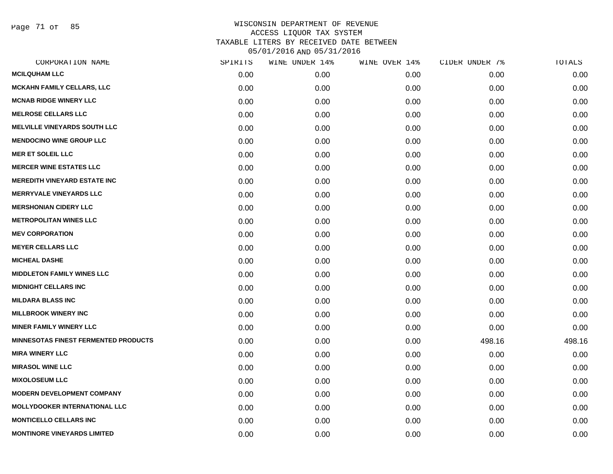Page 71 of 85

| CORPORATION NAME                            | SPIRITS | WINE UNDER 14% | WINE OVER 14% | CIDER UNDER 7% | TOTALS |
|---------------------------------------------|---------|----------------|---------------|----------------|--------|
| <b>MCILQUHAM LLC</b>                        | 0.00    | 0.00           | 0.00          | 0.00           | 0.00   |
| <b>MCKAHN FAMILY CELLARS, LLC</b>           | 0.00    | 0.00           | 0.00          | 0.00           | 0.00   |
| <b>MCNAB RIDGE WINERY LLC</b>               | 0.00    | 0.00           | 0.00          | 0.00           | 0.00   |
| <b>MELROSE CELLARS LLC</b>                  | 0.00    | 0.00           | 0.00          | 0.00           | 0.00   |
| <b>MELVILLE VINEYARDS SOUTH LLC</b>         | 0.00    | 0.00           | 0.00          | 0.00           | 0.00   |
| <b>MENDOCINO WINE GROUP LLC</b>             | 0.00    | 0.00           | 0.00          | 0.00           | 0.00   |
| <b>MER ET SOLEIL LLC</b>                    | 0.00    | 0.00           | 0.00          | 0.00           | 0.00   |
| <b>MERCER WINE ESTATES LLC</b>              | 0.00    | 0.00           | 0.00          | 0.00           | 0.00   |
| <b>MEREDITH VINEYARD ESTATE INC</b>         | 0.00    | 0.00           | 0.00          | 0.00           | 0.00   |
| <b>MERRYVALE VINEYARDS LLC</b>              | 0.00    | 0.00           | 0.00          | 0.00           | 0.00   |
| <b>MERSHONIAN CIDERY LLC</b>                | 0.00    | 0.00           | 0.00          | 0.00           | 0.00   |
| <b>METROPOLITAN WINES LLC</b>               | 0.00    | 0.00           | 0.00          | 0.00           | 0.00   |
| <b>MEV CORPORATION</b>                      | 0.00    | 0.00           | 0.00          | 0.00           | 0.00   |
| <b>MEYER CELLARS LLC</b>                    | 0.00    | 0.00           | 0.00          | 0.00           | 0.00   |
| <b>MICHEAL DASHE</b>                        | 0.00    | 0.00           | 0.00          | 0.00           | 0.00   |
| <b>MIDDLETON FAMILY WINES LLC</b>           | 0.00    | 0.00           | 0.00          | 0.00           | 0.00   |
| <b>MIDNIGHT CELLARS INC</b>                 | 0.00    | 0.00           | 0.00          | 0.00           | 0.00   |
| <b>MILDARA BLASS INC</b>                    | 0.00    | 0.00           | 0.00          | 0.00           | 0.00   |
| <b>MILLBROOK WINERY INC</b>                 | 0.00    | 0.00           | 0.00          | 0.00           | 0.00   |
| <b>MINER FAMILY WINERY LLC</b>              | 0.00    | 0.00           | 0.00          | 0.00           | 0.00   |
| <b>MINNESOTAS FINEST FERMENTED PRODUCTS</b> | 0.00    | 0.00           | 0.00          | 498.16         | 498.16 |
| <b>MIRA WINERY LLC</b>                      | 0.00    | 0.00           | 0.00          | 0.00           | 0.00   |
| <b>MIRASOL WINE LLC</b>                     | 0.00    | 0.00           | 0.00          | 0.00           | 0.00   |
| <b>MIXOLOSEUM LLC</b>                       | 0.00    | 0.00           | 0.00          | 0.00           | 0.00   |
| <b>MODERN DEVELOPMENT COMPANY</b>           | 0.00    | 0.00           | 0.00          | 0.00           | 0.00   |
| <b>MOLLYDOOKER INTERNATIONAL LLC</b>        | 0.00    | 0.00           | 0.00          | 0.00           | 0.00   |
| <b>MONTICELLO CELLARS INC</b>               | 0.00    | 0.00           | 0.00          | 0.00           | 0.00   |
| <b>MONTINORE VINEYARDS LIMITED</b>          | 0.00    | 0.00           | 0.00          | 0.00           | 0.00   |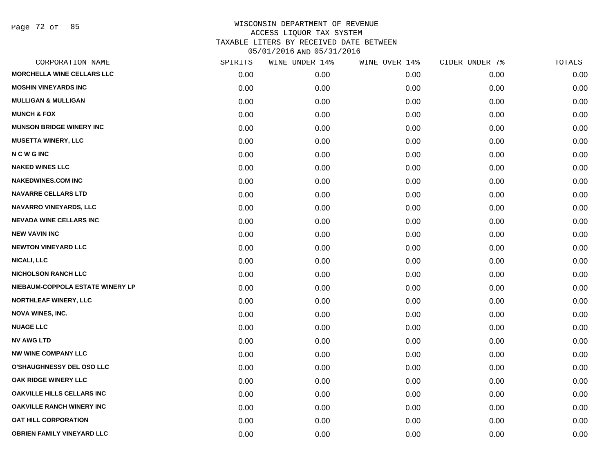Page 72 of 85

| CORPORATION NAME                  | SPIRITS | WINE UNDER 14% | WINE OVER 14% | CIDER UNDER 7% | TOTALS |
|-----------------------------------|---------|----------------|---------------|----------------|--------|
| <b>MORCHELLA WINE CELLARS LLC</b> | 0.00    | 0.00           | 0.00          | 0.00           | 0.00   |
| <b>MOSHIN VINEYARDS INC</b>       | 0.00    | 0.00           | 0.00          | 0.00           | 0.00   |
| <b>MULLIGAN &amp; MULLIGAN</b>    | 0.00    | 0.00           | 0.00          | 0.00           | 0.00   |
| <b>MUNCH &amp; FOX</b>            | 0.00    | 0.00           | 0.00          | 0.00           | 0.00   |
| <b>MUNSON BRIDGE WINERY INC</b>   | 0.00    | 0.00           | 0.00          | 0.00           | 0.00   |
| <b>MUSETTA WINERY, LLC</b>        | 0.00    | 0.00           | 0.00          | 0.00           | 0.00   |
| <b>NCWGINC</b>                    | 0.00    | 0.00           | 0.00          | 0.00           | 0.00   |
| <b>NAKED WINES LLC</b>            | 0.00    | 0.00           | 0.00          | 0.00           | 0.00   |
| <b>NAKEDWINES.COM INC</b>         | 0.00    | 0.00           | 0.00          | 0.00           | 0.00   |
| <b>NAVARRE CELLARS LTD</b>        | 0.00    | 0.00           | 0.00          | 0.00           | 0.00   |
| <b>NAVARRO VINEYARDS, LLC</b>     | 0.00    | 0.00           | 0.00          | 0.00           | 0.00   |
| <b>NEVADA WINE CELLARS INC</b>    | 0.00    | 0.00           | 0.00          | 0.00           | 0.00   |
| <b>NEW VAVIN INC</b>              | 0.00    | 0.00           | 0.00          | 0.00           | 0.00   |
| <b>NEWTON VINEYARD LLC</b>        | 0.00    | 0.00           | 0.00          | 0.00           | 0.00   |
| <b>NICALI, LLC</b>                | 0.00    | 0.00           | 0.00          | 0.00           | 0.00   |
| <b>NICHOLSON RANCH LLC</b>        | 0.00    | 0.00           | 0.00          | 0.00           | 0.00   |
| NIEBAUM-COPPOLA ESTATE WINERY LP  | 0.00    | 0.00           | 0.00          | 0.00           | 0.00   |
| NORTHLEAF WINERY, LLC             | 0.00    | 0.00           | 0.00          | 0.00           | 0.00   |
| <b>NOVA WINES, INC.</b>           | 0.00    | 0.00           | 0.00          | 0.00           | 0.00   |
| <b>NUAGE LLC</b>                  | 0.00    | 0.00           | 0.00          | 0.00           | 0.00   |
| <b>NV AWG LTD</b>                 | 0.00    | 0.00           | 0.00          | 0.00           | 0.00   |
| <b>NW WINE COMPANY LLC</b>        | 0.00    | 0.00           | 0.00          | 0.00           | 0.00   |
| <b>O'SHAUGHNESSY DEL OSO LLC</b>  | 0.00    | 0.00           | 0.00          | 0.00           | 0.00   |
| OAK RIDGE WINERY LLC              | 0.00    | 0.00           | 0.00          | 0.00           | 0.00   |
| <b>OAKVILLE HILLS CELLARS INC</b> | 0.00    | 0.00           | 0.00          | 0.00           | 0.00   |
| <b>OAKVILLE RANCH WINERY INC</b>  | 0.00    | 0.00           | 0.00          | 0.00           | 0.00   |
| <b>OAT HILL CORPORATION</b>       | 0.00    | 0.00           | 0.00          | 0.00           | 0.00   |
| OBRIEN FAMILY VINEYARD LLC        | 0.00    | 0.00           | 0.00          | 0.00           | 0.00   |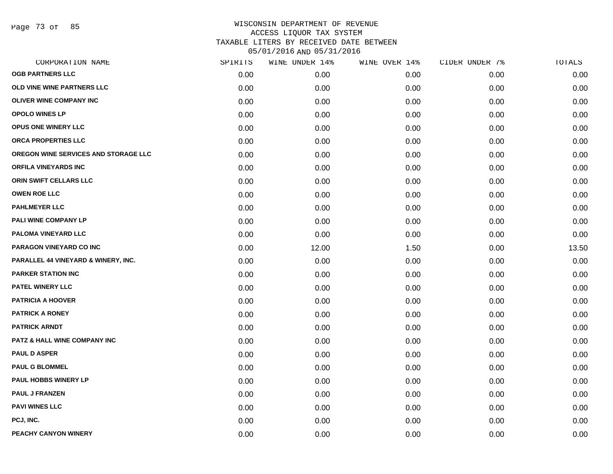Page 73 of 85

| CORPORATION NAME                        | SPIRITS | WINE UNDER 14% | WINE OVER 14% | CIDER UNDER 7% | TOTALS |
|-----------------------------------------|---------|----------------|---------------|----------------|--------|
| <b>OGB PARTNERS LLC</b>                 | 0.00    | 0.00           | 0.00          | 0.00           | 0.00   |
| OLD VINE WINE PARTNERS LLC              | 0.00    | 0.00           | 0.00          | 0.00           | 0.00   |
| OLIVER WINE COMPANY INC                 | 0.00    | 0.00           | 0.00          | 0.00           | 0.00   |
| <b>OPOLO WINES LP</b>                   | 0.00    | 0.00           | 0.00          | 0.00           | 0.00   |
| <b>OPUS ONE WINERY LLC</b>              | 0.00    | 0.00           | 0.00          | 0.00           | 0.00   |
| ORCA PROPERTIES LLC                     | 0.00    | 0.00           | 0.00          | 0.00           | 0.00   |
| OREGON WINE SERVICES AND STORAGE LLC    | 0.00    | 0.00           | 0.00          | 0.00           | 0.00   |
| ORFILA VINEYARDS INC                    | 0.00    | 0.00           | 0.00          | 0.00           | 0.00   |
| ORIN SWIFT CELLARS LLC                  | 0.00    | 0.00           | 0.00          | 0.00           | 0.00   |
| <b>OWEN ROE LLC</b>                     | 0.00    | 0.00           | 0.00          | 0.00           | 0.00   |
| <b>PAHLMEYER LLC</b>                    | 0.00    | 0.00           | 0.00          | 0.00           | 0.00   |
| PALI WINE COMPANY LP                    | 0.00    | 0.00           | 0.00          | 0.00           | 0.00   |
| PALOMA VINEYARD LLC                     | 0.00    | 0.00           | 0.00          | 0.00           | 0.00   |
| PARAGON VINEYARD CO INC                 | 0.00    | 12.00          | 1.50          | 0.00           | 13.50  |
| PARALLEL 44 VINEYARD & WINERY, INC.     | 0.00    | 0.00           | 0.00          | 0.00           | 0.00   |
| <b>PARKER STATION INC</b>               | 0.00    | 0.00           | 0.00          | 0.00           | 0.00   |
| PATEL WINERY LLC                        | 0.00    | 0.00           | 0.00          | 0.00           | 0.00   |
| <b>PATRICIA A HOOVER</b>                | 0.00    | 0.00           | 0.00          | 0.00           | 0.00   |
| <b>PATRICK A RONEY</b>                  | 0.00    | 0.00           | 0.00          | 0.00           | 0.00   |
| <b>PATRICK ARNDT</b>                    | 0.00    | 0.00           | 0.00          | 0.00           | 0.00   |
| <b>PATZ &amp; HALL WINE COMPANY INC</b> | 0.00    | 0.00           | 0.00          | 0.00           | 0.00   |
| <b>PAUL D ASPER</b>                     | 0.00    | 0.00           | 0.00          | 0.00           | 0.00   |
| <b>PAUL G BLOMMEL</b>                   | 0.00    | 0.00           | 0.00          | 0.00           | 0.00   |
| <b>PAUL HOBBS WINERY LP</b>             | 0.00    | 0.00           | 0.00          | 0.00           | 0.00   |
| <b>PAUL J FRANZEN</b>                   | 0.00    | 0.00           | 0.00          | 0.00           | 0.00   |
| <b>PAVI WINES LLC</b>                   | 0.00    | 0.00           | 0.00          | 0.00           | 0.00   |
| PCJ, INC.                               | 0.00    | 0.00           | 0.00          | 0.00           | 0.00   |
| PEACHY CANYON WINERY                    | 0.00    | 0.00           | 0.00          | 0.00           | 0.00   |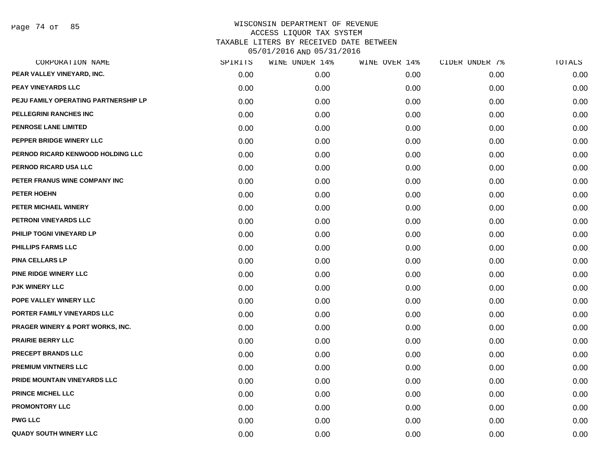| CORPORATION NAME                            | SPIRITS | WINE UNDER 14% | WINE OVER 14% | CIDER UNDER 7% | TOTALS |
|---------------------------------------------|---------|----------------|---------------|----------------|--------|
| PEAR VALLEY VINEYARD, INC.                  | 0.00    | 0.00           | 0.00          | 0.00           | 0.00   |
| <b>PEAY VINEYARDS LLC</b>                   | 0.00    | 0.00           | 0.00          | 0.00           | 0.00   |
| PEJU FAMILY OPERATING PARTNERSHIP LP        | 0.00    | 0.00           | 0.00          | 0.00           | 0.00   |
| <b>PELLEGRINI RANCHES INC</b>               | 0.00    | 0.00           | 0.00          | 0.00           | 0.00   |
| PENROSE LANE LIMITED                        | 0.00    | 0.00           | 0.00          | 0.00           | 0.00   |
| PEPPER BRIDGE WINERY LLC                    | 0.00    | 0.00           | 0.00          | 0.00           | 0.00   |
| PERNOD RICARD KENWOOD HOLDING LLC           | 0.00    | 0.00           | 0.00          | 0.00           | 0.00   |
| PERNOD RICARD USA LLC                       | 0.00    | 0.00           | 0.00          | 0.00           | 0.00   |
| PETER FRANUS WINE COMPANY INC               | 0.00    | 0.00           | 0.00          | 0.00           | 0.00   |
| PETER HOEHN                                 | 0.00    | 0.00           | 0.00          | 0.00           | 0.00   |
| PETER MICHAEL WINERY                        | 0.00    | 0.00           | 0.00          | 0.00           | 0.00   |
| PETRONI VINEYARDS LLC                       | 0.00    | 0.00           | 0.00          | 0.00           | 0.00   |
| PHILIP TOGNI VINEYARD LP                    | 0.00    | 0.00           | 0.00          | 0.00           | 0.00   |
| PHILLIPS FARMS LLC                          | 0.00    | 0.00           | 0.00          | 0.00           | 0.00   |
| <b>PINA CELLARS LP</b>                      | 0.00    | 0.00           | 0.00          | 0.00           | 0.00   |
| PINE RIDGE WINERY LLC                       | 0.00    | 0.00           | 0.00          | 0.00           | 0.00   |
| <b>PJK WINERY LLC</b>                       | 0.00    | 0.00           | 0.00          | 0.00           | 0.00   |
| POPE VALLEY WINERY LLC                      | 0.00    | 0.00           | 0.00          | 0.00           | 0.00   |
| PORTER FAMILY VINEYARDS LLC                 | 0.00    | 0.00           | 0.00          | 0.00           | 0.00   |
| <b>PRAGER WINERY &amp; PORT WORKS, INC.</b> | 0.00    | 0.00           | 0.00          | 0.00           | 0.00   |
| <b>PRAIRIE BERRY LLC</b>                    | 0.00    | 0.00           | 0.00          | 0.00           | 0.00   |
| <b>PRECEPT BRANDS LLC</b>                   | 0.00    | 0.00           | 0.00          | 0.00           | 0.00   |
| PREMIUM VINTNERS LLC                        | 0.00    | 0.00           | 0.00          | 0.00           | 0.00   |
| PRIDE MOUNTAIN VINEYARDS LLC                | 0.00    | 0.00           | 0.00          | 0.00           | 0.00   |
| PRINCE MICHEL LLC                           | 0.00    | 0.00           | 0.00          | 0.00           | 0.00   |
| <b>PROMONTORY LLC</b>                       | 0.00    | 0.00           | 0.00          | 0.00           | 0.00   |
| <b>PWG LLC</b>                              | 0.00    | 0.00           | 0.00          | 0.00           | 0.00   |
| <b>QUADY SOUTH WINERY LLC</b>               | 0.00    | 0.00           | 0.00          | 0.00           | 0.00   |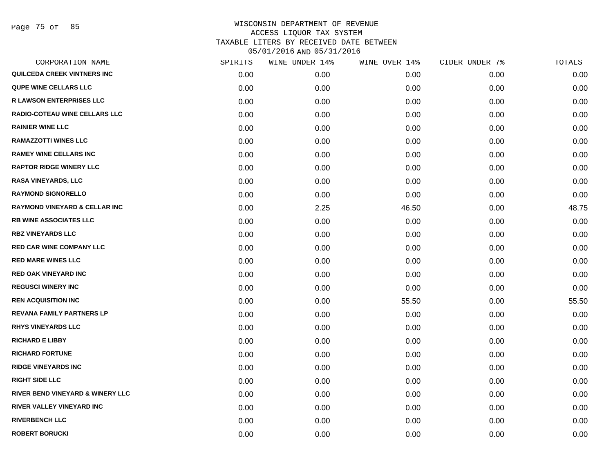Page 75 of 85

| CORPORATION NAME                            | SPIRITS | WINE UNDER 14% | WINE OVER 14% | CIDER UNDER 7% | TOTALS |
|---------------------------------------------|---------|----------------|---------------|----------------|--------|
| QUILCEDA CREEK VINTNERS INC                 | 0.00    | 0.00           | 0.00          | 0.00           | 0.00   |
| <b>QUPE WINE CELLARS LLC</b>                | 0.00    | 0.00           | 0.00          | 0.00           | 0.00   |
| <b>R LAWSON ENTERPRISES LLC</b>             | 0.00    | 0.00           | 0.00          | 0.00           | 0.00   |
| <b>RADIO-COTEAU WINE CELLARS LLC</b>        | 0.00    | 0.00           | 0.00          | 0.00           | 0.00   |
| <b>RAINIER WINE LLC</b>                     | 0.00    | 0.00           | 0.00          | 0.00           | 0.00   |
| <b>RAMAZZOTTI WINES LLC</b>                 | 0.00    | 0.00           | 0.00          | 0.00           | 0.00   |
| <b>RAMEY WINE CELLARS INC</b>               | 0.00    | 0.00           | 0.00          | 0.00           | 0.00   |
| <b>RAPTOR RIDGE WINERY LLC</b>              | 0.00    | 0.00           | 0.00          | 0.00           | 0.00   |
| <b>RASA VINEYARDS, LLC</b>                  | 0.00    | 0.00           | 0.00          | 0.00           | 0.00   |
| <b>RAYMOND SIGNORELLO</b>                   | 0.00    | 0.00           | 0.00          | 0.00           | 0.00   |
| <b>RAYMOND VINEYARD &amp; CELLAR INC</b>    | 0.00    | 2.25           | 46.50         | 0.00           | 48.75  |
| <b>RB WINE ASSOCIATES LLC</b>               | 0.00    | 0.00           | 0.00          | 0.00           | 0.00   |
| <b>RBZ VINEYARDS LLC</b>                    | 0.00    | 0.00           | 0.00          | 0.00           | 0.00   |
| <b>RED CAR WINE COMPANY LLC</b>             | 0.00    | 0.00           | 0.00          | 0.00           | 0.00   |
| <b>RED MARE WINES LLC</b>                   | 0.00    | 0.00           | 0.00          | 0.00           | 0.00   |
| <b>RED OAK VINEYARD INC</b>                 | 0.00    | 0.00           | 0.00          | 0.00           | 0.00   |
| <b>REGUSCI WINERY INC</b>                   | 0.00    | 0.00           | 0.00          | 0.00           | 0.00   |
| <b>REN ACQUISITION INC</b>                  | 0.00    | 0.00           | 55.50         | 0.00           | 55.50  |
| <b>REVANA FAMILY PARTNERS LP</b>            | 0.00    | 0.00           | 0.00          | 0.00           | 0.00   |
| <b>RHYS VINEYARDS LLC</b>                   | 0.00    | 0.00           | 0.00          | 0.00           | 0.00   |
| <b>RICHARD E LIBBY</b>                      | 0.00    | 0.00           | 0.00          | 0.00           | 0.00   |
| <b>RICHARD FORTUNE</b>                      | 0.00    | 0.00           | 0.00          | 0.00           | 0.00   |
| <b>RIDGE VINEYARDS INC</b>                  | 0.00    | 0.00           | 0.00          | 0.00           | 0.00   |
| <b>RIGHT SIDE LLC</b>                       | 0.00    | 0.00           | 0.00          | 0.00           | 0.00   |
| <b>RIVER BEND VINEYARD &amp; WINERY LLC</b> | 0.00    | 0.00           | 0.00          | 0.00           | 0.00   |
| RIVER VALLEY VINEYARD INC                   | 0.00    | 0.00           | 0.00          | 0.00           | 0.00   |
| <b>RIVERBENCH LLC</b>                       | 0.00    | 0.00           | 0.00          | 0.00           | 0.00   |
| <b>ROBERT BORUCKI</b>                       | 0.00    | 0.00           | 0.00          | 0.00           | 0.00   |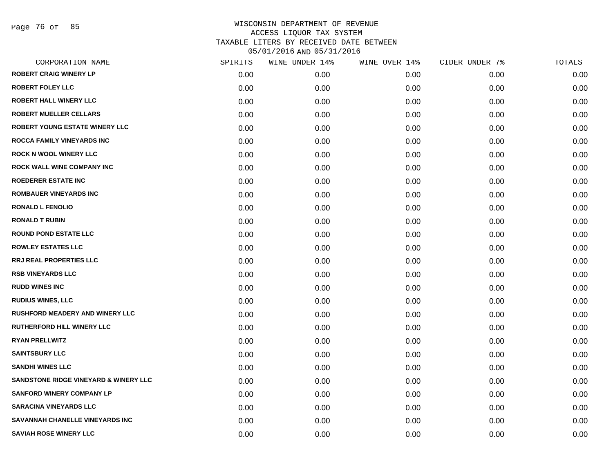Page 76 of 85

| CORPORATION NAME                       | SPIRITS | WINE UNDER 14% | WINE OVER 14% | CIDER UNDER 7% | TOTALS |
|----------------------------------------|---------|----------------|---------------|----------------|--------|
| <b>ROBERT CRAIG WINERY LP</b>          | 0.00    | 0.00           | 0.00          | 0.00           | 0.00   |
| <b>ROBERT FOLEY LLC</b>                | 0.00    | 0.00           | 0.00          | 0.00           | 0.00   |
| <b>ROBERT HALL WINERY LLC</b>          | 0.00    | 0.00           | 0.00          | 0.00           | 0.00   |
| <b>ROBERT MUELLER CELLARS</b>          | 0.00    | 0.00           | 0.00          | 0.00           | 0.00   |
| <b>ROBERT YOUNG ESTATE WINERY LLC</b>  | 0.00    | 0.00           | 0.00          | 0.00           | 0.00   |
| ROCCA FAMILY VINEYARDS INC             | 0.00    | 0.00           | 0.00          | 0.00           | 0.00   |
| <b>ROCK N WOOL WINERY LLC</b>          | 0.00    | 0.00           | 0.00          | 0.00           | 0.00   |
| <b>ROCK WALL WINE COMPANY INC</b>      | 0.00    | 0.00           | 0.00          | 0.00           | 0.00   |
| <b>ROEDERER ESTATE INC</b>             | 0.00    | 0.00           | 0.00          | 0.00           | 0.00   |
| <b>ROMBAUER VINEYARDS INC</b>          | 0.00    | 0.00           | 0.00          | 0.00           | 0.00   |
| <b>RONALD L FENOLIO</b>                | 0.00    | 0.00           | 0.00          | 0.00           | 0.00   |
| <b>RONALD T RUBIN</b>                  | 0.00    | 0.00           | 0.00          | 0.00           | 0.00   |
| <b>ROUND POND ESTATE LLC</b>           | 0.00    | 0.00           | 0.00          | 0.00           | 0.00   |
| <b>ROWLEY ESTATES LLC</b>              | 0.00    | 0.00           | 0.00          | 0.00           | 0.00   |
| <b>RRJ REAL PROPERTIES LLC</b>         | 0.00    | 0.00           | 0.00          | 0.00           | 0.00   |
| <b>RSB VINEYARDS LLC</b>               | 0.00    | 0.00           | 0.00          | 0.00           | 0.00   |
| <b>RUDD WINES INC</b>                  | 0.00    | 0.00           | 0.00          | 0.00           | 0.00   |
| <b>RUDIUS WINES, LLC</b>               | 0.00    | 0.00           | 0.00          | 0.00           | 0.00   |
| <b>RUSHFORD MEADERY AND WINERY LLC</b> | 0.00    | 0.00           | 0.00          | 0.00           | 0.00   |
| RUTHERFORD HILL WINERY LLC             | 0.00    | 0.00           | 0.00          | 0.00           | 0.00   |
| <b>RYAN PRELLWITZ</b>                  | 0.00    | 0.00           | 0.00          | 0.00           | 0.00   |
| <b>SAINTSBURY LLC</b>                  | 0.00    | 0.00           | 0.00          | 0.00           | 0.00   |
| <b>SANDHI WINES LLC</b>                | 0.00    | 0.00           | 0.00          | 0.00           | 0.00   |
| SANDSTONE RIDGE VINEYARD & WINERY LLC  | 0.00    | 0.00           | 0.00          | 0.00           | 0.00   |
| <b>SANFORD WINERY COMPANY LP</b>       | 0.00    | 0.00           | 0.00          | 0.00           | 0.00   |
| <b>SARACINA VINEYARDS LLC</b>          | 0.00    | 0.00           | 0.00          | 0.00           | 0.00   |
| SAVANNAH CHANELLE VINEYARDS INC        | 0.00    | 0.00           | 0.00          | 0.00           | 0.00   |
| <b>SAVIAH ROSE WINERY LLC</b>          | 0.00    | 0.00           | 0.00          | 0.00           | 0.00   |
|                                        |         |                |               |                |        |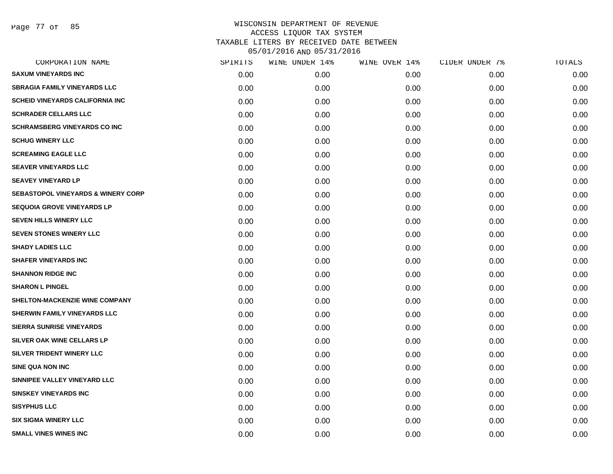Page 77 of 85

| CORPORATION NAME                              | SPIRITS | WINE UNDER 14% | WINE OVER 14% | CIDER UNDER 7% | TOTALS |
|-----------------------------------------------|---------|----------------|---------------|----------------|--------|
| <b>SAXUM VINEYARDS INC</b>                    | 0.00    | 0.00           | 0.00          | 0.00           | 0.00   |
| <b>SBRAGIA FAMILY VINEYARDS LLC</b>           | 0.00    | 0.00           | 0.00          | 0.00           | 0.00   |
| <b>SCHEID VINEYARDS CALIFORNIA INC</b>        | 0.00    | 0.00           | 0.00          | 0.00           | 0.00   |
| <b>SCHRADER CELLARS LLC</b>                   | 0.00    | 0.00           | 0.00          | 0.00           | 0.00   |
| <b>SCHRAMSBERG VINEYARDS CO INC</b>           | 0.00    | 0.00           | 0.00          | 0.00           | 0.00   |
| <b>SCHUG WINERY LLC</b>                       | 0.00    | 0.00           | 0.00          | 0.00           | 0.00   |
| <b>SCREAMING EAGLE LLC</b>                    | 0.00    | 0.00           | 0.00          | 0.00           | 0.00   |
| <b>SEAVER VINEYARDS LLC</b>                   | 0.00    | 0.00           | 0.00          | 0.00           | 0.00   |
| <b>SEAVEY VINEYARD LP</b>                     | 0.00    | 0.00           | 0.00          | 0.00           | 0.00   |
| <b>SEBASTOPOL VINEYARDS &amp; WINERY CORP</b> | 0.00    | 0.00           | 0.00          | 0.00           | 0.00   |
| <b>SEQUOIA GROVE VINEYARDS LP</b>             | 0.00    | 0.00           | 0.00          | 0.00           | 0.00   |
| SEVEN HILLS WINERY LLC                        | 0.00    | 0.00           | 0.00          | 0.00           | 0.00   |
| SEVEN STONES WINERY LLC                       | 0.00    | 0.00           | 0.00          | 0.00           | 0.00   |
| <b>SHADY LADIES LLC</b>                       | 0.00    | 0.00           | 0.00          | 0.00           | 0.00   |
| <b>SHAFER VINEYARDS INC</b>                   | 0.00    | 0.00           | 0.00          | 0.00           | 0.00   |
| <b>SHANNON RIDGE INC</b>                      | 0.00    | 0.00           | 0.00          | 0.00           | 0.00   |
| <b>SHARON L PINGEL</b>                        | 0.00    | 0.00           | 0.00          | 0.00           | 0.00   |
| <b>SHELTON-MACKENZIE WINE COMPANY</b>         | 0.00    | 0.00           | 0.00          | 0.00           | 0.00   |
| <b>SHERWIN FAMILY VINEYARDS LLC</b>           | 0.00    | 0.00           | 0.00          | 0.00           | 0.00   |
| <b>SIERRA SUNRISE VINEYARDS</b>               | 0.00    | 0.00           | 0.00          | 0.00           | 0.00   |
| SILVER OAK WINE CELLARS LP                    | 0.00    | 0.00           | 0.00          | 0.00           | 0.00   |
| SILVER TRIDENT WINERY LLC                     | 0.00    | 0.00           | 0.00          | 0.00           | 0.00   |
| <b>SINE QUA NON INC</b>                       | 0.00    | 0.00           | 0.00          | 0.00           | 0.00   |
| SINNIPEE VALLEY VINEYARD LLC                  | 0.00    | 0.00           | 0.00          | 0.00           | 0.00   |
| <b>SINSKEY VINEYARDS INC</b>                  | 0.00    | 0.00           | 0.00          | 0.00           | 0.00   |
| <b>SISYPHUS LLC</b>                           | 0.00    | 0.00           | 0.00          | 0.00           | 0.00   |
| <b>SIX SIGMA WINERY LLC</b>                   | 0.00    | 0.00           | 0.00          | 0.00           | 0.00   |
| <b>SMALL VINES WINES INC</b>                  | 0.00    | 0.00           | 0.00          | 0.00           | 0.00   |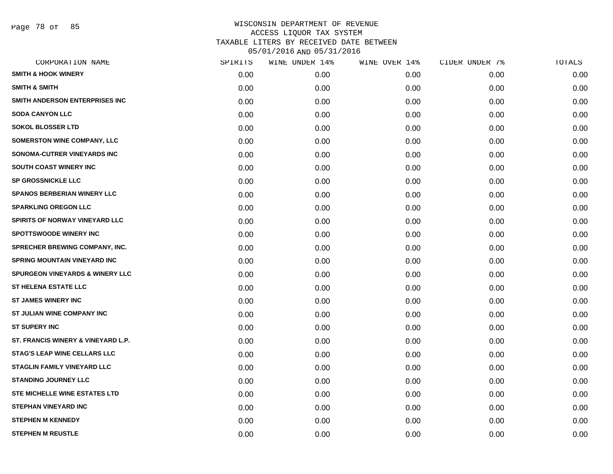Page 78 of 85

|      | WINE UNDER 14% | WINE OVER 14% | CIDER UNDER 7% | TOTALS |
|------|----------------|---------------|----------------|--------|
| 0.00 | 0.00           | 0.00          | 0.00           | 0.00   |
| 0.00 | 0.00           | 0.00          | 0.00           | 0.00   |
| 0.00 | 0.00           | 0.00          | 0.00           | 0.00   |
| 0.00 | 0.00           | 0.00          | 0.00           | 0.00   |
| 0.00 | 0.00           | 0.00          | 0.00           | 0.00   |
| 0.00 | 0.00           | 0.00          | 0.00           | 0.00   |
| 0.00 | 0.00           | 0.00          | 0.00           | 0.00   |
| 0.00 | 0.00           | 0.00          | 0.00           | 0.00   |
| 0.00 | 0.00           | 0.00          | 0.00           | 0.00   |
| 0.00 | 0.00           | 0.00          | 0.00           | 0.00   |
| 0.00 | 0.00           | 0.00          | 0.00           | 0.00   |
| 0.00 | 0.00           | 0.00          | 0.00           | 0.00   |
| 0.00 | 0.00           | 0.00          | 0.00           | 0.00   |
| 0.00 | 0.00           | 0.00          | 0.00           | 0.00   |
| 0.00 | 0.00           | 0.00          | 0.00           | 0.00   |
| 0.00 | 0.00           | 0.00          | 0.00           | 0.00   |
| 0.00 | 0.00           | 0.00          | 0.00           | 0.00   |
| 0.00 | 0.00           | 0.00          | 0.00           | 0.00   |
| 0.00 | 0.00           | 0.00          | 0.00           | 0.00   |
| 0.00 | 0.00           | 0.00          | 0.00           | 0.00   |
| 0.00 | 0.00           | 0.00          | 0.00           | 0.00   |
| 0.00 | 0.00           | 0.00          | 0.00           | 0.00   |
| 0.00 | 0.00           | 0.00          | 0.00           | 0.00   |
| 0.00 | 0.00           | 0.00          | 0.00           | 0.00   |
| 0.00 | 0.00           | 0.00          | 0.00           | 0.00   |
| 0.00 | 0.00           | 0.00          | 0.00           | 0.00   |
| 0.00 | 0.00           | 0.00          | 0.00           | 0.00   |
| 0.00 | 0.00           | 0.00          | 0.00           | 0.00   |
|      | SPIRITS        |               |                |        |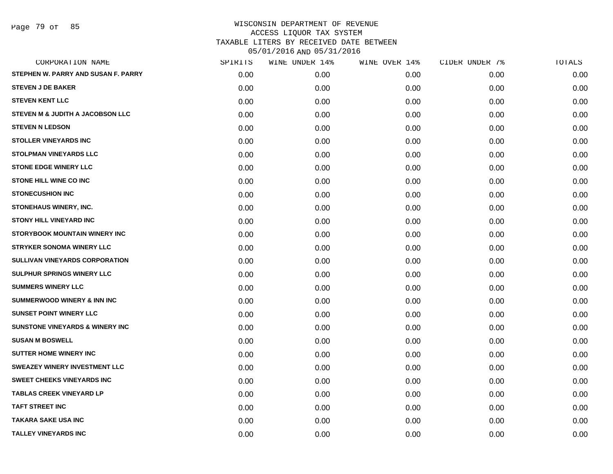Page 79 of 85

| CORPORATION NAME                            | SPIRITS | WINE UNDER 14% | WINE OVER 14% | CIDER UNDER 7% | TOTALS |
|---------------------------------------------|---------|----------------|---------------|----------------|--------|
| STEPHEN W. PARRY AND SUSAN F. PARRY         | 0.00    | 0.00           | 0.00          | 0.00           | 0.00   |
| <b>STEVEN J DE BAKER</b>                    | 0.00    | 0.00           | 0.00          | 0.00           | 0.00   |
| <b>STEVEN KENT LLC</b>                      | 0.00    | 0.00           | 0.00          | 0.00           | 0.00   |
| STEVEN M & JUDITH A JACOBSON LLC            | 0.00    | 0.00           | 0.00          | 0.00           | 0.00   |
| <b>STEVEN N LEDSON</b>                      | 0.00    | 0.00           | 0.00          | 0.00           | 0.00   |
| <b>STOLLER VINEYARDS INC</b>                | 0.00    | 0.00           | 0.00          | 0.00           | 0.00   |
| <b>STOLPMAN VINEYARDS LLC</b>               | 0.00    | 0.00           | 0.00          | 0.00           | 0.00   |
| <b>STONE EDGE WINERY LLC</b>                | 0.00    | 0.00           | 0.00          | 0.00           | 0.00   |
| <b>STONE HILL WINE CO INC</b>               | 0.00    | 0.00           | 0.00          | 0.00           | 0.00   |
| <b>STONECUSHION INC</b>                     | 0.00    | 0.00           | 0.00          | 0.00           | 0.00   |
| STONEHAUS WINERY, INC.                      | 0.00    | 0.00           | 0.00          | 0.00           | 0.00   |
| <b>STONY HILL VINEYARD INC</b>              | 0.00    | 0.00           | 0.00          | 0.00           | 0.00   |
| STORYBOOK MOUNTAIN WINERY INC               | 0.00    | 0.00           | 0.00          | 0.00           | 0.00   |
| <b>STRYKER SONOMA WINERY LLC</b>            | 0.00    | 0.00           | 0.00          | 0.00           | 0.00   |
| SULLIVAN VINEYARDS CORPORATION              | 0.00    | 0.00           | 0.00          | 0.00           | 0.00   |
| SULPHUR SPRINGS WINERY LLC                  | 0.00    | 0.00           | 0.00          | 0.00           | 0.00   |
| <b>SUMMERS WINERY LLC</b>                   | 0.00    | 0.00           | 0.00          | 0.00           | 0.00   |
| <b>SUMMERWOOD WINERY &amp; INN INC</b>      | 0.00    | 0.00           | 0.00          | 0.00           | 0.00   |
| <b>SUNSET POINT WINERY LLC</b>              | 0.00    | 0.00           | 0.00          | 0.00           | 0.00   |
| <b>SUNSTONE VINEYARDS &amp; WINERY INC.</b> | 0.00    | 0.00           | 0.00          | 0.00           | 0.00   |
| <b>SUSAN M BOSWELL</b>                      | 0.00    | 0.00           | 0.00          | 0.00           | 0.00   |
| <b>SUTTER HOME WINERY INC</b>               | 0.00    | 0.00           | 0.00          | 0.00           | 0.00   |
| SWEAZEY WINERY INVESTMENT LLC               | 0.00    | 0.00           | 0.00          | 0.00           | 0.00   |
| <b>SWEET CHEEKS VINEYARDS INC</b>           | 0.00    | 0.00           | 0.00          | 0.00           | 0.00   |
| <b>TABLAS CREEK VINEYARD LP</b>             | 0.00    | 0.00           | 0.00          | 0.00           | 0.00   |
| <b>TAFT STREET INC</b>                      | 0.00    | 0.00           | 0.00          | 0.00           | 0.00   |
| <b>TAKARA SAKE USA INC</b>                  | 0.00    | 0.00           | 0.00          | 0.00           | 0.00   |
| <b>TALLEY VINEYARDS INC</b>                 | 0.00    | 0.00           | 0.00          | 0.00           | 0.00   |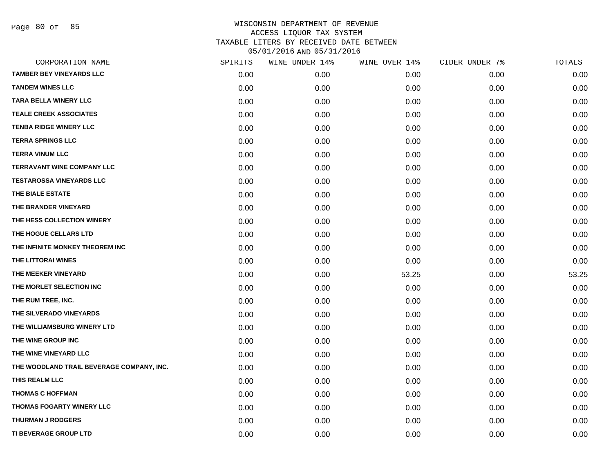Page 80 of 85

| CORPORATION NAME                          | SPIRITS | WINE UNDER 14% | WINE OVER 14% | CIDER UNDER 7% | TOTALS |
|-------------------------------------------|---------|----------------|---------------|----------------|--------|
| <b>TAMBER BEY VINEYARDS LLC</b>           | 0.00    | 0.00           | 0.00          | 0.00           | 0.00   |
| <b>TANDEM WINES LLC</b>                   | 0.00    | 0.00           | 0.00          | 0.00           | 0.00   |
| <b>TARA BELLA WINERY LLC</b>              | 0.00    | 0.00           | 0.00          | 0.00           | 0.00   |
| <b>TEALE CREEK ASSOCIATES</b>             | 0.00    | 0.00           | 0.00          | 0.00           | 0.00   |
| <b>TENBA RIDGE WINERY LLC</b>             | 0.00    | 0.00           | 0.00          | 0.00           | 0.00   |
| <b>TERRA SPRINGS LLC</b>                  | 0.00    | 0.00           | 0.00          | 0.00           | 0.00   |
| <b>TERRA VINUM LLC</b>                    | 0.00    | 0.00           | 0.00          | 0.00           | 0.00   |
| <b>TERRAVANT WINE COMPANY LLC</b>         | 0.00    | 0.00           | 0.00          | 0.00           | 0.00   |
| <b>TESTAROSSA VINEYARDS LLC</b>           | 0.00    | 0.00           | 0.00          | 0.00           | 0.00   |
| THE BIALE ESTATE                          | 0.00    | 0.00           | 0.00          | 0.00           | 0.00   |
| THE BRANDER VINEYARD                      | 0.00    | 0.00           | 0.00          | 0.00           | 0.00   |
| THE HESS COLLECTION WINERY                | 0.00    | 0.00           | 0.00          | 0.00           | 0.00   |
| THE HOGUE CELLARS LTD                     | 0.00    | 0.00           | 0.00          | 0.00           | 0.00   |
| THE INFINITE MONKEY THEOREM INC           | 0.00    | 0.00           | 0.00          | 0.00           | 0.00   |
| THE LITTORAI WINES                        | 0.00    | 0.00           | 0.00          | 0.00           | 0.00   |
| THE MEEKER VINEYARD                       | 0.00    | 0.00           | 53.25         | 0.00           | 53.25  |
| THE MORLET SELECTION INC                  | 0.00    | 0.00           | 0.00          | 0.00           | 0.00   |
| THE RUM TREE, INC.                        | 0.00    | 0.00           | 0.00          | 0.00           | 0.00   |
| THE SILVERADO VINEYARDS                   | 0.00    | 0.00           | 0.00          | 0.00           | 0.00   |
| THE WILLIAMSBURG WINERY LTD               | 0.00    | 0.00           | 0.00          | 0.00           | 0.00   |
| THE WINE GROUP INC                        | 0.00    | 0.00           | 0.00          | 0.00           | 0.00   |
| THE WINE VINEYARD LLC                     | 0.00    | 0.00           | 0.00          | 0.00           | 0.00   |
| THE WOODLAND TRAIL BEVERAGE COMPANY, INC. | 0.00    | 0.00           | 0.00          | 0.00           | 0.00   |
| THIS REALM LLC                            | 0.00    | 0.00           | 0.00          | 0.00           | 0.00   |
| <b>THOMAS C HOFFMAN</b>                   | 0.00    | 0.00           | 0.00          | 0.00           | 0.00   |
| <b>THOMAS FOGARTY WINERY LLC</b>          | 0.00    | 0.00           | 0.00          | 0.00           | 0.00   |
| <b>THURMAN J RODGERS</b>                  | 0.00    | 0.00           | 0.00          | 0.00           | 0.00   |
| <b>TI BEVERAGE GROUP LTD</b>              | 0.00    | 0.00           | 0.00          | 0.00           | 0.00   |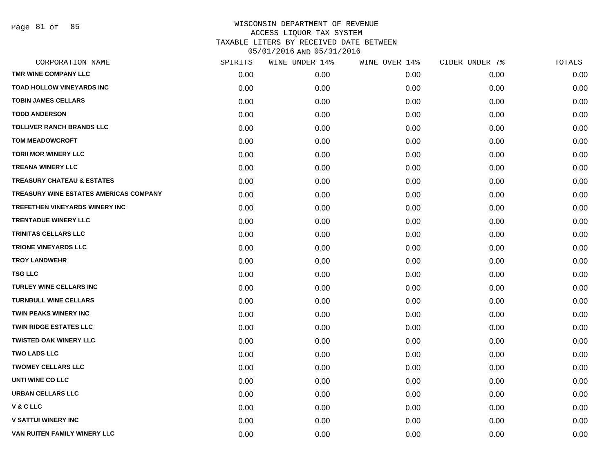Page 81 of 85

| CORPORATION NAME                              | SPIRITS | WINE UNDER 14% | WINE OVER 14% | CIDER UNDER 7% | TOTALS |
|-----------------------------------------------|---------|----------------|---------------|----------------|--------|
| TMR WINE COMPANY LLC                          | 0.00    | 0.00           | 0.00          | 0.00           | 0.00   |
| <b>TOAD HOLLOW VINEYARDS INC</b>              | 0.00    | 0.00           | 0.00          | 0.00           | 0.00   |
| <b>TOBIN JAMES CELLARS</b>                    | 0.00    | 0.00           | 0.00          | 0.00           | 0.00   |
| <b>TODD ANDERSON</b>                          | 0.00    | 0.00           | 0.00          | 0.00           | 0.00   |
| <b>TOLLIVER RANCH BRANDS LLC</b>              | 0.00    | 0.00           | 0.00          | 0.00           | 0.00   |
| <b>TOM MEADOWCROFT</b>                        | 0.00    | 0.00           | 0.00          | 0.00           | 0.00   |
| <b>TORII MOR WINERY LLC</b>                   | 0.00    | 0.00           | 0.00          | 0.00           | 0.00   |
| <b>TREANA WINERY LLC</b>                      | 0.00    | 0.00           | 0.00          | 0.00           | 0.00   |
| <b>TREASURY CHATEAU &amp; ESTATES</b>         | 0.00    | 0.00           | 0.00          | 0.00           | 0.00   |
| <b>TREASURY WINE ESTATES AMERICAS COMPANY</b> | 0.00    | 0.00           | 0.00          | 0.00           | 0.00   |
| <b>TREFETHEN VINEYARDS WINERY INC</b>         | 0.00    | 0.00           | 0.00          | 0.00           | 0.00   |
| <b>TRENTADUE WINERY LLC</b>                   | 0.00    | 0.00           | 0.00          | 0.00           | 0.00   |
| TRINITAS CELLARS LLC                          | 0.00    | 0.00           | 0.00          | 0.00           | 0.00   |
| <b>TRIONE VINEYARDS LLC</b>                   | 0.00    | 0.00           | 0.00          | 0.00           | 0.00   |
| <b>TROY LANDWEHR</b>                          | 0.00    | 0.00           | 0.00          | 0.00           | 0.00   |
| <b>TSG LLC</b>                                | 0.00    | 0.00           | 0.00          | 0.00           | 0.00   |
| <b>TURLEY WINE CELLARS INC</b>                | 0.00    | 0.00           | 0.00          | 0.00           | 0.00   |
| <b>TURNBULL WINE CELLARS</b>                  | 0.00    | 0.00           | 0.00          | 0.00           | 0.00   |
| <b>TWIN PEAKS WINERY INC</b>                  | 0.00    | 0.00           | 0.00          | 0.00           | 0.00   |
| <b>TWIN RIDGE ESTATES LLC</b>                 | 0.00    | 0.00           | 0.00          | 0.00           | 0.00   |
| <b>TWISTED OAK WINERY LLC</b>                 | 0.00    | 0.00           | 0.00          | 0.00           | 0.00   |
| <b>TWO LADS LLC</b>                           | 0.00    | 0.00           | 0.00          | 0.00           | 0.00   |
| <b>TWOMEY CELLARS LLC</b>                     | 0.00    | 0.00           | 0.00          | 0.00           | 0.00   |
| <b>UNTI WINE CO LLC</b>                       | 0.00    | 0.00           | 0.00          | 0.00           | 0.00   |
| <b>URBAN CELLARS LLC</b>                      | 0.00    | 0.00           | 0.00          | 0.00           | 0.00   |
| <b>V&amp;CLLC</b>                             | 0.00    | 0.00           | 0.00          | 0.00           | 0.00   |
| <b>V SATTUI WINERY INC</b>                    | 0.00    | 0.00           | 0.00          | 0.00           | 0.00   |
| VAN RUITEN FAMILY WINERY LLC                  | 0.00    | 0.00           | 0.00          | 0.00           | 0.00   |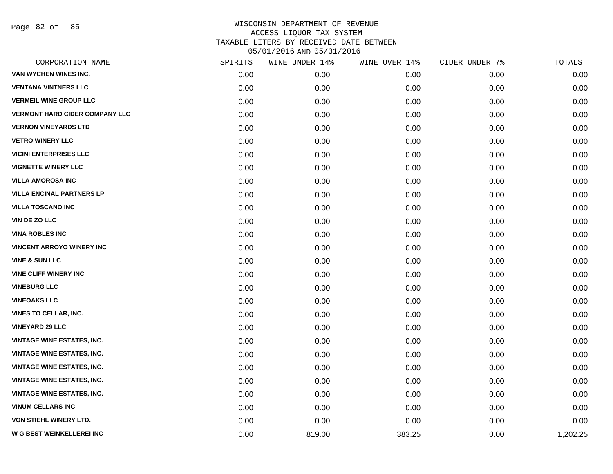Page 82 of 85

| CORPORATION NAME                      | SPIRITS | WINE UNDER 14% | WINE OVER 14% | CIDER UNDER 7% | TOTALS   |
|---------------------------------------|---------|----------------|---------------|----------------|----------|
| VAN WYCHEN WINES INC.                 | 0.00    | 0.00           | 0.00          | 0.00           | 0.00     |
| <b>VENTANA VINTNERS LLC</b>           | 0.00    | 0.00           | 0.00          | 0.00           | 0.00     |
| <b>VERMEIL WINE GROUP LLC</b>         | 0.00    | 0.00           | 0.00          | 0.00           | 0.00     |
| <b>VERMONT HARD CIDER COMPANY LLC</b> | 0.00    | 0.00           | 0.00          | 0.00           | 0.00     |
| <b>VERNON VINEYARDS LTD</b>           | 0.00    | 0.00           | 0.00          | 0.00           | 0.00     |
| <b>VETRO WINERY LLC</b>               | 0.00    | 0.00           | 0.00          | 0.00           | 0.00     |
| <b>VICINI ENTERPRISES LLC</b>         | 0.00    | 0.00           | 0.00          | 0.00           | 0.00     |
| <b>VIGNETTE WINERY LLC</b>            | 0.00    | 0.00           | 0.00          | 0.00           | 0.00     |
| <b>VILLA AMOROSA INC</b>              | 0.00    | 0.00           | 0.00          | 0.00           | 0.00     |
| <b>VILLA ENCINAL PARTNERS LP</b>      | 0.00    | 0.00           | 0.00          | 0.00           | 0.00     |
| <b>VILLA TOSCANO INC</b>              | 0.00    | 0.00           | 0.00          | 0.00           | 0.00     |
| <b>VIN DE ZO LLC</b>                  | 0.00    | 0.00           | 0.00          | 0.00           | 0.00     |
| <b>VINA ROBLES INC</b>                | 0.00    | 0.00           | 0.00          | 0.00           | 0.00     |
| <b>VINCENT ARROYO WINERY INC</b>      | 0.00    | 0.00           | 0.00          | 0.00           | 0.00     |
| <b>VINE &amp; SUN LLC</b>             | 0.00    | 0.00           | 0.00          | 0.00           | 0.00     |
| <b>VINE CLIFF WINERY INC</b>          | 0.00    | 0.00           | 0.00          | 0.00           | 0.00     |
| <b>VINEBURG LLC</b>                   | 0.00    | 0.00           | 0.00          | 0.00           | 0.00     |
| <b>VINEOAKS LLC</b>                   | 0.00    | 0.00           | 0.00          | 0.00           | 0.00     |
| VINES TO CELLAR, INC.                 | 0.00    | 0.00           | 0.00          | 0.00           | 0.00     |
| <b>VINEYARD 29 LLC</b>                | 0.00    | 0.00           | 0.00          | 0.00           | 0.00     |
| <b>VINTAGE WINE ESTATES, INC.</b>     | 0.00    | 0.00           | 0.00          | 0.00           | 0.00     |
| <b>VINTAGE WINE ESTATES, INC.</b>     | 0.00    | 0.00           | 0.00          | 0.00           | 0.00     |
| <b>VINTAGE WINE ESTATES, INC.</b>     | 0.00    | 0.00           | 0.00          | 0.00           | 0.00     |
| <b>VINTAGE WINE ESTATES, INC.</b>     | 0.00    | 0.00           | 0.00          | 0.00           | 0.00     |
| <b>VINTAGE WINE ESTATES, INC.</b>     | 0.00    | 0.00           | 0.00          | 0.00           | 0.00     |
| <b>VINUM CELLARS INC</b>              | 0.00    | 0.00           | 0.00          | 0.00           | 0.00     |
| <b>VON STIEHL WINERY LTD.</b>         | 0.00    | 0.00           | 0.00          | 0.00           | 0.00     |
| W G BEST WEINKELLEREI INC             | 0.00    | 819.00         | 383.25        | 0.00           | 1,202.25 |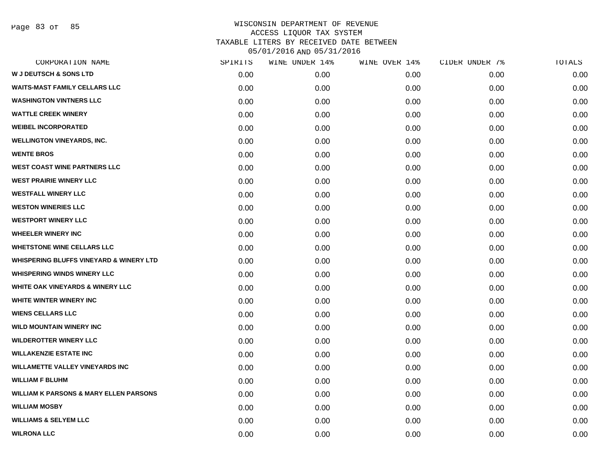Page 83 of 85

| CORPORATION NAME                                   | SPIRITS | WINE UNDER 14% | WINE OVER 14% | CIDER UNDER 7% | TOTALS |
|----------------------------------------------------|---------|----------------|---------------|----------------|--------|
| <b>W J DEUTSCH &amp; SONS LTD</b>                  | 0.00    | 0.00           | 0.00          | 0.00           | 0.00   |
| <b>WAITS-MAST FAMILY CELLARS LLC</b>               | 0.00    | 0.00           | 0.00          | 0.00           | 0.00   |
| <b>WASHINGTON VINTNERS LLC</b>                     | 0.00    | 0.00           | 0.00          | 0.00           | 0.00   |
| <b>WATTLE CREEK WINERY</b>                         | 0.00    | 0.00           | 0.00          | 0.00           | 0.00   |
| <b>WEIBEL INCORPORATED</b>                         | 0.00    | 0.00           | 0.00          | 0.00           | 0.00   |
| <b>WELLINGTON VINEYARDS, INC.</b>                  | 0.00    | 0.00           | 0.00          | 0.00           | 0.00   |
| <b>WENTE BROS</b>                                  | 0.00    | 0.00           | 0.00          | 0.00           | 0.00   |
| <b>WEST COAST WINE PARTNERS LLC</b>                | 0.00    | 0.00           | 0.00          | 0.00           | 0.00   |
| <b>WEST PRAIRIE WINERY LLC</b>                     | 0.00    | 0.00           | 0.00          | 0.00           | 0.00   |
| <b>WESTFALL WINERY LLC</b>                         | 0.00    | 0.00           | 0.00          | 0.00           | 0.00   |
| <b>WESTON WINERIES LLC</b>                         | 0.00    | 0.00           | 0.00          | 0.00           | 0.00   |
| <b>WESTPORT WINERY LLC</b>                         | 0.00    | 0.00           | 0.00          | 0.00           | 0.00   |
| <b>WHEELER WINERY INC</b>                          | 0.00    | 0.00           | 0.00          | 0.00           | 0.00   |
| <b>WHETSTONE WINE CELLARS LLC</b>                  | 0.00    | 0.00           | 0.00          | 0.00           | 0.00   |
| <b>WHISPERING BLUFFS VINEYARD &amp; WINERY LTD</b> | 0.00    | 0.00           | 0.00          | 0.00           | 0.00   |
| <b>WHISPERING WINDS WINERY LLC</b>                 | 0.00    | 0.00           | 0.00          | 0.00           | 0.00   |
| <b>WHITE OAK VINEYARDS &amp; WINERY LLC</b>        | 0.00    | 0.00           | 0.00          | 0.00           | 0.00   |
| WHITE WINTER WINERY INC                            | 0.00    | 0.00           | 0.00          | 0.00           | 0.00   |
| <b>WIENS CELLARS LLC</b>                           | 0.00    | 0.00           | 0.00          | 0.00           | 0.00   |
| <b>WILD MOUNTAIN WINERY INC</b>                    | 0.00    | 0.00           | 0.00          | 0.00           | 0.00   |
| <b>WILDEROTTER WINERY LLC</b>                      | 0.00    | 0.00           | 0.00          | 0.00           | 0.00   |
| <b>WILLAKENZIE ESTATE INC</b>                      | 0.00    | 0.00           | 0.00          | 0.00           | 0.00   |
| <b>WILLAMETTE VALLEY VINEYARDS INC</b>             | 0.00    | 0.00           | 0.00          | 0.00           | 0.00   |
| <b>WILLIAM F BLUHM</b>                             | 0.00    | 0.00           | 0.00          | 0.00           | 0.00   |
| <b>WILLIAM K PARSONS &amp; MARY ELLEN PARSONS</b>  | 0.00    | 0.00           | 0.00          | 0.00           | 0.00   |
| <b>WILLIAM MOSBY</b>                               | 0.00    | 0.00           | 0.00          | 0.00           | 0.00   |
| <b>WILLIAMS &amp; SELYEM LLC</b>                   | 0.00    | 0.00           | 0.00          | 0.00           | 0.00   |
| <b>WILRONA LLC</b>                                 | 0.00    | 0.00           | 0.00          | 0.00           | 0.00   |
|                                                    |         |                |               |                |        |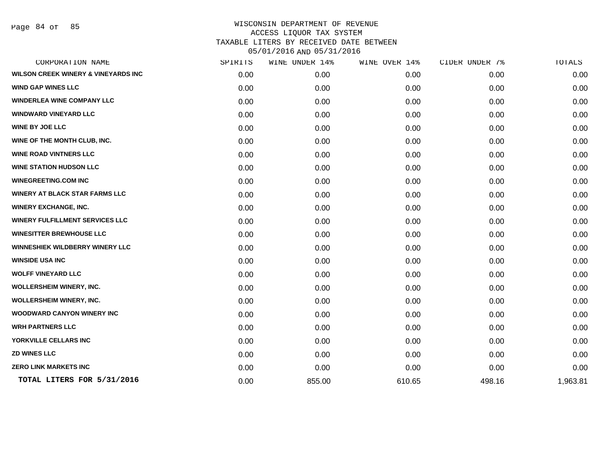Page 84 of 85

| SPIRITS | WINE UNDER 14% | WINE OVER 14% | CIDER UNDER 7% | TOTALS   |
|---------|----------------|---------------|----------------|----------|
| 0.00    | 0.00           | 0.00          | 0.00           | 0.00     |
| 0.00    | 0.00           | 0.00          | 0.00           | 0.00     |
| 0.00    | 0.00           | 0.00          | 0.00           | 0.00     |
| 0.00    | 0.00           | 0.00          | 0.00           | 0.00     |
| 0.00    | 0.00           | 0.00          | 0.00           | 0.00     |
| 0.00    | 0.00           | 0.00          | 0.00           | 0.00     |
| 0.00    | 0.00           | 0.00          | 0.00           | 0.00     |
| 0.00    | 0.00           | 0.00          | 0.00           | 0.00     |
| 0.00    | 0.00           | 0.00          | 0.00           | 0.00     |
| 0.00    | 0.00           | 0.00          | 0.00           | 0.00     |
| 0.00    | 0.00           | 0.00          | 0.00           | 0.00     |
| 0.00    | 0.00           | 0.00          | 0.00           | 0.00     |
| 0.00    | 0.00           | 0.00          | 0.00           | 0.00     |
| 0.00    | 0.00           | 0.00          | 0.00           | 0.00     |
| 0.00    | 0.00           | 0.00          | 0.00           | 0.00     |
| 0.00    | 0.00           | 0.00          | 0.00           | 0.00     |
| 0.00    | 0.00           | 0.00          | 0.00           | 0.00     |
| 0.00    | 0.00           | 0.00          | 0.00           | 0.00     |
| 0.00    | 0.00           | 0.00          | 0.00           | 0.00     |
| 0.00    | 0.00           | 0.00          | 0.00           | 0.00     |
| 0.00    | 0.00           | 0.00          | 0.00           | 0.00     |
| 0.00    | 0.00           | 0.00          | 0.00           | 0.00     |
| 0.00    | 0.00           | 0.00          | 0.00           | 0.00     |
| 0.00    | 855.00         | 610.65        | 498.16         | 1,963.81 |
|         |                |               |                |          |